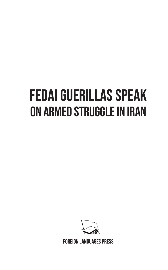# Fedai Guerillas Speak On Armed Struggle in Iran



Foreign Languages Press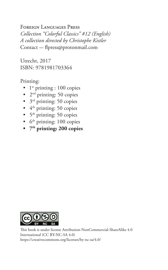#### Foreign Languages Press

*Collection "Colorful Classics" #12 (English) A collection directed by Christophe Kistler* Contact - flpress@protonmail.com

Utrecht, 2017 ISBN: 9781981703364

Printing:

- $\bullet$  1<sup>st</sup> printing : 100 copies
- $2<sup>nd</sup>$  printing: 50 copies
- $3<sup>rd</sup>$  printing: 50 copies
- $4<sup>th</sup>$  printing: 50 copies
- $5<sup>th</sup>$  printing: 50 copies
- $6<sup>th</sup>$  printing: 100 copies
- **7th printing: 200 copies**



This book is under license Attribution-NonCommercial-ShareAlike 4.0 International (CC BY-NC-SA 4.0) https://creativecommons.org/licenses/by-nc-sa/4.0/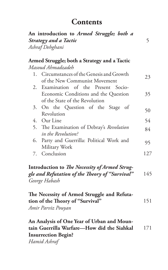# **Contents**

|                                                                                                                          | An introduction to <i>Armed Struggle; both a</i><br><b>Strategy and a Tactic</b><br>Ashraf Dehghani            | 5   |
|--------------------------------------------------------------------------------------------------------------------------|----------------------------------------------------------------------------------------------------------------|-----|
|                                                                                                                          | Armed Struggle; both a Strategy and a Tactic                                                                   |     |
|                                                                                                                          | Masoud Ahmadzadeh                                                                                              |     |
|                                                                                                                          | 1. Circumstances of the Genesis and Growth<br>of the New Communist Movement                                    | 23  |
|                                                                                                                          | 2. Examination of the Present Socio-<br>Economic Conditions and the Question<br>of the State of the Revolution | 35  |
|                                                                                                                          | 3. On the Question of the Stage of<br>Revolution                                                               | 50  |
|                                                                                                                          | 4. Our Line                                                                                                    | 54  |
|                                                                                                                          | 5. The Examination of Debray's Revolution<br>in the Revolution?                                                | 84  |
|                                                                                                                          | 6. Party and Guerrilla: Political Work and<br>Military Work                                                    | 95  |
|                                                                                                                          | 7. Conclusion                                                                                                  | 127 |
| Introduction to <i>The Necessity of Armed Strug</i> -<br>gle and Refutation of the Theory of "Survival"<br>George Habash |                                                                                                                | 145 |
| The Necessity of Armed Struggle and Refuta-<br>tion of the Theory of "Survival"<br>Amir Parviz Pouyan                    |                                                                                                                | 151 |

**An Analysis of One Year of Urban and Mountain Guerrilla Warfare—How did the Siahkal Insurrection Begin?** *Hamid Ashraf* 171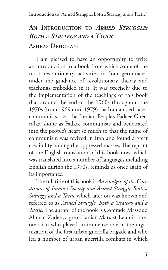# **An Introduction to** *Armed Struggle; Both a Strategy and <sup>a</sup> Tactic*

#### Ashraf Dehghani

I am pleased to have an opportunity to write an introduction to a book from which some of the most revolutionary activities in Iran germinated under the guidance of revolutionary theory and teachings embedded in it. It was precisely due to the implementation of the teachings of this book that around the end of the 1960s throughout the 1970s (from 1969 until 1979) the Iranian dedicated communists, i.e., the Iranian People's Fadaee Guerrillas, shone as Fadaee communists and penetrated into the people's heart so much so that the name of communism was revived in Iran and found a great credibility among the oppressed masses. The reprint of the English translation of this book now, which was translated into a number of languages including English during the 1970s, reminds us once again of its importance.

The full title of this book is *An Analysis of the Conditions of Iranian Society and Armed Struggle Both a Strategy and a Tactic* which later on was known and referred to as *Armed Struggle, Both a Strategy and a Tactic.* The author of the book is Comrade Massoud Ahmad-Zadeh; a great Iranian Marxist-Leninist theoretician who played an immense role in the organization of the first urban guerrilla brigade and who led a number of urban guerrilla combats in which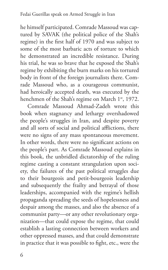he himself participated. Comrade Massoud was captured by SAVAK (the political police of the Shah's regime) in the first half of 1970 and was subject to some of the most barbaric acts of torture to which he demonstrated an incredible resistance. During his trial, he was so brave that he exposed the Shah's regime by exhibiting the burn marks on his tortured body in front of the foreign journalists there. Comrade Massoud who, as a courageous communist, had heroically accepted death, was executed by the henchmen of the Shah's regime on March 1<sup>st</sup>, 1972.

Comrade Massoud Ahmad-Zadeh wrote this book when stagnancy and lethargy overshadowed the people's struggles in Iran, and despite poverty and all sorts of social and political afflictions, there were no signs of any mass spontaneous movement. In other words, there were no significant actions on the people's part. As Comrade Massoud explains in this book, the unbridled dictatorship of the ruling regime casting a constant strangulation upon society, the failures of the past political struggles due to their bourgeois and petit-bourgeois leadership and subsequently the frailty and betrayal of those leaderships, accompanied with the regime's hellish propaganda spreading the seeds of hopelessness and despair among the masses, and also the absence of a communist party—or any other revolutionary organization—that could expose the regime, that could establish a lasting connection between workers and other oppressed masses, and that could demonstrate in practice that it was possible to fight, etc., were the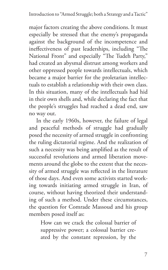major factors creating the above conditions. It must especially be stressed that the enemy's propaganda against the background of the incompetence and ineffectiveness of past leaderships, including "The National Front" and especially "The Tudeh Party," had created an abysmal distrust among workers and other oppressed people towards intellectuals, which became a major barrier for the proletarian intellectuals to establish a relationship with their own class. In this situation, many of the intellectuals had hid in their own shells and, while declaring the fact that the people's struggles had reached a dead end, saw no way out.

In the early 1960s, however, the failure of legal and peaceful methods of struggle had gradually posed the necessity of armed struggle in confronting the ruling dictatorial regime. And the realization of such a necessity was being amplified as the result of successful revolutions and armed liberation movements around the globe to the extent that the necessity of armed struggle was reflected in the literature of those days. And even some activists started working towards initiating armed struggle in Iran, of course, without having theorized their understanding of such a method. Under these circumstances, the question for Comrade Massoud and his group members posed itself as:

How can we crack the colossal barrier of suppressive power; a colossal barrier created by the constant repression, by the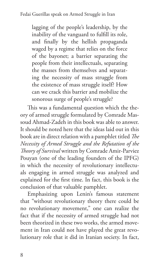lagging of the people's leadership, by the inability of the vanguard to fulfill its role, and finally by the hellish propaganda waged by a regime that relies on the force of the bayonet; a barrier separating the people from their intellectuals, separating the masses from themselves and separating the necessity of mass struggle from the existence of mass struggle itself? How can we crack this barrier and mobilize the sonorous surge of people's struggle?

This was a fundamental question which the theory of armed struggle formulated by Comrade Massoud Ahmad-Zadeh in this book was able to answer. It should be noted here that the ideas laid out in this book are in direct relation with a pamphlet titled *The Necessity of Armed Struggle and the Refutation of the Theory of Survival* written by Comrade Amir-Parviez Pouyan (one of the leading founders of the IPFG) in which the necessity of revolutionary intellectuals engaging in armed struggle was analyzed and explained for the first time. In fact, this book is the conclusion of that valuable pamphlet.

Emphasizing upon Lenin's famous statement that "without revolutionary theory there could be no revolutionary movement," one can realize the fact that if the necessity of armed struggle had not been theorized in these two works, the armed movement in Iran could not have played the great revolutionary role that it did in Iranian society. In fact,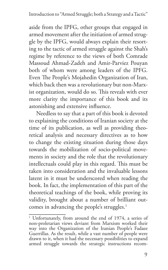aside from the IPFG, other groups that engaged in armed movement after the initiation of armed struggle by the IPFG, would always explain their resorting to the tactic of armed struggle against the Shah's regime by reference to the views of both Comrade Massoud Ahmad-Zadeh and Amir-Parviez Pouyan both of whom were among leaders of the IPFG. Even The People's Mojahedin Organization of Iran, which back then was a revolutionary but non-Marxist organization, would do so. This reveals with ever more clarity the importance of this book and its astonishing and extensive influence.

Needless to say that a part of this book is devoted to explaining the conditions of Iranian society at the time of its publication, as well as providing theoretical analysis and necessary directives as to how to change the existing situation during those days towards the mobilization of socio-political movements in society and the role that the revolutionary intellectuals could play in this regard. This must be taken into consideration and the invaluable lessons latent in it must be underscored when reading the book. In fact, the implementation of this part of the theoretical teachings of the book, while proving its validity, brought about a number of brilliant outcomes in advancing the people's struggles.<sup>1</sup>

<sup>1</sup> Unfortunately, from around the end of 1974, a series of non-proletarian views deviant from Marxism worked their way into the Organization of the Iranian People's Fadaee Guerrillas. As the result, while a vast number of people were drawn to it, when it had the necessary possibilities to expand armed struggle towards the strategic instructions recom-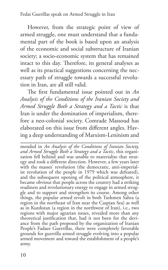However, from the strategic point of view of armed struggle, one must understand that a fundamental part of the book is based upon an analysis of the economic and social substructure of Iranian society; a socio-economic system that has remained intact to this day. Therefore, its general analyses as well as its practical suggestions concerning the necessary path of struggle towards a successful revolution in Iran, are all still valid.

The first fundamental issue pointed out in *An Analysis of the Conditions of the Iranian Society and Armed Struggle Both a Strategy and a Tactic* is that Iran is under the domination of imperialism, therefore a neo-colonial society. Comrade Massoud has elaborated on this issue from different angles. Having a deep understanding of Marxism-Leninism and

mended in *An Analysis of the Conditions of Iranian Society, and Armed Struggle Both a Strategy and a Tactic*, this organization fell behind and was unable to materialize that strategy and took a different direction. However, a few years later with the masses' revolution (the democratic, anti-imperialist revolution of the people in 1979 which was defeated), and the subsequent opening of the political atmosphere, it became obvious that people across the country had a striking readiness and revolutionary energy to engage in armed struggle and to support and strengthen its course. Among other things, the popular armed revolt in both Turkmen Sahra (a region in the northeast of Iran near the Caspian Sea) as well as in Kurdistan (a region in the northwest of Iran), i.e., two regions with major agrarian issues, revealed more than any theoretical justification that, had it not been for the deviance from the path proposed by the organization of Iranian People's Fadaee Guerrillas, there were completely favorable grounds for guerrilla armed struggle evolving into a popular armed movement and toward the establishment of a people's army.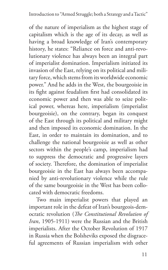of the nature of imperialism as the highest stage of capitalism which is the age of its decay, as well as having a broad knowledge of Iran's contemporary history, he states: "Reliance on force and anti-revolutionary violence has always been an integral part of imperialist domination. Imperialism initiated its invasion of the East, relying on its political and military force, which stems from its worldwide economic power." And he adds in the West, the bourgeoisie in its fight against feudalism first had consolidated its economic power and then was able to seize political power, whereas here, imperialism (imperialist bourgeoisie), on the contrary, began its conquest of the East through its political and military might and then imposed its economic domination. In the East, in order to maintain its domination, and to challenge the national bourgeoisie as well as other sectors within the people's camp, imperialism had to suppress the democratic and progressive layers of society. Therefore, the domination of imperialist bourgeoisie in the East has always been accompanied by anti-revolutionary violence while the rule of the same bourgeoisie in the West has been collocated with democratic freedoms.

Two main imperialist powers that played an important role in the defeat of Iran's bourgeois-democratic revolution (*The Constitutional Revolution of Iran*, 1905-1911) were the Russian and the British imperialists. After the October Revolution of 1917 in Russia when the Bolsheviks exposed the disgraceful agreements of Russian imperialism with other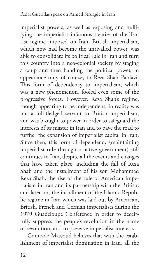imperialist powers, as well as exposing and nullifying the imperialist infamous treaties of the Tsarist regime imposed on Iran, British imperialism, which now had become the unrivalled power, was able to consolidate its political rule in Iran and turn this country into a neo-colonial society by staging a coup and then handing the political power, in appearance only of course, to Reza Shah Pahlavi. This form of dependency to imperialism, which was a new phenomenon, fooled even some of the progressive forces. However, Reza Shah's regime, though appearing to be independent, in reality was but a full-fledged servant to British imperialism, and was brought to power in order to safeguard the interests of its master in Iran and to pave the road to further the expansion of imperialist capital in Iran. Since then, this form of dependency (maintaining imperialist rule through a native government) still continues in Iran, despite all the events and changes that have taken place, including the fall of Reza Shah and the installment of his son Mohammad Reza Shah, the rise of the rule of American imperialism in Iran and its partnership with the British, and later on, the installment of the Islamic Republic regime in Iran which was laid out by American, British, French and German imperialists during the 1979 Guadeloupe Conference in order to deceitfully suppress the people's revolution in the name of revolution, and to preserve imperialist interests.

Comrade Massoud believes that with the establishment of imperialist domination in Iran, all the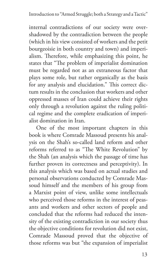internal contradictions of our society were overshadowed by the contradiction between the people (which in his view consisted of workers and the petit bourgeoisie in both country and town) and imperialism. Therefore, while emphasizing this point, he states that "The problem of imperialist domination must be regarded not as an extraneous factor that plays some role, but rather organically as the basis for any analysis and elucidation." This correct dictum results in the conclusion that workers and other oppressed masses of Iran could achieve their rights only through a revolution against the ruling political regime and the complete eradication of imperialist domination in Iran.

One of the most important chapters in this book is where Comrade Massoud presents his analysis on the Shah's so-called land reform and other reforms referred to as "The White Revolution" by the Shah (an analysis which the passage of time has further proven its correctness and perceptivity). In this analysis which was based on actual studies and personal observations conducted by Comrade Massoud himself and the members of his group from a Marxist point of view, unlike some intellectuals who perceived those reforms in the interest of peasants and workers and other sectors of people and concluded that the reforms had reduced the intensity of the existing contradiction in our society thus the objective conditions for revolution did not exist, Comrade Massoud proved that the objective of those reforms was but "the expansion of imperialist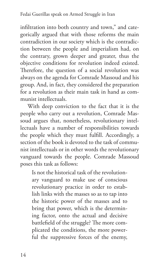infiltration into both country and town," and categorically argued that with those reforms the main contradiction in our society which is the contradiction between the people and imperialism had, on the contrary, grown deeper and greater, thus the objective conditions for revolution indeed existed. Therefore, the question of a social revolution was always on the agenda for Comrade Massoud and his group. And, in fact, they considered the preparation for a revolution as their main task in hand as communist intellectuals.

With deep conviction to the fact that it is the people who carry out a revolution, Comrade Massoud argues that, nonetheless, revolutionary intellectuals have a number of responsibilities towards the people which they must fulfill. Accordingly, a section of the book is devoted to the task of communist intellectuals or in other words the revolutionary vanguard towards the people. Comrade Massoud poses this task as follows:

Is not the historical task of the revolutionary vanguard to make use of conscious revolutionary practice in order to establish links with the masses so as to tap into the historic power of the masses and to bring that power, which is the determining factor, onto the actual and decisive battlefield of the struggle? The more complicated the conditions, the more powerful the suppressive forces of the enemy,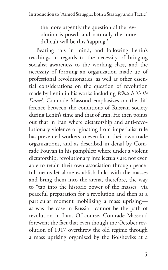the more urgently the question of the revolution is posed, and naturally the more difficult will be this 'tapping.'

Bearing this in mind, and following Lenin's teachings in regards to the necessity of bringing socialist awareness to the working class, and the necessity of forming an organization made up of professional revolutionaries, as well as other essential considerations on the question of revolution made by Lenin in his works including *What Is To Be Done?,* Comrade Massoud emphasizes on the difference between the conditions of Russian society during Lenin's time and that of Iran. He then points out that in Iran where dictatorship and anti-revolutionary violence originating from imperialist rule has prevented workers to even form their own trade organizations, and as described in detail by Comrade Pouyan in his pamphlet; where under a violent dictatorship, revolutionary intellectuals are not even able to retain their own association through peaceful means let alone establish links with the masses and bring them into the arena, therefore, the way to "tap into the historic power of the masses" via peaceful preparation for a revolution and then at a particular moment mobilizing a mass uprising as was the case in Russia—cannot be the path of revolution in Iran. Of course, Comrade Massoud forewent the fact that even though the October revolution of 1917 overthrew the old regime through a mass uprising organized by the Bolsheviks at a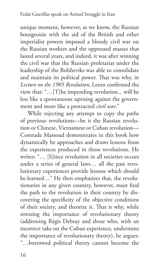unique moment, however, as we know, the Russian bourgeoisie with the aid of the British and other imperialist powers imposed a bloody civil war on the Russian workers and the oppressed masses that lasted several years, and indeed, it was after winning the civil war that the Russian proletariat under the leadership of the Bolsheviks was able to consolidate and maintain its political power. That was why, in *Lecture on the 1905 Revolution*, Lenin confirmed the view that: "…[T]he impending revolution... will be less like a spontaneous uprising against the government and more like a protracted *civil war*."

While rejecting any attempt to copy the paths of previous revolutions—be it the Russian revolution or Chinese, Vietnamese or Cuban revolution— Comrade Massoud demonstrates in this book how dynamically he approaches and draws lessons from the experiences produced in those revolutions. He writes: "... [S]ince revolution in all societies occurs under a series of general laws… all the past revolutionary experiences provide lessons which should be learned…" He then emphasizes that, the revolutionaries in any given country, however, must find the path to the revolution in their country by discovering the specificity of the objective conditions of their society, and theorize it. That is why, while stressing the importance of revolutionary theory (addressing Régis Debray and those who, with an incorrect take on the Cuban experience, undermine the importance of revolutionary theory), he argues: "…borrowed political theory cannot become the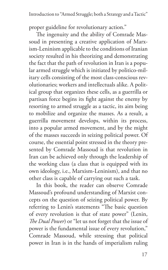proper guideline for revolutionary action."

The ingenuity and the ability of Comrade Massoud in presenting a creative application of Marxism-Leninism applicable to the conditions of Iranian society resulted in his theorizing and demonstrating the fact that the path of revolution in Iran is a popular armed struggle which is initiated by politico-military cells consisting of the most class-conscious revolutionaries; workers and intellectuals alike. A political group that organizes these cells, as a guerrilla or partisan force begins its fight against the enemy by resorting to armed struggle as a tactic, its aim being to mobilize and organize the masses. As a result, a guerrilla movement develops, within its process, into a popular armed movement, and by the might of the masses succeeds in seizing political power. Of course, the essential point stressed in the theory presented by Comrade Massoud is that revolution in Iran can be achieved only through the leadership of the working class (a class that is equipped with its own ideology, i.e., Marxism-Leninism), and that no other class is capable of carrying out such a task.

In this book, the reader can observe Comrade Massoud's profound understanding of Marxist concepts on the question of seizing political power. By referring to Lenin's statements "The basic question of every revolution is that of state power" (Lenin, *The Dual Power*) or "let us not forget that the issue of power is the fundamental issue of every revolution," Comrade Massoud, while stressing that political power in Iran is in the hands of imperialism ruling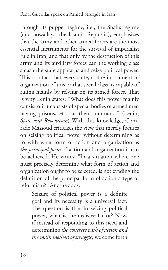through its puppet regime, i.e., the Shah's regime (and nowadays, the Islamic Republic), emphasizes that the army and other armed forces are the most essential instruments for the survival of imperialist rule in Iran, and that only by the destruction of this army and its auxiliary forces can the working class smash the state apparatus and seize political power. This is a fact that every state, as the instrument of organization of this or that social class, is capable of ruling mainly by relying on its armed forces. That is why Lenin states: "What does this power mainly consist of? It consists of special bodies of armed men having prisons, etc., at their command." (Lenin, *State and Revolution*) With this knowledge, Comrade Massoud criticizes the view that merely focuses on seizing political power without determining as to with what form of action and organization as *the principal form* of action and organization it can be achieved. He writes: "In a situation where one must precisely determine what form of action and organization ought to be selected, is not evading the definition of the principal form of action a type of reformism?" And he adds:

Seizure of political power is a definite goal and its necessity is a universal fact. The question is that in seizing political power, what is the decisive factor? Now, if instead of responding to this need and determining *the concrete path of action and the main method of struggle*, we come forth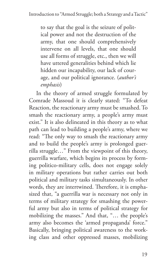to say that the goal is the seizure of political power and not the destruction of the army, that one should comprehensively intervene on all levels, that one should use all forms of struggle, etc., then we will have uttered generalities behind which lie hidden our incapability, our lack of courage, and our political ignorance. (*author's emphasis*)

In the theory of armed struggle formulated by Comrade Massoud it is clearly stated: "To defeat Reaction, the reactionary army must be smashed. To smash the reactionary army, a people's army must exist." It is also delineated in this theory as to what path can lead to building a people's army, where we read: "The only way to smash the reactionary army and to build the people's army is prolonged guerrilla struggle…" From the viewpoint of this theory, guerrilla warfare, which begins its process by forming politico-military cells, does not engage solely in military operations but rather carries out both political and military tasks simultaneously. In other words, they are intertwined. Therefore, it is emphasized that, "a guerrilla war is necessary not only in terms of military strategy for smashing the powerful army but also in terms of political strategy for mobilizing the masses." And that, "… the people's army also becomes the 'armed propaganda' force." Basically, bringing political awareness to the working class and other oppressed masses, mobilizing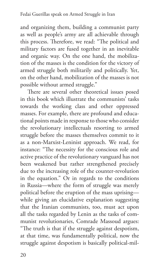and organizing them, building a communist party as well as people's army are all achievable through this process. Therefore, we read: "The political and military factors are fused together in an inevitable and organic way. On the one hand, the mobilization of the masses is the condition for the victory of armed struggle both militarily and politically. Yet, on the other hand, mobilization of the masses is not possible without armed struggle."

There are several other theoretical issues posed in this book which illustrate the communists' tasks towards the working class and other oppressed masses. For example, there are profound and educational points made in response to those who consider the revolutionary intellectuals resorting to armed struggle before the masses themselves commit to it as a non-Marxist-Leninist approach. We read, for instance: "The necessity for the conscious role and active practice of the revolutionary vanguard has not been weakened but rather strengthened precisely due to the increasing role of the counter-revolution in the equation." Or in regards to the conditions in Russia—where the form of struggle was merely political before the eruption of the mass uprising while giving an elucidative explanation suggesting that the Iranian communists, too, must act upon all the tasks regarded by Lenin as the tasks of communist revolutionaries, Comrade Massoud argues: "The truth is that if the struggle against despotism, at that time, was fundamentally political, now the struggle against despotism is basically political-mil-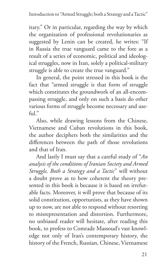itary." Or in particular, regarding the way by which the organization of professional revolutionaries as suggested by Lenin can be created, he writes: "If in Russia the true vanguard came to the fore as a result of a series of economic, political and ideological struggles, now in Iran, solely a political-military struggle is able to create the true vanguard."

In general, the point stressed in this book is the fact that "armed struggle is that form of struggle which constitutes the groundwork of an all-encompassing struggle, and only on such a basis do other various forms of struggle become necessary and use $f_{11}$ "

Also, while drawing lessons from the Chinese, Vietnamese and Cuban revolutions in this book, the author deciphers both the similarities and the differences between the path of those revolutions and that of Iran.

And lastly I must say that a careful study of "*An analysis of the conditions of Iranian Society and Armed Struggle, Both a Strategy and a Tactic*" will without a doubt prove as to how coherent the theory presented in this book is because it is based on irrefutable facts. Moreover, it will prove that because of its solid constitution, opportunists, as they have shown up to now, are not able to respond without resorting to misrepresentation and distortion. Furthermore, no unbiased reader will hesitate, after reading this book, to profess to Comrade Massoud's vast knowledge not only of Iran's contemporary history, the history of the French, Russian, Chinese, Vietnamese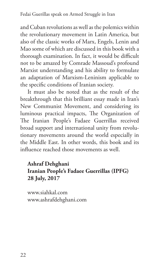and Cuban revolutions as well as the polemics within the revolutionary movement in Latin America, but also of the classic works of Marx, Engels, Lenin and Mao some of which are discussed in this book with a thorough examination. In fact, it would be difficult not to be amazed by Comrade Massoud's profound Marxist understanding and his ability to formulate an adaptation of Marxism-Leninism applicable to the specific conditions of Iranian society.

It must also be noted that as the result of the breakthrough that this brilliant essay made in Iran's New Communist Movement, and considering its luminous practical impacts, The Organization of The Iranian People's Fadaee Guerrillas received broad support and international unity from revolutionary movements around the world especially in the Middle East. In other words, this book and its influence reached those movements as well.

## **Ashraf Dehghani Iranian People's Fadaee Guerrillas (IPFG) 28 July, 2017**

www.siahkal.com www.ashrafdehghani.com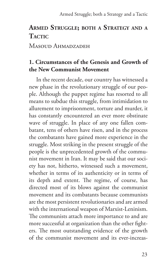# **Armed Struggle; both a Strategy and a TACTIC**

Masoud Ahmadzadeh

#### **1. Circumstances of the Genesis and Growth of the New Communist Movement**

In the recent decade, our country has witnessed a new phase in the revolutionary struggle of our people. Although the puppet regime has resorted to all means to subdue this struggle, from intimidation to allurement to imprisonment, torture and murder, it has constantly encountered an ever more obstinate wave of struggle. In place of any one fallen combatant, tens of others have risen, and in the process the combatants have gained more experience in the struggle. Most striking in the present struggle of the people is the unprecedented growth of the communist movement in Iran. It may be said that our society has not, hitherto, witnessed such a movement, whether in terms of its authenticity or in terms of its depth and extent. The regime, of course, has directed most of its blows against the communist movement and its combatants because communists are the most persistent revolutionaries and are armed with the international weapon of Marxist-Leninism. The communists attach more importance to and are more successful at organization than the other fighters. The most outstanding evidence of the growth of the communist movement and its ever-increas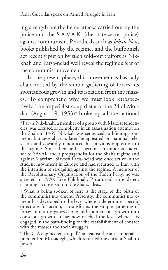ing strength are the fierce attacks carried out by the police and the S.A.V.A.K. (the state secret police) against communism. Periodicals such as *Jahan Nou*, books published by the regime, and the buffoonish act recently put on by such sold-out traitors as Nikkhah and Parsa-nejad well reveal the regime's fear of the communist movement.<sup>2</sup>

In the present phase, this movement is basically characterised by the simple gathering of forces, its spontaneous growth and its isolation from the masses.3 To comprehend why, we must look retrospectively. The imperialist coup d'état of the 28 of Mordad (August 19, 1953)4 broke up all the national

<sup>2</sup> Parviz Nik-khah, a member of a group with Marxist tendencies, was accused of complicity in an assassination attempt on the Shah in 1965. Nik-kah was sentenced to life imprisonment, but several years later he appeared on national television and cowardly renounced his previous opposition to the regime. Since then he has become an important advisor to SAVAK and a propagandist for the Shah's regime and against Marxism. Siavosh Parsa-nejad was once active in the student movement in Europe and had returned to Iran with the intention of struggling against the regime. A member of the Revolutionary Organisation of the Tudeh Party, he was arrested in 1970. Like Nik-khah, Parsa-nejad surrendered, claiming a conversion to the Shah's ideas.

<sup>3</sup> What is being spoken of here is the stage of the birth of the communist movement. Presently, the communist movement has developed to the level where it determines specific directions for action; it transforms the simple gathering of forces into an organized one and spontaneous growth into conscious growth. It has now reached the level where it is engaged in the path-finding for the establishment of contact with the masses and their struggles.

<sup>4</sup> The CIA engineered coup d'état against the anti-imperialist premier Dr. Mossadegh, which returned the current Shah to power.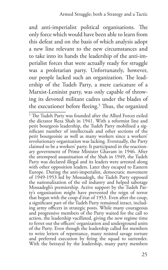and anti-imperialist political organisations. The only force which would have been able to learn from this defeat and on the basis of which analysis adopt a new line relevant to the new circumstances and to take into its hands the leadership of the anti-imperialist forces that were actually ready for struggle was a proletarian party. Unfortunately, however, our people lacked such an organization. The leadership of the Tudeh Party, a mere caricature of a Marxist-Leninist party, was only capable of throwing its devoted militant cadres under the blades of the executioner before fleeing.5 Thus, the organized

<sup>5</sup> The Tudeh Party was founded after the Allied Forces exiled the dictator Reza Shah in 1941. With a reformist line and petit bourgeois leadership, the Tudeh Party mobilised a significant number of intellectuals and other sections of the petit bourgeoisie as well as many workers since a workers' revolutionary organization was lacking. Eventually, the Party claimed to be a workers' party. It participated in the reactionary government of Prime Minister Ghavam in 1946. After the attempted assassination of the Shah in 1949, the Tudeh Party was declared illegal and its leaders were arrested along with other opposition leaders. Later they escaped to Eastern Europe. During the anti-imperialist, democratic movement of 1949-1953 led by Mossadegh, the Tudeh Party opposed the nationalization of the oil industry and helped sabotage ty's organization might have prevented the reign of terror that began with the coup d'état of 1953. Even after the coup, ing army officers in strategic posts. While many courageous and progressive members of the Party waited for the call to action, the leadership vacillated, giving the new regime time to ferret out the officers' organization and underground units of the Party. Even though the leadership called for members to write letters of repentance, many resisted savage torture and preferred execution by firing the squad to surrender. With the betrayal by the leadership, many party members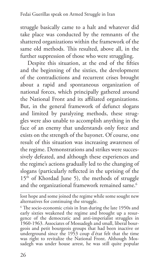struggle basically came to a halt and whatever did take place was conducted by the remnants of the shattered organizations within the framework of the same old methods. This resulted, above all, in the further suppression of those who were struggling.

Despite this situation, at the end of the fifties and the beginning of the sixties, the development of the contradictions and recurrent crises brought about a rapid and spontaneous organization of national forces, which principally gathered around the National Front and its affiliated organizations. But, in the general framework of defunct slogans and limited by paralyzing methods, these struggles were also unable to accomplish anything in the face of an enemy that understands only force and exists on the strength of the bayonet. Of course, one result of this situation was increasing awareness of the regime. Demonstrations and strikes were successively defeated, and although these experiences and the regime's actions gradually led to the changing of slogans (particularly reflected in the uprising of the 15<sup>th</sup> of Khordad June 5), the methods of struggle and the organizational framework remained same.<sup>6</sup>

lost hope and some joined the regime while some sought new alternatives for continuing the struggle.

<sup>6</sup> The socio-economic crisis in Iran during the late 1950s and early sixties weakened the regime and brought up a resurgence of the democratic and anti-imperialist struggles in 1960-1963. Associates of Mossadegh and small, liberal bourgeois and petit bourgeois groups that had been inactive or underground since the 1953 coup d'état felt that the time sadegh was under house arrest, he was still quite popular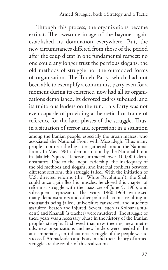Through this process, the organizations became extinct. The awesome image of the bayonet again established its domination everywhere. But, the new circumstances differed from those of the period after the coup d'état in one fundamental respect: no one could any longer trust the pervious slogans, the old methods of struggle nor the outmoded forms of organisation. The Tudeh Party, which had not been able to exemplify a communist party even for a moment during its existence, now had all its organizations demolished, its devoted cadres subdued, and its traitorous leaders on the run. This Party was not even capable of providing a theoretical or frame of reference for the later phases of the struggle. Thus, in a situation of terror and repression; in a situation

among the Iranian people, especially the urban masses, who associated the National Front with Mossadegh. Thus many people in or near the big cities gathered around the National Front. In May 1961 a demonstration by the National Front in Jalalieh Square, Teheran, attracted over 100,000 demonstrators. Due to the inept leadership, the inadequacy of the old methods and slogans, and internal conflicts between different sections, this struggle failed. With the initiation of U.S. directed reforms (the "White Revolution"), the Shah could once again flex his muscles; he closed this chapter of reformist struggle with the massacre of June 5, 1963, and subsequent repression. The years 1960-1963 witnessed many demonstrators and other political actions resulting in thousands being jailed, universities ransacked, and students dent) and Khanall (a teacher) were murdered. The struggle of these years was a necessary phase in the history of the Iranian<br>people's struggle. It showed that new theories, new methods, new organizations and new leaders were needed if the anti-imperialist, anti-dictatorial struggle of the people was to succeed. Ahmadzadeh and Pouyan and their theory of armed struggle are the results of this realization.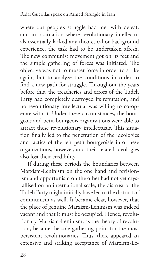where our people's struggle had met with defeat; and in a situation where revolutionary intellectuals essentially lacked any theoretical or background experience, the task had to be undertaken afresh. The new communist movement got on its feet and the simple gathering of forces was initiated. The objective was not to muster force in order to strike again, but to analyze the conditions in order to find a new path for struggle. Throughout the years before this, the treacheries and errors of the Tudeh Party had completely destroyed its reputation, and no revolutionary intellectual was willing to co-operate with it. Under these circumstances, the bourgeois and petit-bourgeois organisations were able to attract these revolutionary intellectuals. This situation finally led to the penetration of the ideologies and tactics of the left petit bourgeoisie into these organizations, however, and their related ideologies also lost their credibility.

If during these periods the boundaries between Marxism-Leninism on the one hand and revisionism and opportunism on the other had not yet crystallised on an international scale, the distrust of the Tudeh Party might initially have led to the distrust of communism as well. It became clear, however, that the place of genuine Marxism-Leninism was indeed vacant and that it must be occupied. Hence, revolutionary Marxism-Leninism, as the theory of revolution, became the sole gathering point for the most persistent revolutionaries. Thus, there appeared an extensive and striking acceptance of Marxism-Le-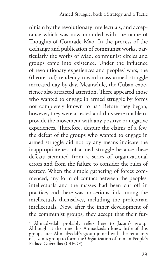ninism by the revolutionary intellectuals, and acceptance which was now moulded with the name of Thoughts of Comrade Mao. In the process of the exchange and publication of communist works, particularly the works of Mao, communist circles and groups came into existence. Under the influence of revolutionary experiences and peoples' wars, the (theoretical) tendency toward mass armed struggle increased day by day. Meanwhile, the Cuban experience also attracted attention. There appeared those who wanted to engage in armed struggle by forms not completely known to us.7 Before they began, however, they were arrested and thus were unable to provide the movement with any positive or negative experiences. Therefore, despite the claims of a few, the defeat of the groups who wanted to engage in armed struggle did not by any means indicate the inappropriateness of armed struggle because these defeats stemmed from a series of organizational errors and from the failure to consider the rules of secrecy. When the simple gathering of forces commenced, any form of contact between the peoples' intellectuals and the masses had been cut off in practice, and there was no serious link among the intellectuals themselves, including the proletarian intellectuals. Now, after the inner development of the communist groups, they accept that their fur-

<sup>7</sup> Ahmadzedah probably refers here to Jazani's group. Although at the time this Ahmadzedah knew little of this group, later Ahmadzedah's group joined with the remnants of Jazani's group to form the Organization of Iranian People's Fadaee Guerrillas (OIPGF).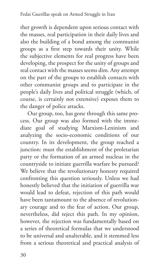ther growth is dependent upon serious contact with the masses, real participation in their daily lives and also the building of a bond among the communist groups as a first step towards their unity. While the subjective elements for real progress have been developing, the prospect for the unity of groups and real contact with the masses seems dim. Any attempt on the part of the groups to establish contacts with other communist groups and to participate in the people's daily lives and political struggle (which, of course, is certainly not extensive) exposes them to the danger of police attacks.

Our group, too, has gone through this same process. Our group was also formed with the immediate goal of studying Marxism-Leninism and analyzing the socio-economic conditions of our country. In its development, the group reached a junction: must the establishment of the proletarian party or the formation of an armed nucleus in the countryside to initiate guerrilla warfare be pursued? We believe that the revolutionary honesty required confronting this question seriously. Unless we had honestly believed that the initiation of guerrilla war would lead to defeat, rejection of this path would have been tantamount to the absence of revolutionary courage and to the fear of action. Our group, nevertheless, did reject this path. In my opinion, however, the rejection was fundamentally based on a series of theoretical formulas that we understood to be universal and unalterable, and it stemmed less from a serious theoretical and practical analysis of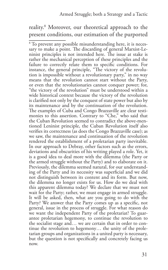reality.8 Moreover, our theoretical approach to the present conditions, our estimation of the purported

<sup>8</sup> To prevent any possible misunderstanding here, it is neces- sary to make a point. The discarding of general Marxist-Le- ninist principles is not intended here. The issue at stake is rather the mechanical perception of these principles and the failure to correctly relate them to specific conditions. For instance, the general principle, "The victory of the revolution is impossible without a revolutionary party," in no way means that the revolution cannot start without the Party, or even that the revolutionaries cannot conquer power; for, "the victory of the revolution" must be understood within a wide historical context because the victory of the revolution is clarified not only by the conquest of state power but also by its maintenance and by the continuation of the revolution. The examples of Cuba and Congo Brazzaville are clear testimonies to this assertion. Contrary to "Che," who said that the Cuban Revolution seemed to contradict the above-mentioned Leninist principle, the Cuban Revolution itself also verifies its correctness (as does the Congo Brazzaville case); as we saw, the maintenance and continuation of the revolution rendered the establishment of a proletarian party inevitable. In our approach to Debray, other factors such as the errors, deviations and obscurities of his writing played a role. Yet, it is a good idea to deal more with the dilemma (the Party or the armed struggle without the Party) and to elaborate on it. Previously, the dilemma seemed natural, for our understanding of the Party and its necessity was superficial and we did not distinguish between its content and its form. But now, the dilemma no longer exists for us. How do we deal with this apparent dilemma today? We declare that we must not wait for the Party; rather, we must engage in armed struggle. It will be asked, then, what are you going to do with the Party? We answer that the Party comes up as a specific, not general, issue in the process of struggle. For what reason do we want the independent Party of the proletariat? To guarantee proletarian hegemony, to continue the revolution to the socialist stage and… we are certain that in order to continue the revolution to hegemony… the unity of the proletarian groups and organizations in a united party is necessary, but the question is not specifically and concretely facing us now.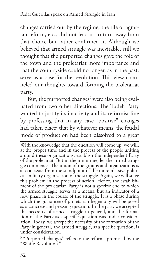changes carried out by the regime, the rile of agrarian reform, etc., did not lead us to turn away from that choice but rather confirmed it. Although we believed that armed struggle was inevitable, still we thought that the purported changes gave the role of the town and the proletariat more importance and that the countryside could no longer, as in the past, serve as a base for the revolution. This view channeled our thoughts toward forming the proletariat party.

But, the purported changes<sup>9</sup> were also being evaluated from two other directions. The Tudeh Party wanted to justify its inactivity and its reformist line by professing that in any case "positive" changes had taken place; that by whatever means, the feudal mode of production had been dissolved to a great

With the knowledge that the question will come up, we will, at the proper time and in the process of the people uniting around these organizations, establish the independent Party of the proletariat. But in the meantime, let the armed struggle commence. The union of the groups and organizations is also at issue from the standpoint of the more massive political-military organization of the struggle. Again, we will solve this problem in the process of action. Hence, the establishment of the proletarian Party is not a specific end to which the armed struggle serves as a means, but an indicator of a new phase in the course of the struggle. It is a phase during which the guarantee of proletarian hegemony will be posed as a concrete and pressing question. In the past, we accepted the necessity of armed struggle in general, and the formation of the Party as a specific question was under consideration. Today, we accept the necessity of the formation of the Party in general, and armed struggle, as a specific question, is under consideration.

9 "Purported changes" refers to the reforms promised by the "White Revolution."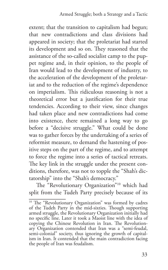extent; that the transition to capitalism had begun; that new contradictions and class divisions had appeared in society; that the proletariat had started its development and so on. They reasoned that the assistance of the so-called socialist camp to the puppet regime and, in their opinion, to the people of Iran would lead to the development of industry, to the acceleration of the development of the proletariat and to the reduction of the regime's dependence on imperialism. This ridiculous reasoning is not a theoretical error but a justification for their true tendencies. According to their view, since changes had taken place and new contradictions had come into existence, there remained a long way to go before a "decisive struggle." What could be done was to gather forces by the undertaking of a series of reformist measure, to demand the hastening of positive steps on the part of the regime, and to attempt to force the regime into a series of tactical retreats. The key link in the struggle under the present conditions, therefore, was not to topple the "Shah's dictatorship" into the "Shah's democracy."

The "Revolutionary Organization"10 which had split from the Tudeh Party precisely because of its

<sup>&</sup>lt;sup>10</sup> The "Revolutionary Organization" was formed by cadres of the Tudeh Party in the mid-sixties. Though supporting armed struggle, the Revolutionary Organization initially had no specific line. Later it took a Maoist line with the idea of copying the Chinese Revolution in Iran. The Revolutionary Organization contended that Iran was a "semi-feudal, semi-colonial" society, thus ignoring the growth of capitalism in Iran. It contended that the main contradiction facing the people of Iran was feudalism.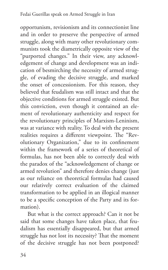opportunism, revisionism and its connectionist line and in order to preserve the perspective of armed struggle, along with many other revolutionary communists took the diametrically opposite view of the "purported changes." In their view, any acknowledgement of change and development was an indication of besmirching the necessity of armed struggle, of evading the decisive struggle, and marked the onset of concessionism. For this reason, they believed that feudalism was still intact and that the objective conditions for armed struggle existed. But this conviction, even though it contained an element of revolutionary authenticity and respect for the revolutionary principles of Marxism-Leninism, was at variance with reality. To deal with the present realities requires a different viewpoint. The "Revolutionary Organization," due to its confinement within the framework of a series of theoretical of formulas, has not been able to correctly deal with the paradox of the "acknowledgement of change or armed revolution" and therefore denies change (just as our reliance on theoretical formulas had caused our relatively correct evaluation of the claimed transformation to be applied in an illogical manner to be a specific conception of the Party and its formation).

But what is the correct approach? Can it not be said that some changes have taken place, that feudalism has essentially disappeared, but that armed struggle has not lost its necessity? That the moment of the decisive struggle has not been postponed?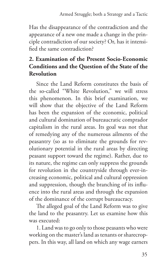Has the disappearance of the contradiction and the appearance of a new one made a change in the principle contradiction of our society? Or, has it intensified the same contradiction?

### **2. Examination of the Present Socio-Economic Conditions and the Question of the State of the Revolution**

Since the Land Reform constitutes the basis of the so-called "White Revolution," we will stress this phenomenon. In this brief examination, we will show that the objective of the Land Reform has been the expansion of the economic, political and cultural domination of bureaucratic comprador capitalism in the rural areas. Its goal was not that of remedying any of the numerous ailments of the peasantry (so as to eliminate the grounds for revolutionary potential in the rural areas by directing peasant support toward the regime). Rather, due to its nature, the regime can only suppress the grounds for revolution in the countryside through ever-increasing economic, political and cultural oppression and suppression, though the branching of its influence into the rural areas and through the expansion of the dominance of the corrupt bureaucracy.

The alleged goal of the Land Reform was to give the land to the peasantry. Let us examine how this was executed:

1. Land was to go only to those peasants who were working on the master's land as tenants or sharecroppers. In this way, all land on which any wage earners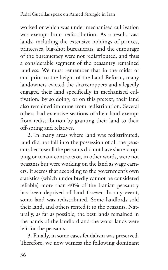worked or which was under mechanised cultivation was exempt from redistribution. As a result, vast lands, including the extensive holdings of princes, princesses, big-shot bureaucrats, and the entourage of the bureaucracy were not redistributed, and thus a considerable segment of the peasantry remained landless. We must remember that in the midst of and prior to the height of the Land Reform, many landowners evicted the sharecroppers and allegedly engaged their land specifically in mechanized cultivation. By so doing, or on this pretext, their land also remained immune from redistribution. Several others had extensive sections of their land exempt from redistribution by granting their land to their off-spring and relatives.

2. In many areas where land was redistributed, land did not fall into the possession of all the peasants because all the peasants did not have share-cropping or tenant contracts or, in other words, were not peasants but were working on the land as wage earners. It seems that according to the government's own statistics (which undoubtedly cannot be considered reliable) more than 40% of the Iranian peasantry has been deprived of land forever. In any event, some land was redistributed. Some landlords sold their land, and others rented it to the peasants. Naturally, as far as possible, the best lands remained in the hands of the landlord and the worst lands were left for the peasants.

3. Finally, in some cases feudalism was preserved. Therefore, we now witness the following dominant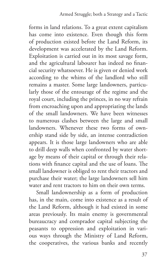forms in land relations. To a great extent capitalism has come into existence. Even though this form of production existed before the Land Reform, its development was accelerated by the Land Reform. Exploitation is carried out in its most savage form, and the agricultural labourer has indeed no financial security whatsoever. He is given or denied work according to the whims of the landlord who still remains a master. Some large landowners, particularly those of the entourage of the regime and the royal court, including the princes, in no way refrain from encroaching upon and appropriating the lands of the small landowners. We have been witnesses to numerous clashes between the large and small landowners. Whenever these two forms of ownership stand side by side, an intense contradiction appears. It is those large landowners who are able to drill deep walls when confronted by water shortage by means of their capital or through their relations with finance capital and the use of loans. The small landowner is obliged to rent their tractors and purchase their water; the large landowners sell him water and rent tractors to him on their own terms.

Small landownership as a form of production has, in the main, come into existence as a result of the Land Reform, although it had existed in some areas previously. Its main enemy is governmental bureaucracy and comprador capital subjecting the peasants to oppression and exploitation in various ways through the Ministry of Land Reform, the cooperatives, the various banks and recently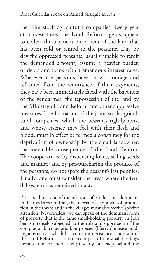the joint-stock agricultural companies. Every year at harvest time, the Land Reform agents appear to collect the payment on or rent of the land that has been sold or rented to the peasants. Day by day the oppressed peasants, usually unable to remit the demanded amount, assume a heavier burden of debts and loans with tremendous interest rates. Wherever the peasants have shown courage and refrained from the remittance of their payments, they have been immediately faced with the bayonets of the gendarmes, the repossession of the land by the Ministry of Land Reform and other suppressive measures. The formation of the joint-stock agricultural companies, which the peasants rightly resist and whose essence they feel with their flesh and blood, must in effect be termed a conspiracy for the deprivation of ownership by the small landowner, the inevitable consequence of the Land Reform. The cooperatives, by dispensing loans, selling seeds and manure, and by pre-purchasing the produce of the peasants, do not spare the peasant's last pennies. Finally, one must consider the areas where the feudal system has remained intact.<sup>11</sup>

 $^{\rm 11}$  In the discussion of the relations of productions dominant in the rural areas of Iran, the uneven development of production in the towns and in the villages must also receive specific attention. Nevertheless, we can speak of the dominant form of property that is the same small-holding property in Iran being intensely subjected to the rule and oppression of the comprador bureaucratic bourgeoisie. (Here, the lease-holding alternative, which has come into existence as a result of the Land Reform, is considered a part of the small holdings because the leaseholder is presently one step behind the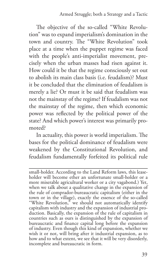The objective of the so-called "White Revolution" was to expand imperialism's domination in the town and country. The "White Revolution" took place at a time when the puppet regime was faced with the people's anti-imperialist movement, precisely when the urban masses had risen against it. How could it be that the regime consciously set out to abolish its main class basis (i.e. feudalism)? Must it be concluded that the elimination of feudalism is merely a lie? Or must it be said that feudalism was not the mainstay of the regime? If feudalism was not the mainstay of the regime, then which economic power was reflected by the political power of the state? And which power's interest was primarily promoted?

In actuality, this power is world imperialism. The bases for the political dominance of feudalism were weakened by the Constitutional Revolution, and feudalism fundamentally forfeited its political rule

small-holder. According to the Land Reform laws, this leaseholder will become ether an unfortunate small-holder or a more miserable agricultural worker or a city vagabond.) Yet, when we talk about a qualitative change in the expansion of the rule of comprador-bureaucratic capitalism (either in the town or in the village), exactly the essence of the so-called "White Revolution," we should not automatically identify capitalism with industry and the expansion of industrial production. Basically, the expansion of the rule of capitalism in countries such as ours is distinguished by the expansion of bureaucratic and finance capital long before the expansion of industry. Even though this kind of expansion, whether we wish it or not, will bring after it industrial expansion, as to how and to what extent, we see that it will be very disorderly, incomplete and bureaucratic in form.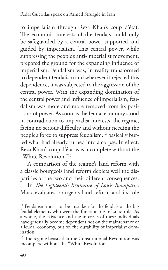to imperialism through Reza Khan's coup d'état. The economic interests of the feudals could only be safeguarded by a central power supported and guided by imperialism. This central power, while suppressing the people's anti-imperialist movement, prepared the ground for the expanding influence of imperialism. Feudalism was, in reality transformed to dependent feudalism and wherever it rejected this dependence, it was subjected to the aggression of the central power. With the expanding domination of the central power and influence of imperialism, feudalism was more and more removed from its positions of power. As soon as the feudal economy stood in contradiction to imperialist interests, the regime, facing no serious difficulty and without needing the people's force to suppress feudalism,<sup>12</sup> basically buried what had already turned into a corpse. In effect, Reza Khan's coup d'état was incomplete without the "White Revolution."13

A comparison of the regime's land reform with a classic bourgeois land reform depicts well the disparities of the two and their different consequences.

In *The Eighteenth Brumaire of Louis Bonaparte*, Marx evaluates bourgeois land reform and its role

<sup>&</sup>lt;sup>12</sup> Feudalism must not be mistaken for the feudals or the big feudal elements who were the functionaries of state rule. As a whole, the existence and the interests of these individuals have gradually become dependent not on the maintenance of a feudal economy, but on the durability of imperialist domination.

<sup>&</sup>lt;sup>13</sup> The regime boasts that the Constitutional Revolution was incomplete without the "White Revolution."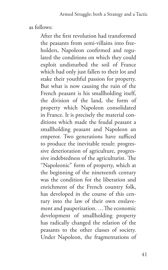as follows:

After the first revolution had transformed the peasants from semi-villains into freeholders, Napoleon confirmed and regulated the conditions on which they could exploit undisturbed the soil of France which had only just fallen to their lot and stake their youthful passion for property. But what is now causing the ruin of the French peasant is his smallholding itself, the division of the land, the form of property which Napoleon consolidated in France. It is precisely the material conditions which made the feudal peasant a smallholding peasant and Napoleon an emperor. Two generations have sufficed to produce the inevitable result: progressive deterioration of agriculture, progressive indebtedness of the agriculturist. The "Napoleonic" form of property, which at the beginning of the nineteenth century was the condition for the liberation and enrichment of the French country folk, has developed in the course of this century into the law of their own enslavement and pauperization. …The economic development of smallholding property has radically changed the relation of the peasants to the other classes of society. Under Napoleon, the fragmentations of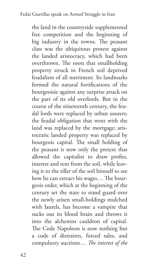the land in the countryside supplemented free competition and the beginning of big industry in the towns. The peasant class was the ubiquitous protest against the landed aristocracy, which had been overthrown. The roots that smallholding property struck in French soil deprived feudalism of all nutriment. Its landmarks formed the natural fortifications of the bourgeoisie against any surprise attack on the part of its old overlords. But in the course of the nineteenth century, the feudal lords were replaced by urban usurers; the feudal obligation that went with the land was replaced by the mortgage; aristocratic landed property was replaced by bourgeois capital. The small holding of the peasant is now only the pretext that allowed the capitalist to draw profits, interest and rent from the soil, while leaving it to the tiller of the soil himself to see how he can extract his wages… The bourgeois order, which at the beginning of the century set the state to stand guard over the newly arisen small-holdings mulched with laurels, has become a vampire that sucks out its blood brain and throws it into the alchemist cauldron of capital. The Code Napoleon is now nothing but a code of distraints, forced sales, and compulsory auctions… *The interest of the*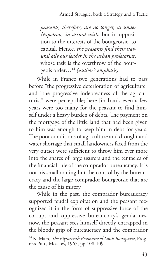*peasants, therefore, are no longer, as under Napoleon, in accord with*, but in opposition to the interests of the bourgeoisie, to capital. Hence, *the peasants find their natural ally our leader in the urban proletariat*, whose task is the overthrow of the bourgeois order…14 *(author's emphasis)*

While in France two generations had to pass before "the progressive deterioration of agriculture" and "the progressive indebtedness of the agriculturist" were perceptible; here [in Iran], even a few years were too many for the peasant to find himself under a heavy burden of debts. The payment on the mortgage of the little land that had been given to him was enough to keep him in debt for years. The poor conditions of agriculture and drought and water shortage that small landowners faced from the very outset were sufficient to throw him ever more into the snares of large usurers and the tentacles of the financial rule of the comprador bureaucracy. It is not his smallholding but the control by the bureaucracy and the large comprador bourgeoisie that are the cause of his misery.

While in the past, the comprador bureaucracy supported feudal exploitation and the peasant recognized it in the form of suppressive force of the corrupt and oppressive bureaucracy's gendarmes, now, the peasant sees himself directly entrapped in the bloody grip of bureaucracy and the comprador

<sup>14</sup> K. Marx, *The Eighteenth Brumaire of Louis Bonaparte*, Progress Pub., Moscow, 1967, pp 108-109.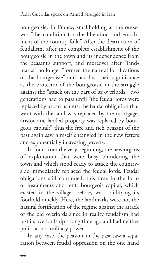bourgeoisie. In France, smallholding at the outset was "the condition for the liberation and enrichment of the country folk." After the destruction of feudalism, after the complete establishment of the bourgeoisie in the town and its independence from the peasant's support, and moreover after "landmarks" no longer "formed the natural fortifications of the bourgeoisie" and had lost their significance as the protector of the bourgeoisie in the struggle against the "attack on the part of its overlords," two generations had to pass until "the feudal lords were replaced by urban usurers: the feudal obligation that went with the land was replaced by the mortgage; aristocratic landed property was replaced by bourgeois capital;" thus the free and rich peasant of the past again saw himself entangled in the new fetters and exponentially increasing poverty.

In Iran, from the very beginning, the new organs of exploitation that were busy plundering the town and which stood ready to attack the countryside immediately replaced the feudal lords. Feudal obligations still continued, this time in the form of instalments and rent. Bourgeois capital, which existed in the villages before, was solidifying its foothold quickly. Here, the landmarks were not the natural fortification of the regime against the attack of the old overlords since in reality feudalism had lost its overlordship a long time ago and had neither political nor military power.

In any case, the peasant in the past saw a separation between feudal oppression on the one hand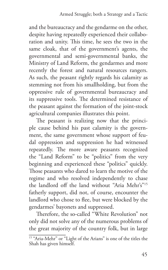and the bureaucracy and the gendarme on the other, despite having repeatedly experienced their collaboration and unity. This time, he sees the two in the same cloak, that of the government's agents, the governmental and semi-governmental banks, the Ministry of Land Reform, the gendarmes and more recently the forest and natural resources rangers. As such, the peasant rightly regards his calamity as stemming not from his smallholding, but from the oppressive rule of governmental bureaucracy and its suppressive tools. The determined resistance of the peasant against the formation of the joint-stock agricultural companies illustrates this point.

The peasant is realizing now that the principle cause behind his past calamity is the government, the same government whose support of feudal oppression and suppression he had witnessed repeatedly. The more aware peasants recognized the "Land Reform" to be "politics" from the very beginning and experienced these "politics" quickly. Those peasants who dared to learn the motive of the regime and who resolved independently to chase the landlord off the land without "Aria Mehr's"15 fatherly support, did not, of course, encounter the landlord who chose to flee, but were blocked by the gendarmes' bayonets and suppressed.

Therefore, the so-called "White Revolution" not only did not solve any of the numerous problems of the great majority of the country folk, but in large

<sup>&</sup>lt;sup>15</sup> "Aria-Mehr" or "Light of the Arians" is one of the titles the Shah has given himself.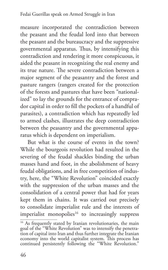measure incorporated the contradiction between the peasant and the feudal lord into that between the peasant and the bureaucracy and the suppressive governmental apparatus. Thus, by intensifying this contradiction and rendering it more conspicuous, it aided the peasant in recognizing the real enemy and its true nature. The severe contradiction between a major segment of the peasantry and the forest and pasture rangers (rangers created for the protection of the forests and pastures that have been "nationalized" to lay the grounds for the entrance of comprador capital in order to fill the pockets of a handful of parasites), a contradiction which has repeatedly led to armed clashes, illustrates the deep contradiction between the peasantry and the governmental apparatus which is dependent on imperialism.

But what is the course of events in the town? While the bourgeois revolution had resulted in the severing of the feudal shackles binding the urban masses hand and foot, in the abolishment of heavy feudal obligations, and in free competition of industry, here, the "White Revolution" coincided exactly with the suppression of the urban masses and the consolidation of a central power that had for years kept them in chains. It was carried out precisely to consolidate imperialist rule and the interests of imperialist monopolies<sup>16</sup> to increasingly suppress

 $16$  As frequently stated by Iranian revolutionaries, the main goal of the "White Revolution" was to intensify the penetration of capital into Iran and thus further integrate the Iranian economy into the world capitalist system. This process has continued persistently following the "White Revolution."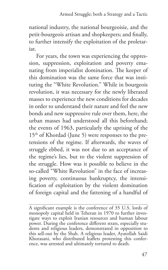national industry, the national bourgeoisie, and the petit-bourgeois artisan and shopkeepers; and finally, to further intensify the exploitation of the proletariat.

For years, the town was experiencing the oppression, suppression, exploitation and poverty emanating from imperialist domination. The keeper of this domination was the same force that was instituting the "White Revolution." While in bourgeois revolution, it was necessary for the newly liberated masses to experience the new conditions for decades in order to understand their nature and feel the new bonds and new suppressive rule over them, here, the urban masses had understood all this beforehand; the events of 1963, particularly the uprising of the  $15<sup>th</sup>$  of Khordad (June 5) were responses to the pretensions of the regime. If afterwards, the waves of struggle ebbed, it was not due to an acceptance of the regime's lies, but to the violent suppression of the struggle. How was it possible to believe in the so-called "White Revolution" in the face of increasing poverty, continuous bankruptcy, the intensification of exploitation by the violent domination of foreign capital and the fattening of a handful of

A significant example is the conference of 35 U.S. lords of monopoly capital held in Teheran in 1970 to further investigate ways to exploit Iranian resources and human labour dents and religious leaders, demonstrated in opposition to this sell-out by the Shah. A religious leader, Ayatollah Saidi Khorasani, who distributed leaflets protesting this confer- ence, was arrested and ultimately tortured to death.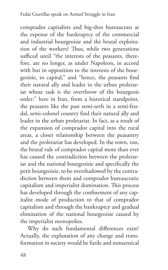comprador capitalists and big-shot bureaucrats at the expense of the bankruptcy of the commercial and industrial bourgeoisie and the brutal exploitation of the workers? Thus, while two generations sufficed until "the interests of the peasants, therefore, are no longer, as under Napoleon, in accord with but in opposition to the interests of the bourgeoisie, to capital," and "hence, the peasants find their natural ally and leader in the urban proletariat whose task is the overthrow of the bourgeois order:" here in Iran, from a historical standpoint, the peasants like the past semi-serfs in a semi-feudal, semi-colonel country find their natural ally and leader in the urban proletariat. In fact, as a result of the expansion of comprador capital into the rural areas, a closer relationship between the peasantry and the proletariat has developed. In the town, too, the brutal rule of comprador capital more than ever has caused the contradiction between the proletariat and the national bourgeoisie and specifically the petit bourgeoisie, to be overshadowed by the contradiction between them and comprador bureaucratic capitalism and imperialist domination. This process has developed through the confinement of any capitalist mode of production to that of comprador capitalism and through the bankruptcy and gradual elimination of the national bourgeoisie caused by the imperialist monopolies.

Why do such fundamental differences exist? Actually, the explanation of any change and transformation in society would be futile and nonsensical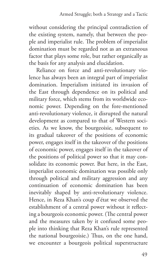without considering the principal contradiction of the existing system, namely, that between the people and imperialist rule. The problem of imperialist domination must be regarded not as an extraneous factor that plays some role, but rather organically as the basis for any analysis and elucidation.

Reliance on force and anti-revolutionary violence has always been an integral part of imperialist domination. Imperialism initiated its invasion of the East through dependence on its political and military force, which stems from its worldwide economic power. Depending on the fore-mentioned anti-revolutionary violence, it disrupted the natural development as compared to that of Western societies. As we know, the bourgeoisie, subsequent to its gradual takeover of the positions of economic power, engages itself in the takeover of the positions of economic power, engages itself in the takeover of the positions of political power so that it may consolidate its economic power. But here, in the East, imperialist economic domination was possible only through political and military aggression and any continuation of economic domination has been inevitably shaped by anti-revolutionary violence. Hence, in Reza Khan's coup d'état we observed the establishment of a central power without it reflecting a bourgeois economic power. (The central power and the measures taken by it confused some people into thinking that Reza Khan's rule represented the national bourgeoisie.) Thus, on the one hand, we encounter a bourgeois political superstructure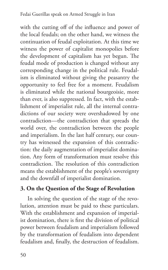with the cutting off of the influence and power of the local feudals; on the other hand, we witness the continuation of feudal exploitation. At this time we witness the power of capitalist monopolies before the development of capitalism has yet begun. The feudal mode of production is changed without any corresponding change in the political rule. Feudalism is eliminated without giving the peasantry the opportunity to feel free for a moment. Feudalism is eliminated while the national bourgeoisie, more than ever, is also suppressed. In fact, with the establishment of imperialist rule, all the internal contradictions of our society were overshadowed by one contradiction—the contradiction that spreads the world over, the contradiction between the people and imperialism. In the last half century, our country has witnessed the expansion of this contradiction: the daily augmentation of imperialist domination. Any form of transformation must resolve this contradiction. The resolution of this contradiction means the establishment of the people's sovereignty and the downfall of imperialist domination.

## **3. On the Question of the Stage of Revolution**

In solving the question of the stage of the revolution, attention must be paid to these particulars. With the establishment and expansion of imperialist domination, there is first the division of political power between feudalism and imperialism followed by the transformation of feudalism into dependent feudalism and, finally, the destruction of feudalism.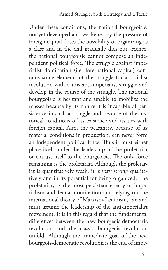Under these conditions, the national bourgeoisie, not yet developed and weakened by the pressure of foreign capital, loses the possibility of organizing as a class and in the end gradually dies out. Hence, the national bourgeoisie cannot compose an independent political force. The struggle against imperialist domination (i.e. international capital) contains some elements of the struggle for a socialist revolution within this anti-imperialist struggle and develop in the course of the struggle. The national bourgeoisie is hesitant and unable to mobilize the masses because by its nature it is incapable of persistence in such a struggle and because of the historical conditions of its existence and its ties with foreign capital. Also, the peasantry, because of its material conditions in production, can never form an independent political force. Thus it must either place itself under the leadership of the proletariat or entrust itself to the bourgeoisie. The only force remaining is the proletariat. Although the proletariat is quantitatively weak, it is very strong qualitatively and in its potential for being organized. The proletariat, as the most persistent enemy of imperialism and feudal domination and relying on the international theory of Marxism-Leninism, can and must assume the leadership of the anti-imperialist movement. It is in this regard that the fundamental differences between the new bourgeois-democratic revolution and the classic bourgeois revolution unfold. Although the immediate goal of the new bourgeois-democratic revolution is the end of impe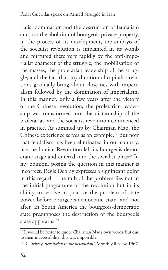rialist domination and the destruction of feudalism and not the abolition of bourgeois private property, in the process of its development, the embryo of the socialist revolution is implanted in its womb and nurtured there very rapidly by the anti-imperialist character of the struggle, the mobilization of the masses, the proletarian leadership of the struggle, and the fact that any duration of capitalist relations gradually bring about close ties with imperialism followed by the domination of imperialism. In this manner, only a few years after the victory of the Chinese revolution, the proletarian leadership was transformed into the dictatorship of the proletariat, and the socialist revolution commenced in practice. As summed up by Chairman Mao, the Chinese experience serves as an example.17 But now that feudalism has been eliminated in our country, has the Iranian Revolution left its bourgeois-democratic stage and entered into the socialist phase? In my opinion, posing the question in this manner is incorrect. Régis Debray expresses a significant point in this regard: "The nub of the problem lies not in the initial programme of the revolution but in its ability to resolve in practice the problem of state power before bourgeois-democratic state, and not after. In South America the bourgeois-democratic state presupposes the destruction of the bourgeois state apparatus."18

<sup>&</sup>lt;sup>17</sup> It would be better to quote Chairman Mao's own words, but due to their inaccessibility, this was impossible.

<sup>18</sup> R. Debray, *Revolution in the Revolution?,* Monthly Review, 1967.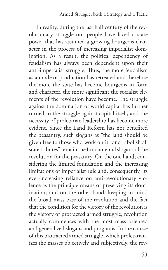In reality, during the last half century of the revolutionary struggle our people have faced a state power that has assumed a growing bourgeois character in the process of increasing imperialist domination. As a result, the political dependency of feudalism has always been dependent upon their anti-imperialist struggle. Thus, the more feudalism as a mode of production has retreated and therefore the more the state has become bourgeois in form and character, the more significant the socialist elements of the revolution have become. The struggle against the domination of world capital has further turned to the struggle against capital itself, and the necessity of proletarian leadership has become more evident. Since the Land Reform has not benefited the peasantry, such slogans as "the land should be given free to those who work on it" and "abolish all state tributes" remain the fundamental slogans of the revolution for the peasantry. On the one hand, considering the limited foundation and the increasing limitations of imperialist rule and, consequently, its ever-increasing reliance on anti-revolutionary violence as the principle means of preserving its domination; and on the other hand, keeping in mind the broad mass base of the revolution and the fact that the condition for the victory of the revolution is the victory of protracted armed struggle, revolution actually commences with the most mass oriented and generalized slogans and programs. In the course of this protracted armed struggle, which proletarianizes the masses objectively and subjectively, the rev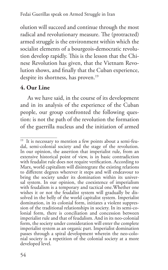olution will succeed and continue through the most radical and revolutionary measure. The (protracted) armed struggle is the environment within which the socialist elements of a bourgeois-democratic revolution develop rapidly. This is the lesson that the Chinese Revolution has given, that the Vietnam Revolution shows, and finally that the Cuban experience, despite its shortness, has proven.<sup>19</sup>

## **4. Our Line**

As we have said, in the course of its development and in its analysis of the experience of the Cuban people, our group confronted the following question: is not the path of the revolution the formation of the guerrilla nucleus and the initiation of armed

<sup>&</sup>lt;sup>19</sup> It is necessary to mention a few points about a semi-feu-<br>dal, semi-colonial society and the stage of the revolution. In our opinion, the assertion that imperialist rule, from an extensive historical point of view, is in basic contradiction with feudalist rule does not require verification. According to Marx, world capitalism will disintegrate the existing relations to different degrees wherever it steps and will endeavour to bring the society under its domination within its universal system. In our opinion, the coexistence of imperialism with feudalism is a temporary and tactical one.Whether one wishes it or not the feudalist system will gradually be dissolved in the belly of the world capitalist system. Imperialist domination, in its colonial form, initiates a violent suppression of the traditional relationships in society. In its semi-colonial form, there is conciliation and concession between imperialist rule and that of feudalism. And in its neo-colonial form, the society under consideration will enter the complete imperialist system as an organic part. Imperialist domination nial society is a repetition of the colonial society at a more developed level.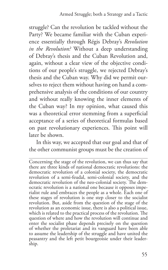struggle? Can the revolution be tackled without the Party? We became familiar with the Cuban experience essentially through Régis Debray's *Revolution in the Revolution?* Without a deep understanding of Debray's thesis and the Cuban Revolution and, again, without a clear view of the objective conditions of our people's struggle, we rejected Debray's thesis and the Cuban way. Why did we permit ourselves to reject them without having on hand a comprehensive analysis of the conditions of our country and without really knowing the inner elements of the Cuban way? In my opinion, what caused this was a theoretical error stemming from a superficial acceptance of a series of theoretical formulas based on past revolutionary experiences. This point will later be shown.

In this way, we accepted that our goal and that of the other communist groups must be the creation of

Concerning the stage of the revolution, we can thus say that there are three kinds of national democratic revolutions: the democratic revolution of a colonial society, the democratic revolution of a semi-feudal, semi-colonial society, and the ocratic revolution is a national one because it opposes imperialist rule and embraces the people as a whole. Each one of these stages of revolution is one step closer to the socialist revolution. But, aside from the question of the stage of the revolution as an economic issue, there is also a political issue, which is related to the practical process of the revolution. The question of where and how the revolution will continue and enter the socialist phase depends precisely on the question of whether the proletariat and its vanguard have been able to assume the leadership of the struggle and have united the peasantry and the left petit bourgeoisie under their leader- ship.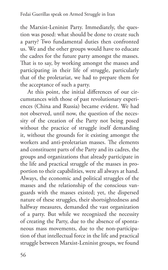the Marxist-Leninist Party. Immediately, the question was posed: what should be done to create such a party? Two fundamental duties then confronted us. We and the other groups would have to educate the cadres for the future party amongst the masses. That is to say, by working amongst the masses and participating in their life of struggle, particularly that of the proletariat, we had to prepare them for the acceptance of such a party.

At this point, the initial differences of our circumstances with those of past revolutionary experiences (China and Russia) became evident. We had not observed, until now, the question of the necessity of the creation of the Party not being posed without the practice of struggle itself demanding it, without the grounds for it existing amongst the workers and anti-proletarian masses. The elements and constituent parts of the Party and its cadres, the groups and organizations that already participate in the life and practical struggle of the masses in proportion to their capabilities, were all always at hand. Always, the economic and political struggles of the masses and the relationship of the conscious vanguards with the masses existed; yet, the dispersed nature of these struggles, their shortsightedness and halfway measures, demanded the vast organization of a party. But while we recognized the necessity of creating the Party, due to the absence of spontaneous mass movements, due to the non-participation of that intellectual force in the life and practical struggle between Marxist-Leninist groups, we found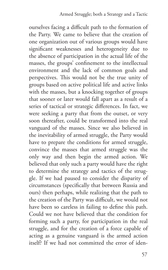ourselves facing a difficult path to the formation of the Party. We came to believe that the creation of one organization out of various groups would have significant weaknesses and heterogeneity due to the absence of participation in the actual life of the masses, the groups' confinement to the intellectual environment and the lack of common goals and perspectives. This would not be the true unity of groups based on active political life and active links with the masses, but a knocking together of groups that sooner or later would fall apart as a result of a series of tactical or strategic differences. In fact, we were seeking a party that from the outset, or very soon thereafter, could be transformed into the real vanguard of the masses. Since we also believed in the inevitability of armed struggle, the Party would have to prepare the conditions for armed struggle, convince the masses that armed struggle was the only way and then begin the armed action. We believed that only such a party would have the right to determine the strategy and tactics of the struggle. If we had paused to consider the disparity of circumstances (specifically that between Russia and ours) then perhaps, while realizing that the path to the creation of the Party was difficult, we would not have been so careless in failing to define this path. Could we not have believed that the condition for forming such a party, for participation in the real struggle, and for the creation of a force capable of acting as a genuine vanguard is the armed action itself? If we had not committed the error of iden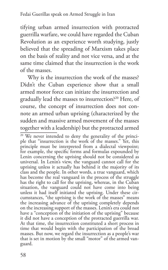tifying urban armed insurrection with protracted guerrilla warfare, we could have regarded the Cuban Revolution as an experience worth studying, justly believed that the spreading of Marxism takes place on the basis of reality and not vice versa, and at the same time claimed that the insurrection is the work of the masses.

Why is the insurrection the work of the masses? Didn't the Cuban experience show that a small armed motor force can initiate the insurrection and gradually lead the masses to insurrection?20 Here, of course, the concept of insurrection does not connote an armed urban uprising (characterized by the sudden and massive armed movement of the masses together with a leadership) but the protracted armed

<sup>&</sup>lt;sup>20</sup> We never intended to deny the generality of the principle that "insurrection is the work of the masses." Yet, this principle must be interpreted from a dialectal viewpoint; for example, the specific forms and formulas expounded by Lenin concerning the uprising should not be considered as universal. In Lenin's view, the vanguard cannot call for the uprising unless it actually has behind it the majority of its class and the people. In other words, a true vanguard, which has become the real vanguard in the process of the struggle has the right to call for the uprising, whereas, in the Cuban situation, the vanguard could not have come into being unless it had itself initiated the uprising. Under these circumstances, "the uprising is the work of the masses" means the increasing advance of the uprising completely depends on the increasing support of the masses. Lenin's era could not have a "conception of the initiation of the uprising" because it did not have a conception of the protracted guerrilla war. At that time, the insurrection constituted a short process in time that would begin with the participation of the broad masses. But now, we regard the insurrection as a people's war that is set in motion by the small "motor" of the armed vanguard.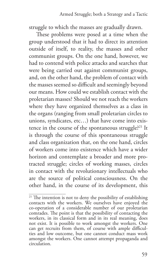struggle to which the masses are gradually drawn.

These problems were posed at a time when the group understood that it had to direct its attention outside of itself, to reality, the masses and other communist groups. On the one hand, however, we had to contend with police attacks and searches that were being carried out against communist groups, and, on the other hand, the problem of contact with the masses seemed so difficult and seemingly beyond our means. How could we establish contact with the proletarian masses? Should we not reach the workers where they have organized themselves as a class in the organs (ranging from small proletarian circles to unions, syndicates, etc…) that have come into existence in the course of the spontaneous struggle?<sup>21</sup> It is through the course of this spontaneous struggle and class organization that, on the one hand, circles of workers come into existence which have a wider horizon and contemplate a broader and more protracted struggle; circles of working masses, circles in contact with the revolutionary intellectuals who are the source of political consciousness. On the other hand, in the course of its development, this

<sup>&</sup>lt;sup>21</sup> The intention is not to deny the possibility of establishing contacts with the workers. We ourselves have enjoyed the co-operation of a considerable number of our proletarian comrades. The point is that the possibility of contacting the workers, in its classical form and in its real meaning, does not exist. It is possible to work amongst the workers. One can get recruits from them, of course with ample difficulties and low outcome, but one cannot conduct mass work amongst the workers. One cannot attempt propaganda and circulation.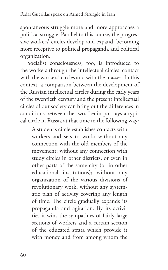spontaneous struggle more and more approaches a political struggle. Parallel to this course, the progressive workers' circles develop and expand, becoming more receptive to political propaganda and political organization.

Socialist consciousness, too, is introduced to the workers through the intellectual circles' contact with the workers' circles and with the masses. In this context, a comparison between the development of the Russian intellectual circles during the early years of the twentieth century and the present intellectual circles of our society can bring out the differences in conditions between the two. Lenin portrays a typical circle in Russia at that time in the following way:

A student's circle establishes contacts with workers and sets to work; without any connection with the old members of the movement; without any connection with study circles in other districts, or even in other parts of the same city (or in other educational institutions); without any organization of the various divisions of revolutionary work; without any systematic plan of activity covering any length of time. The circle gradually expands its propaganda and agitation. By its activities it wins the sympathies of fairly large sections of workers and a certain section of the educated strata which provide it with money and from among whom the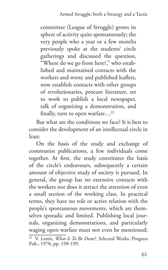committee (League of Struggle) grows its sphere of activity quite spontaneously; the very people who a year or a few months previously spoke at the students' circle gatherings and discussed the question, "Where do we go from here?," who established and maintained contacts with the workers and wrote and published leaflets, now establish contacts with other groups of revolutionaries, procure literature, set to work to publish a local newspaper, talk of organizing a demonstration, and finally, turn to open warfare…22

But what are the conditions we face? It is best to consider the development of an intellectual circle in Iran:

On the basis of the study and exchange of communist publications, a few individuals come together. At first, the study constitutes the basis of the circle's endeavours, subsequently a certain amount of objective study of society is pursued. In general, the group has no extensive contacts with the workers nor does it attract the attention of even a small section of the working class. In practical terms, they have no role or active relation with the people's spontaneous movements, which are themselves sporadic and limited. Publishing local journals, organizing demonstrations, and particularly waging open warfare must not even be mentioned;

<sup>22</sup> V. Lenin, *What Is To Be Done?,* Selected Works, Progress Pub., 1970, pp. 198-199.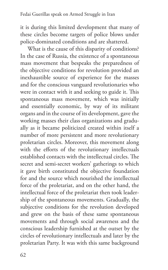it is during this limited development that many of these circles become targets of police blows under police-dominated conditions and are shattered.

What is the cause of this disparity of conditions? In the case of Russia, the existence of a spontaneous mass movement that bespeaks the preparedness of the objective conditions for revolution provided an inexhaustible source of experience for the masses and for the conscious vanguard revolutionaries who were in contact with it and seeking to guide it. This spontaneous mass movement, which was initially and essentially economic, by way of its militant organs and in the course of its development, gave the working masses their class organizations and gradually as it became politicized created within itself a number of more persistent and more revolutionary proletarian circles. Moreover, this movement along with the efforts of the revolutionary intellectuals established contacts with the intellectual circles. The secret and semi-secret workers' gatherings to which it gave birth constituted the objective foundation for and the source which nourished the intellectual force of the proletariat, and on the other hand, the intellectual force of the proletariat then took leadership of the spontaneous movements. Gradually, the subjective conditions for the revolution developed and grew on the basis of these same spontaneous movements and through social awareness and the conscious leadership furnished at the outset by the circles of revolutionary intellectuals and later by the proletarian Party. It was with this same background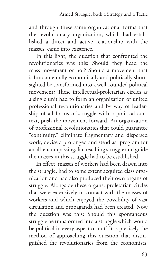and through these same organizational forms that the revolutionary organization, which had established a direct and active relationship with the masses, came into existence.

In this light, the question that confronted the revolutionaries was this: Should they head the mass movement or not? Should a movement that is fundamentally economically and politically shortsighted be transformed into a well-rounded political movement? These intellectual-proletarian circles as a single unit had to form an organization of united professional revolutionaries and by way of leadership of all forms of struggle with a political context, push the movement forward. An organization of professional revolutionaries that could guarantee "continuity," eliminate fragmentary and dispersed work, devise a prolonged and steadfast program for an all-encompassing, far-reaching struggle and guide the masses in this struggle had to be established.

In effect, masses of workers had been drawn into the struggle, had to some extent acquired class organization and had also produced their own organs of struggle. Alongside these organs, proletarian circles that were extensively in contact with the masses of workers and which enjoyed the possibility of vast circulation and propaganda had been created. Now the question was this: Should this spontaneous struggle be transformed into a struggle which would be political in every aspect or not? It is precisely the method of approaching this question that distinguished the revolutionaries from the economists,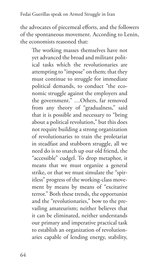the advocates of piecemeal efforts, and the followers of the spontaneous movement. According to Lenin, the economists reasoned that:

The working masses themselves have not yet advanced the broad and militant political tasks which the revolutionaries are attempting to "impose" on them; that they must continue to struggle for immediate political demands, to conduct "the economic struggle against the employers and the government." …Others, far removed from any theory of "gradualness," said that it is possible and necessary to "bring about a political revolution," but this does not require building a strong organization of revolutionaries to train the proletariat in steadfast and stubborn struggle, all we need do is to snatch up our old friend, the "accessible" cudgel. To drop metaphor, it means that we must organize a general strike, or that we must simulate the "spiritless" progress of the working-class movement by means by means of "excitative terror." Both these trends, the opportunist and the "revolutionaries," bow to the prevailing amateurism; neither believes that it can be eliminated, neither understands our primary and imperative practical task to establish an organization of revolutionaries capable of lending energy, stability,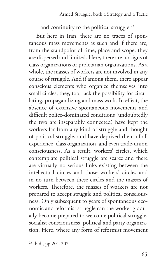and continuity to the political struggle.<sup>23</sup>

But here in Iran, there are no traces of spontaneous mass movements as such and if there are, from the standpoint of time, place and scope, they are dispersed and limited. Here, there are no signs of class organizations or proletarian organizations. As a whole, the masses of workers are not involved in any course of struggle. And if among them, there appear conscious elements who organize themselves into small circles, they, too, lack the possibility for circulating, propagandizing and mass work. In effect, the absence of extensive spontaneous movements and difficult police-dominated conditions (undoubtedly the two are inseparably connected) have kept the workers far from any kind of struggle and thought of political struggle, and have deprived them of all experience, class organization, and even trade-union consciousness. As a result, workers' circles, which contemplate political struggle are scarce and there are virtually no serious links existing between the intellectual circles and those workers' circles and in no turn between these circles and the masses of workers. Therefore, the masses of workers are not prepared to accept struggle and political consciousness. Only subsequent to years of spontaneous economic and reformist struggle can the worker gradually become prepared to welcome political struggle, socialist consciousness, political and party organization. Here, where any form of reformist movement

 $23$  Ibid., pp 201-202.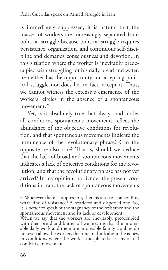is immediately suppressed, it is natural that the masses of workers are increasingly separated from political struggle because political struggle requires persistence, organization, and continuous self-discipline and demands consciousness and devotion. In this situation where the worker is inevitably preoccupied with struggling for his daily bread and water, he neither has the opportunity for accepting political struggle nor does he, in fact, accept it. Thus, we cannot witness the extensive emergence of the workers' circles in the absence of a spontaneous movement.24

Yet, is it absolutely true that always and under all conditions spontaneous movements reflect the abundance of the objective conditions for revolution, and that spontaneous movements indicate the imminence of the revolutionary phrase? Can the opposite be also true? That is, should we deduce that the lack of broad and spontaneous movements indicates a lack of objective conditions for the revolution, and that the revolutionary phrase has not yet arrived? In my opinion, no. Under the present conditions in Iran, the lack of spontaneous movements

<sup>&</sup>lt;sup>24</sup> Wherever there is oppression, there is also resistance. But, what kind of resistance? A restricted and dispersed one. So, it is better to speak of the stagnancy of the resistance and the spontaneous movement and its lack of development.

When we say that the workers are, inevitably, preoccupied with their bread and butter, all we mean is that the intolerable daily work and the more intolerable family troubles do not even allow the workers the time to think about the issues, in conditions where the work atmosphere lacks any actual combative movement.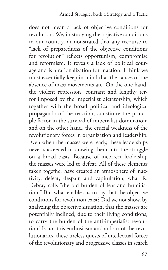does not mean a lack of objective conditions for revolution. We, in studying the objective conditions in our country, demonstrated that any recourse to "lack of preparedness of the objective conditions for revolution" reflects opportunism, compromise and reformism. It reveals a lack of political courage and is a rationalization for inaction. I think we must essentially keep in mind that the causes of the absence of mass movements are. On the one hand, the violent repression, constant and lengthy terror imposed by the imperialist dictatorship, which together with the broad political and ideological propaganda of the reaction, constitute the principle factor in the survival of imperialist domination; and on the other hand, the crucial weakness of the revolutionary forces in organization and leadership. Even when the masses were ready, these leaderships never succeeded in drawing them into the struggle on a broad basis. Because of incorrect leadership the masses were led to defeat. All of these elements taken together have created an atmosphere of inactivity, defeat, despair, and capitulation, what R. Debray calls "the old burden of fear and humiliation." But what enables us to say that the objective conditions for revolution exist? Did we not show, by analyzing the objective situation, that the masses are potentially inclined, due to their living conditions, to carry the burden of the anti-imperialist revolution? Is not this enthusiasm and ardour of the revolutionaries, these tireless quests of intellectual forces of the revolutionary and progressive classes in search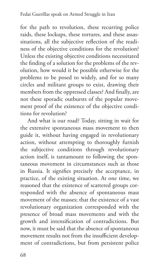for the path to revolution, these recurring police raids, these lockups, these tortures, and these assassinations, all the subjective reflection of the readiness of the objective conditions for the revolution? Unless the existing objective conditions necessitated the finding of a solution for the problems of the revolution, how would it be possible otherwise for the problems to be posed to widely, and for so many circles and militant groups to exist, drawing their members from the oppressed classes? And finally, are not these sporadic outbursts of the popular movement proof of the existence of the objective conditions for revolution?

And what is our road? Today, sitting in wait for the extensive spontaneous mass movement to then guide it, without having engaged in revolutionary action, without attempting to thoroughly furnish the subjective conditions through revolutionary action itself, is tantamount to following the spontaneous movement in circumstances such as those in Russia. It signifies precisely the acceptance, in practice, of the existing situation. At one time, we reasoned that the existence of scattered groups corresponded with the absence of spontaneous mass movement of the masses; that the existence of a vast revolutionary organization corresponded with the presence of broad mass movements and with the growth and intensification of contradictions. But now, it must be said that the absence of spontaneous movement results not from the insufficient development of contradictions, but from persistent police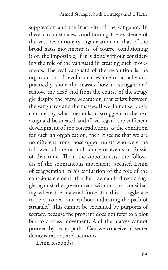suppression and the inactivity of the vanguard. In these circumstances, conditioning the existence of the vast revolutionary organization on that of the broad mass movements is, of course, conditioning it on the impossible, if it is done without considering the role of the vanguard in creating such movements. The real vanguard of the revolution is the organization of revolutionaries able to actually and practically show the masses how to struggle and remove the dead end from the course of the struggle despite the grave separation that exists between the vanguards and the masses. If we do not seriously consider by what methods of struggle can the real vanguard be created and if we regard the sufficient development of the contradictions as the condition for such an organization, then it seems that we are no different from those opportunists who were the followers of the natural course of events in Russia of that time. Then, the opportunists, the followers of the spontaneous movement, accused Lenin of exaggeration in his evaluation of the role of the conscious element, that he: "demands direct struggle against the government without first considering where the material forces for this struggle are to be obtained, and without indicating the path of struggle." This cannot be explained by purposes of secrecy, because the program does not refer to a plot but to a mass movement. And the masses cannot proceed by secret paths. Can we conceive of secret demonstrations and petitions?

Lenin responds: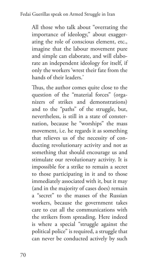All those who talk about "overrating the importance of ideology," about exaggerating the role of conscious element, etc., imagine that the labour movement pure and simple can elaborate, and will elaborate an independent ideology for itself, if only the workers 'wrest their fate from the hands of their leaders.'

Thus, the author comes quite close to the question of the "material forces" (organizers of strikes and demonstrations) and to the "paths" of the struggle, but, nevertheless, is still in a state of consternation, because he "worships" the mass movement, i.e. he regards it as something that relieves us of the necessity of conducting revolutionary activity and not as something that should encourage us and stimulate our revolutionary activity. It is impossible for a strike to remain a secret to those participating in it and to those immediately associated with it, but it may (and in the majority of cases does) remain a "secret" to the masses of the Russian workers, because the government takes care to cut all the communications with the strikers from spreading. Here indeed is where a special "struggle against the political police" is required, a struggle that can never be conducted actively by such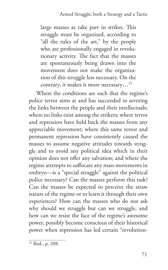large masses as take part in strikes. This struggle must be organized, according to "all the rules of the art," by the people who are professionally engaged in revolutionary activity. The fact that the masses are spontaneously being drawn into the movement does not make the organization of this struggle less necessary. On the contrary, it makes it more necessary…25

Where the conditions are such that the regime's police terror aims at and has succeeded in severing the links between the people and their intellectuals; where no links exist among the strikers; where terror and repression have held back the masses from any appreciable movement; where this same terror and permanent repression have consistently caused the masses to assume negative attitudes towards struggle and to avoid any political idea which in their opinion does not offer any salvation; and where the regime attempts to suffocate any mass movements in embryo—is a "special struggle" against the political police necessary? Can the masses perform this task? Can the masses be expected to perceive the straw nature of the regime or to learn it through their own experiences? How can the masses who do not ask why should we struggle but can we struggle, and how can we resist the face of the regime's awesome power, possibly become conscious of their historical power when repression has led certain "revolution-

 $25$  Ibid., p. 208.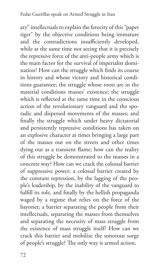ary" intellectuals to explain the ferocity of this "paper tiger" by the objective conditions being immature and the contradictions insufficiently developed, while at the same time not seeing that it is precisely the repressive force of the anti-people army which is the main factor for the survival of imperialist domination? How can the struggle which finds its course in history and whose victory and historical conditions guarantee; the struggle whose roots are in the material conditions masses' existence; the struggle which is reflected at the same time in the conscious action of the revolutionary vanguard and the sporadic and dispersed movements of the masses; and finally the struggle which under heavy dictatorial and persistently repressive conditions has taken on an explosive character at times bringing a large part of the masses out on the streets and other times dying out as a transient flame; how can the reality of this struggle be demonstrated to the masses in a concrete way? How can we crack the colossal barrier of suppressive power; a colossal barrier created by the constant repression, by the lagging of the people's leadership, by the inability of the vanguard to fulfill its role, and finally by the hellish propaganda waged by a regime that relies on the force of the bayonet; a barrier separating the people from their intellectuals, separating the masses from themselves and separating the necessity of mass struggle from the existence of mass struggle itself? How can we crack this barrier and mobilize the sonorous surge of people's struggle? The only way is armed action.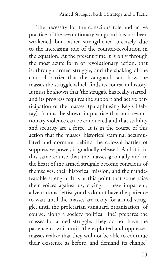The necessity for the conscious role and active practice of the revolutionary vanguard has not been weakened but rather strengthened precisely due to the increasing role of the counter-revolution in the equation. At the present time it is only through the most acute form of revolutionary action, that is, through armed struggle, and the shaking of the colossal barrier that the vanguard can show the masses the struggle which finds its course in history. It must be shown that 'the struggle has really started, and its progress requires the support and active participation of the masses' (paraphrasing Régis Debray). It must be shown in practice that anti-revolutionary violence can be conquered and that stability and security are a force. It is in the course of this action that the masses' historical stamina, accumulated and dormant behind the colossal barrier of suppressive power, is gradually released. And it is in this same course that the masses gradually and in the heart of the armed struggle become conscious of themselves, their historical mission, and their undefeatable strength. It is at this point that some raise their voices against us, crying: "These impatient, adventurous, leftist youths do not have the patience to wait until the masses are ready for armed struggle, until the proletarian vanguard organization (of course, along a society political line) prepares the masses for armed struggle. They do not have the patience to wait until "the exploited and oppressed masses realize that they will not be able to continue their existence as before, and demand its change"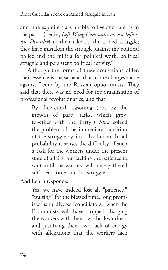and "the exploiters are unable to live and rule, as in the past," (Lenin, *Left-Wing Communism, An Infantile Disorder*) to then take up the armed struggle; they have mistaken the struggle against the political police and the militia for political work, political struggle and persistent political activity."

Although the forms of these accusations differ, their essence is the same as that of the charges made against Lenin by the Russian opportunists. They said that there was no need for the organization of professional revolutionaries, and that:

By theoretical reasoning (not by the growth of party tasks, which grow together with the Party") *Iskra* solved the problem of the immediate transition of the struggle against absolutism. In all probability it senses the difficulty of such a task for the workers under the present state of affairs, but lacking the patience to wait until the workers will have gathered sufficient forces for this struggle.

And Lenin responds:

Yes, we have indeed lost all "patience," "waiting" for the blessed time, long promised us by diverse "conciliators," when the Economists will have stopped charging the workers with their own backwardness and justifying their own lack of energy with allegations that the workers lack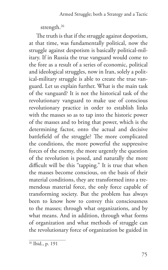strength.<sup>26</sup>

The truth is that if the struggle against despotism, at that time, was fundamentally political, now the struggle against despotism is basically political-military. If in Russia the true vanguard would come to the fore as a result of a series of economic, political and ideological struggles, now in Iran, solely a political-military struggle is able to create the true vanguard. Let us explain further. What is the main task of the vanguard? It is not the historical task of the revolutionary vanguard to make use of conscious revolutionary practice in order to establish links with the masses so as to tap into the historic power of the masses and to bring that power, which is the determining factor, onto the actual and decisive battlefield of the struggle? The more complicated the conditions, the more powerful the suppressive forces of the enemy, the more urgently the question of the revolution is posed, and naturally the more difficult will be this "tapping." It is true that when the masses become conscious, on the basis of their material conditions, they are transformed into a tremendous material force, the only force capable of transforming society. But the problem has always been to know how to convey this consciousness to the masses; through what organizations, and by what means. And in addition, through what forms of organization and what methods of struggle can the revolutionary force of organization be guided in

 $26$  Ibid., p. 191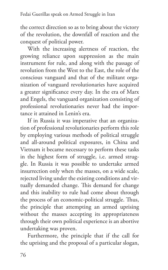the correct direction so as to bring about the victory of the revolution, the downfall of reaction and the conquest of political power.

With the increasing alertness of reaction, the growing reliance upon suppression as the main instrument for rule, and along with the passage of revolution from the West to the East, the role of the conscious vanguard and that of the militant organization of vanguard revolutionaries have acquired a greater significance every day. In the era of Marx and Engels, the vanguard organization consisting of professional revolutionaries never had the importance it attained in Lenin's era.

If in Russia it was imperative that an organization of professional revolutionaries perform this role by employing various methods of political struggle and all-around political exposures, in China and Vietnam it became necessary to perform these tasks in the highest form of struggle, i.e. armed struggle. In Russia it was possible to undertake armed insurrection only when the masses, on a wide scale, rejected living under the existing conditions and virtually demanded change. This demand for change and this inability to rule had come about through the process of an economic-political struggle. Thus, the principle that attempting an armed uprising without the masses accepting its appropriateness through their own political experience is an abortive undertaking was proven.

Furthermore, the principle that if the call for the uprising and the proposal of a particular slogan,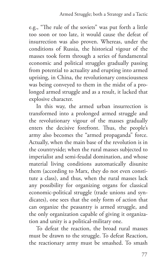e.g., "The rule of the soviets" was put forth a little too soon or too late, it would cause the defeat of insurrection was also proven. Whereas, under the conditions of Russia, the historical vigour of the masses took form through a series of fundamental economic and political struggles gradually passing from potential to actuality and erupting into armed uprising, in China, the revolutionary consciousness was being conveyed to them in the midst of a prolonged armed struggle and as a result, it lacked that explosive character.

In this way, the armed urban insurrection is transformed into a prolonged armed struggle and the revolutionary vigour of the masses gradually enters the decisive forefront. Thus, the people's army also becomes the "armed propaganda" force. Actually, when the main base of the revolution is in the countryside; when the rural masses subjected to imperialist and semi-feudal domination, and whose material living conditions automatically disunite them (according to Marx, they do not even constitute a class), and thus, when the rural masses lack any possibility for organizing organs for classical economic-political struggle (trade unions and syndicates), one sees that the only form of action that can organize the peasantry is armed struggle, and the only organization capable of giving it organization and unity is a political-military one.

To defeat the reaction, the broad rural masses must be drawn to the struggle. To defeat Reaction, the reactionary army must be smashed. To smash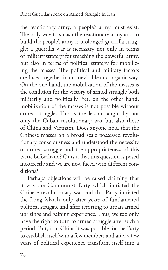the reactionary army, a people's army must exist. The only way to smash the reactionary army and to build the people's army is prolonged guerrilla struggle; a guerrilla war is necessary not only in terms of military strategy for smashing the powerful army, but also in terms of political strategy for mobilizing the masses. The political and military factors are fused together in an inevitable and organic way. On the one hand, the mobilization of the masses is the condition for the victory of armed struggle both militarily and politically. Yet, on the other hand, mobilization of the masses is not possible without armed struggle. This is the lesson taught by not only the Cuban revolutionary war but also those of China and Vietnam. Does anyone hold that the Chinese masses on a broad scale possessed revolutionary consciousness and understood the necessity of armed struggle and the appropriateness of this tactic beforehand? Or is it that this question is posed incorrectly and we are now faced with different conditions?

Perhaps objections will be raised claiming that it was the Communist Party which initiated the Chinese revolutionary war and this Party initiated the Long March only after years of fundamental political struggle and after resorting to urban armed uprisings and gaining experience. Thus, we too only have the right to turn to armed struggle after such a period. But, if in China it was possible for the Party to establish itself with a few members and after a few years of political experience transform itself into a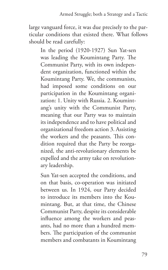large vanguard force, it was due precisely to the particular conditions that existed there. What follows should be read carefully:

In the period (1920-1927) Sun Yat-sen was leading the Koumintang Party. The Communist Party, with its own independent organization, functioned within the Koumintang Party. We, the communists, had imposed some conditions on our participation in the Koumintang organization: 1. Unity with Russia. 2. Koumintang's unity with the Communist Party, meaning that our Party was to maintain its independence and to have political and organizational freedom action 3. Assisting the workers and the peasants. This condition required that the Party be reorganized, the anti-revolutionary elements be expelled and the army take on revolutionary leadership.

Sun Yat-sen accepted the conditions, and on that basis, co-operation was initiated between us. In 1924, our Party decided to introduce its members into the Koumintang. But, at that time, the Chinese Communist Party, despite its considerable influence among the workers and peasants, had no more than a hundred members. The participation of the communist members and combatants in Koumintang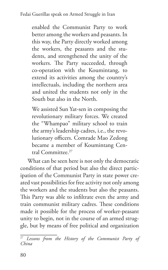enabled the Communist Party to work better among the workers and peasants. In this way, the Party directly worked among the workers, the peasants and the students, and strengthened the unity of the workers. The Party succeeded, through co-operation with the Koumintang, to extend its activities among the country's intellectuals, including the northern area and united the students not only in the South but also in the North.

We assisted Sun Yat-sen in composing the revolutionary military forces. We created the "Whampao" military school to train the army's leadership cadres, i.e., the revolutionary officers. Comrade Mao Zedong became a member of Koumintang Central Committee<sup>27</sup>

What can be seen here is not only the democratic conditions of that period but also the direct participation of the Communist Party in state power created vast possibilities for free activity not only among the workers and the students but also the peasants. This Party was able to infiltrate even the army and train communist military cadres. These conditions made it possible for the process of worker-peasant unity to begin, not in the course of an armed struggle, but by means of free political and organization

<sup>27</sup> *Lessons from the History of the Communist Party of China*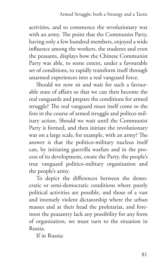activities, and to commence the revolutionary war with an army. The point that the Communist Party, having only a few hundred members, enjoyed a wide influence among the workers, the students and even the peasants, displays how the Chinese Communist Party was able, to some extent, under a favourable set of conditions, to rapidly transform itself through unarmed experiences into a real vanguard force.

Should we now sit and wait for such a favourable state of affairs so that we can then become the real vanguards and prepare the conditions for armed struggle? The real vanguard must itself come to the fore in the course of armed struggle and politco-military action. Should we wait until the Communist Party is formed, and then initiate the revolutionary war on a large scale, for example, with an army? The answer is that the politico-military nucleus itself can, by initiating guerrilla warfare and in the process of its development, create the Party, the people's true vanguard politico-military organization and the people's army.

To depict the differences between the democratic or semi-democratic conditions where purely political activities are possible, and those of a vast and intensely violent dictatorship where the urban masses and at their head the proletariat, and foremost the peasantry lack any possibility for any form of organization, we must turn to the situation in Russia.

If in Russia: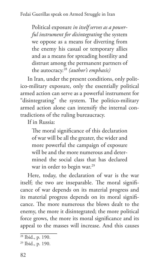Political exposure *in itself serves as a powerful instrument for disintegrating* the system we oppose as a means for diverting from the enemy his casual or temporary allies and as a means for spreading hostility and distrust among the permanent partners of the autocracy.28 *(author's emphasis)*

In Iran, under the present conditions, only politico-military exposure, only the essentially political armed action can serve as a powerful instrument for "disintegrating" the system. The politico-military armed action alone can intensify the internal contradictions of the ruling bureaucracy.

If in Russia:

The moral significance of this declaration of war will be all the greater, the wider and more powerful the campaign of exposure will be and the more numerous and determined the social class that has declared war in order to begin war.<sup>29</sup>

Here, today, the declaration of war is the war itself; the two are inseparable. The moral significance of war depends on its material progress and its material progress depends on its moral significance. The more numerous the blows dealt to the enemy, the more it disintegrated; the more political force grows, the more its moral significance and its appeal to the masses will increase. And this causes

 $28$  Ibid., p. 190.

<sup>29</sup> Ibid., p. 190.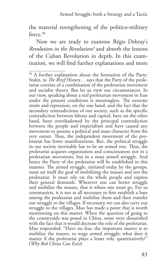the material strengthening of the politico-military force.<sup>30</sup>

Now we are ready to examine Régis Debray's *Revolution in the Revolution?* and absorb the lessons of the Cuban Revolution in depth. In this examination, we will find further explanations and more

<sup>&</sup>lt;sup>30</sup> A further explanation about the formation of the Party: Stalin, in *The Brief History…* says that the Party of the proletariat consists of a combination of the proletarian movement and socialist theory. But let us view our circumstances. In our view, speaking about a real proletarian movement in Iran under the present conditions is meaningless. The extreme strain and repression, on the one hand, and the fact that the secondary contradictions of our society, such as the specific contradiction between labour and capital, have on the other hand, been overshadowed by the principal contradiction between the people and imperialism and have caused any movement to assume a political and mass character from the very outset. Thus, the independent movement of the proletariat has fewer manifestations. But, the political struggle in our society inevitably has to be an armed one. Thus, the proletariat acquires organization and consciousness not in a proletarian movement, but in a mass armed struggle. And hence the Party of the proletariat will be established in this manner. The armed struggle, initiated today by the groups, must set itself the goal of mobilising the masses and not the proletariat. It must rely on the whole people and express their general demands. Wherever one can better struggle and mobilize the masses, that is where one must go. For us communists, it is not at all necessary to first establish a base among the proletariat and mobilize them and then transfer our struggle to the villages. If necessary, we can also carry our struggle to the villages. Mao has made a point that is worth mentioning on this matter. When the question of going to the countryside was posed in China, some were dissatisfied with the fact that it would decrease the role of the proletariat. Mao responded: "Have no fear, the important matter is to mobilize the masses, to wage armed struggle; what does it matter if the proletariat plays a lesser role, quantitatively?" (*Why Red China Can Exist*)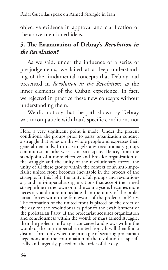Fedai Guerillas speak on Armed Struggle in Iran

objective evidence in approval and clarification of the above-mentioned ideas.

## **5. The Examination of Debray's** *Revolution in the Revolution?*

As we said, under the influence of a series of pre-judgements, we failed at a deep understanding of the fundamental concepts that Debray had presented in *Revolution in the Revolution?* as the inner elements of the Cuban experience. In fact, we rejected in practice these new concepts without understanding them.

We did not say that the path shown by Debray was incompatible with Iran's specific conditions nor

Here, a very significant point is made. Under the present conditions, the groups prior to party organization conduct a struggle that relies on the whole people and expresses their general demands. In this struggle any revolutionary group, communist or otherwise, can participate. Hence, from the standpoint of a more effective and broader organization of the struggle and the unity of the revolutionary forces, the unity of all these groups within the context of an anti-imperialist united front becomes inevitable in the process of the struggle. In this light, the unity of all groups and revolutionary and anti-imperialist organizations that accept the armed struggle line in the town or in the countryside, becomes more necessary and more immediate than the unity of the proletarian forces within the framework of the proletarian Party. The formation of the united front is placed on the order of the day for the revolutionaries prior to the establishment of the proletarian Party. If the proletariat acquires organization and consciousness within the womb of mass armed struggle, then the proletarian Party is conceived and grows within the womb of the anti-imperialist united front. It will then find a distinct form only when the principle of securing proletarian hegemony and the continuation of the revolution is, specifically and urgently, placed on the order of the day.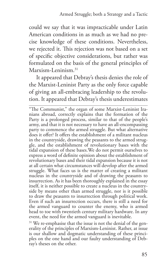could we say that it was impracticable under Latin American conditions in as much as we had no precise knowledge of these conditions. Nevertheless, we rejected it. This rejection was not based on a set of specific objective considerations, but rather was formulated on the basis of the general principles of Marxism-Leninism.31

It appeared that Debray's thesis denies the role of the Marxist-Leninist Party as the only force capable of giving an all-embracing leadership to the revolution. It appeared that Debray's thesis underestimates

<sup>&</sup>quot;The Communist," the organ of some Marxist-Leninist Iranians abroad, correctly explains that the formation of the Party is a prolonged process, similar to that of the people's army, and that it is not necessary to have an all-encompassing party to commence the armed struggle. But what alternative does it offer? It offers the establishment of a militant nucleus in the countryside, drawing the peasants to the armed struggle, and the establishment of revolutionary bases with the tidal expansion of these bases.We do not permit ourselves to express a word of definite opinion about the establishment of revolutionary bases and their tidal expansion because it is not at all certain what circumstances will develop after the armed struggle. What faces us is the matter of creating a militant nucleus in the countryside and of drawing the peasants to insurrection. As it has been thoroughly explained in the essay itself, it is neither possible to create a nucleus in the countryside by means other than armed struggle, nor is it possible to draw the peasants to insurrection through political work. Even if such an insurrection occurs, there is still a need for the armed vanguard to counter the enemy, who is armed head to toe with twentieth century military hardware. In any event, the need for the armed vanguard is inevitable.

<sup>&</sup>lt;sup>31</sup> We re-emphasise that the issue is not the denial of the gen-<br>erality of the principles of Marxism-Leninist. Rather, at issue is our shallow and dogmatic understanding of these principles on the one hand and our faulty understanding of Debray's theses on the other.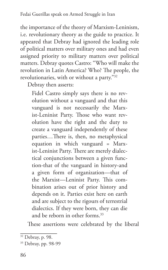the importance of the theory of Marxism-Leninism, i.e. revolutionary theory as the guide to practice. It appeared that Debray had ignored the leading role of political matters over military ones and had even assigned priority to military matters over political matters. Debray quotes Castro: "Who will make the revolution in Latin America? Who? The people, the revolutionaries, with or without a party."32

Debray then asserts:

Fidel Castro simply says there is no revolution without a vanguard and that this vanguard is not necessarily the Marxist-Leninist Party. Those who want revolution have the right and the duty to create a vanguard independently of these parties…There is, then, no metaphysical equation in which vanguard = Marxist-Leninist Party. There are merely dialectical conjunctions between a given function-that of the vanguard in history-and a given form of organization—that of the Marxist—Leninist Party. This combination arises out of prior history and depends on it. Parties exist here on earth and are subject to the rigours of terrestrial dialectics. If they were born, they can die and be reborn in other forms.33

These assertions were celebrated by the liberal

 $32$  Debray, p. 98.

<sup>33</sup> Debray, pp. 98-99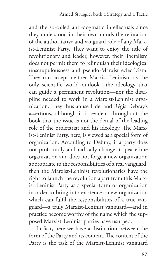and the so-called anti-dogmatic intellectuals since they understood in their own minds the refutation of the authoritative and vanguard role of any Marxist-Leninist Party. They want to enjoy the title of revolutionary and leader, however, their liberalism does not permit them to relinquish their ideological unscrupulousness and pseudo-Marxist eclecticism. They can accept neither Marxist-Leninism as the only scientific world outlook—the ideology that can guide a permanent revolution—nor the discipline needed to work in a Marxist-Leninist organization. They thus abuse Fidel and Régis Debray's assertions, although it is evident throughout the book that the issue is not the denial of the leading role of the proletariat and his ideology. The Marxist-Leninist Party, here, is viewed as a special form of organization. According to Debray, if a party does not profoundly and radically change its peacetime organization and does not forge a new organization appropriate to the responsibilities of a real vanguard, then the Marxist-Leninist revolutionaries have the right to launch the revolution apart from this Marxist-Leninist Party as a special form of organization in order to bring into existence a new organization which can fulfil the responsibilities of a true vanguard—a truly Marxist-Leninist vanguard—and in practice become worthy of the name which the supposed Marxist-Leninist parties have usurped.

In fact, here we have a distinction between the form of the Party and its content. The content of the Party is the task of the Marxist-Leninist vanguard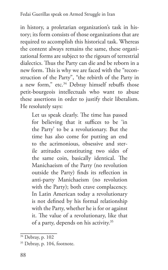in history, a proletarian organization's task in history; its form consists of those organizations that are required to accomplish this historical task. Whereas the content always remains the same, these organizational forms are subject to the rigours of terrestrial dialectics. Thus the Party can die and be reborn in a new form. This is why we are faced with the "reconstruction of the Party", "the rebirth of the Party in a new form," etc.<sup>34</sup> Debray himself rebuffs those petit-bourgeois intellectuals who want to abuse these assertions in order to justify their liberalism. He resolutely says:

Let us speak clearly. The time has passed for believing that it suffices to be 'in the Party' to be a revolutionary. But the time has also come for putting an end to the acrimonious, obsessive and sterile attitudes constituting two sides of the same coin, basically identical. The Manichaeism of the Party (no revolution outside the Party) finds its reflection in anti-party Manichaeism (no revolution with the Party); both crave complacency. In Latin American today a revolutionary is not defined by his formal relationship with the Party, whether he is for or against it. The value of a revolutionary, like that of a party, depends on his activity.<sup>35</sup>

<sup>&</sup>lt;sup>34</sup> Debray, p. 102

<sup>&</sup>lt;sup>35</sup> Debray, p. 104, footnote.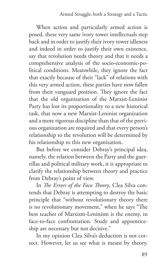When action and particularly armed action is posed, these very same ivory tower intellectuals step back and in order to justify their ivory tower idleness and indeed in order to justify their own existence, say that revolution needs theory and that it needs a comprehensive analysis of the socio-economic-political conditions. Meanwhile, they ignore the fact that exactly because of their "lack" of relations with this very armed action, these parties have now fallen from their vanguard position. They ignore the fact that the old organization of the Marxist-Leninist Party has lost its proportionality to a new historical task, that now a new Marxist-Leninist organization and a more rigorous discipline than that of the previous organization are required and that every person's relationship to the revolution will be determined by his relationship to this new organization.

But before we consider Debray's principal idea, namely, the relation between the Party and the guerrillas and political military work, it is appropriate to clarify the relationship between theory and practice from Debray's point of view.

In *The Errors of the Foco Theory*, Clea Silva contends that Debray is attempting to destroy the basic principle that "without revolutionary theory there is no revolutionary movement," when he says "The best teacher of Marxism-Leninism is the enemy, in face-to-face confrontation. Study and apprenticeship are necessary but not decisive."

In my opinion Clea Silva's deduction is not correct. However, let us see what is meant by theory.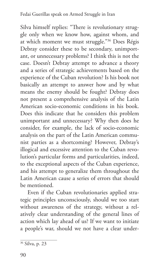Silva himself replies: "There is revolutionary struggle only when we know how, against whom, and at which moment we must struggle."36 Does Régis Debray consider these to be secondary, unimportant, or unnecessary problems? I think this is not the case. Doesn't Debray attempt to advance a theory and a series of strategic achievements based on the experience of the Cuban revolution? Is his book not basically an attempt to answer how and by what means the enemy should be fought? Debray does not present a comprehensive analysis of the Latin American socio-economic conditions in his book. Does this indicate that he considers this problem unimportant and unnecessary? Why then does he consider, for example, the lack of socio-economic analysis on the part of the Latin American communist parties as a shortcoming? However, Debray's illogical and excessive attention to the Cuban revolution's particular forms and particularities, indeed, to the exceptional aspects of the Cuban experience, and his attempt to generalize them throughout the Latin American cause a series of errors that should be mentioned.

Even if the Cuban revolutionaries applied strategic principles unconsciously, should we too start without awareness of the strategy, without a relatively clear understanding of the general lines of action which lay ahead of us? If we want to initiate a people's war, should we not have a clear under-

<sup>36</sup> Silva, p. 23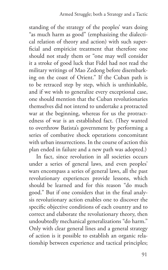standing of the strategy of the peoples' wars doing "as much harm as good" (emphasizing the dialectical relation of theory and action) with such superficial and empiricist treatment that therefore one should not study them or "one may well consider it a stroke of good luck that Fidel had not read the military writings of Mao Zedong before disembarking on the coast of Orient." If the Cuban path is to be retraced step by step, which is unthinkable, and if we wish to generalize every exceptional case, one should mention that the Cuban revolutionaries themselves did not intend to undertake a protracted war at the beginning, whereas for us the protractedness of war is an established fact. (They wanted to overthrow Batista's government by performing a series of combative shock operations concomitant with urban insurrections. In the course of action this plan ended in failure and a new path was adopted.)

In fact, since revolution in all societies occurs under a series of general laws, and even peoples' wars encompass a series of general laws, all the past revolutionary experiences provide lessons, which should be learned and for this reason "do much good." But if one considers that in the final analysis revolutionary action enables one to discover the specific objective conditions of each country and to correct and elaborate the revolutionary theory, then undoubtedly mechanical generalizations "do harm." Only with clear general lines and a general strategy of action is it possible to establish an organic relationship between experience and tactical principles;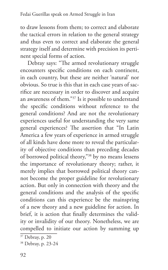to draw lessons from them; to correct and elaborate the tactical errors in relation to the general strategy and thus even to correct and elaborate the general strategy itself and determine with precision its pertinent special forms of action.

Debray says: "The armed revolutionary struggle encounters specific conditions on each continent, in each country, but these are neither 'natural' nor obvious. So true is this that in each case years of sacrifice are necessary in order to discover and acquire an awareness of them."37 Is it possible to understand the specific conditions without reference to the general conditions? And are not the revolutionary experiences useful for understanding the very same general experiences? The assertion that "In Latin America a few years of experience in armed struggle of all kinds have done more to reveal the particularity of objective conditions than preceding decades of borrowed political theory,"38 by no means lessens the importance of revolutionary theory; rather, it merely implies that borrowed political theory cannot become the proper guideline for revolutionary action. But only in connection with theory and the general conditions and the analysis of the specific conditions can this experience be the mainspring of a new theory and a new guideline for action. In brief, it is action that finally determines the validity or invalidity of our theory. Nonetheless, we are compelled to initiate our action by summing up

 $37$  Debray, p. 20

<sup>38</sup> Debray, p. 23-24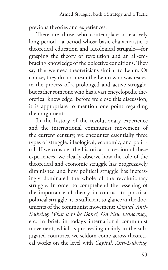previous theories and experiences.

There are those who contemplate a relatively long period—a period whose basic characteristic is theoretical education and ideological struggle—for grasping the theory of revolution and an all-embracing knowledge of the objective conditions. They say that we need theoreticians similar to Lenin. Of course, they do not mean the Lenin who was reared in the process of a prolonged and active struggle, but rather someone who has a vast encyclopedic theoretical knowledge. Before we close this discussion, it is appropriate to mention one point regarding their argument:

In the history of the revolutionary experience and the international communist movement of the current century, we encounter essentially three types of struggle: ideological, economic, and political. If we consider the historical succession of these experiences, we clearly observe how the role of the theoretical and economic struggle has progressively diminished and how political struggle has increasingly dominated the whole of the revolutionary struggle. In order to comprehend the lessening of the importance of theory in contrast to practical political struggle, it is sufficient to glance at the documents of the communist movement: *Capital, Anti-Duhring, What is to be Done?, On New Democracy*, etc. In brief, in today's international communist movement, which is proceeding mainly in the subjugated countries, we seldom come across theoretical works on the level with *Capital, Anti-Duhring,*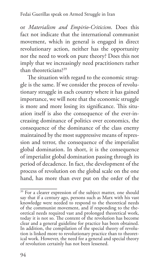or *Materialism and Empirio-Criticism*. Does this fact not indicate that the international communist movement, which in general is engaged in direct revolutionary action, neither has the opportunity nor the need to work on pure theory? Does this not imply that we increasingly need practitioners rather than theoreticians?39

The situation with regard to the economic struggle is the same. If we consider the process of revolutionary struggle in each country where it has gained importance, we will note that the economic struggle is more and more losing its significance. This situation itself is also the consequence of the ever-increasing dominance of politics over economics, the consequence of the dominance of the class enemy maintained by the most suppressive means of repression and terror, the consequence of the imperialist global domination. In short, it is the consequence of imperialist global domination passing through its period of decadence. In fact, the development of the process of revolution on the global scale on the one hand, has more than ever put on the order of the

<sup>&</sup>lt;sup>39</sup> For a clearer expression of the subject matter, one should say that if a century ago, persons such as Marx with his vast knowledge were needed to respond to the theoretical needs of the communist movement, and if responding to the theoretical needs required vast and prolonged theoretical work, today it is not so. The content of the revolution has become clear and a general guideline for practice has been obtained. In addition, the compilation of the special theory of revolution is linked more to revolutionary practice than to theoretical work. However, the need for a general and special theory of revolution certainly has not been lessened.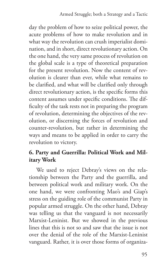day the problem of how to seize political power, the acute problems of how to make revolution and in what way the revolution can crush imperialist domination, and in short, direct revolutionary action. On the one hand, the very same process of revolution on the global scale is a type of theoretical preparation for the present revolution. Now the content of revolution is clearer than ever, while what remains to be clarified, and what will be clarified only through direct revolutionary action, is the specific forms this content assumes under specific conditions. The difficulty of the task rests not in preparing the program of revolution, determining the objectives of the revolution, or discerning the forces of revolution and counter-revolution, but rather in determining the ways and means to be applied in order to carry the revolution to victory.

## **6. Party and Guerrilla: Political Work and Military Work**

We used to reject Debray's views on the relationship between the Party and the guerrilla, and between political work and military work. On the one hand, we were confronting Mao's and Giap's stress on the guiding role of the communist Party in popular armed struggle. On the other hand, Debray was telling us that the vanguard is not necessarily Marxist-Leninist. But we showed in the previous lines that this is not so and saw that the issue is not over the denial of the role of the Marxist-Leninist vanguard. Rather, it is over those forms of organiza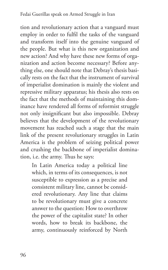tion and revolutionary action that a vanguard must employ in order to fulfil the tasks of the vanguard and transform itself into the genuine vanguard of the people. But what is this new organization and new action? And why have these new forms of organization and action become necessary? Before anything else, one should note that Debray's thesis basically rests on the fact that the instrument of survival of imperialist domination is mainly the violent and repressive military apparatus; his thesis also rests on the fact that the methods of maintaining this dominance have rendered all forms of reformist struggle not only insignificant but also impossible. Debray believes that the development of the revolutionary movement has reached such a stage that the main link of the present revolutionary struggles in Latin America is the problem of seizing political power and crushing the backbone of imperialist domination, i.e. the army. Thus he says:

In Latin America today a political line which, in terms of its consequences, is not susceptible to expression as a precise and consistent military line, cannot be considered revolutionary. Any line that claims to be revolutionary must give a concrete answer to the question: How to overthrow the power of the capitalist state? In other words, how to break its backbone, the army, continuously reinforced by North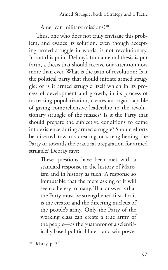American military missions?<sup>40</sup>

Thus, one who does not truly envisage this problem, and evades its solution, even though accepting armed struggle in words, is not revolutionary. It is at this point Debray's fundamental thesis is put forth, a thesis that should receive our attention now more than ever. What is the path of revolution? Is it the political party that should initiate armed struggle; or is it armed struggle itself which in its process of development and growth, in its process of increasing popularization, creates an organ capable of giving comprehensive leadership to the revolutionary struggle of the masses? Is it the Party that should prepare the subjective conditions to come into existence during armed struggle? Should efforts be directed towards creating or strengthening the Party or towards the practical preparation for armed struggle? Debray says:

These questions have been met with a standard response in the history of Marxism and in history as such: A response so immutable that the mere asking of it will seem a heresy to many. That answer is that the Party must be strengthened first, for it is the creator and the directing nucleus of the people's army. Only the Party of the working class can create a true army of the people—as the guarantor of a scientifically based political line—and win power

<sup>40</sup> Debray, p. 24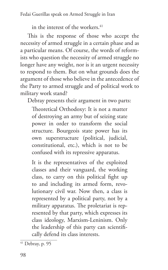in the interest of the workers.<sup>41</sup>

This is the response of those who accept the necessity of armed struggle in a certain phase and as a particular means. Of course, the words of reformists who question the necessity of armed struggle no longer have any weight, nor is it an urgent necessity to respond to them. But on what grounds does the argument of those who believe in the antecedence of the Party to armed struggle and of political work to military work stand?

Debray presents their argument in two parts:

Theoretical Orthodoxy: It is not a matter of destroying an army but of seizing state power in order to transform the social structure. Bourgeois state power has its own superstructure (political, judicial, constitutional, etc.), which is not to be confused with its repressive apparatus.

It is the representatives of the exploited classes and their vanguard, the working class, to carry on this political fight up to and including its armed form, revolutionary civil war. Now then, a class is represented by a political party, not by a military apparatus. The proletariat is represented by that party, which expresses its class ideology, Marxism-Leninism. Only the leadership of this party can scientifically defend its class interests.

 $41$  Debray, p. 95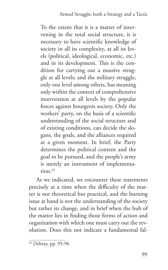To the extent that it is a matter of intervening in the total social structure, it is necessary to have scientific knowledge of society in all its complexity, at all its levels (political, ideological, economic, etc.) and in its development. This is the condition for carrying out a massive struggle at all levels; and the military struggle, only one level among others, has meaning only within the context of comprehensive intervention at all levels by the popular forces against bourgeois society. Only the workers' party, on the basis of a scientific understanding of the social structure and of existing conditions, can decide the slogans, the goals, and the alliances required at a given moment. In brief, the Party determines the political content and the goal to be pursued, and the people's army is merely an instrument of implementa $t$ ion<sup>42</sup>

As we indicated, we encounter these statements precisely at a time when the difficulty of the matter is not theoretical but practical, and the burning issue at hand is not the understanding of the society but rather its change, and in brief when the hub of the matter lies in finding those forms of action and organization with which one must carry out the revolution. Does this not indicate a fundamental fal-

 $42$  Debray, pp. 95-96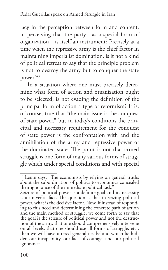lacy in the perception between form and content, in perceiving that the party—as a special form of organization—is itself an instrument? Precisely at a time when the repressive army is the chief factor in maintaining imperialist domination, is it not a kind of political retreat to say that the principle problem is not to destroy the army but to conquer the state power?<sup>43</sup>

In a situation where one must precisely determine what form of action and organization ought to be selected, is not evading the definition of the principal form of action a type of reformism? It is, of course, true that "the main issue is the conquest of state power," but in today's conditions the principal and necessary requirement for the conquest of state power is the confrontation with and the annihilation of the army and repressive power of the dominated state. The point is not that armed struggle is one form of many various forms of struggle which under special conditions and with special

<sup>43</sup> Lenin says: "The economists by relying on general truths about the subordination of politics to economics concealed their ignorance of the immediate political task."

Seizure of political power is a definite goal and its necessity is a universal fact. The question is that in seizing political power, what is the decisive factor. Now, if instead of responding to this need and determining the concrete path of action and the main method of struggle, we come forth to say that the goal is the seizure of political power and not the destruction of the army, that one should comprehensively intervene on all levels, that one should use all forms of struggle, etc., then we will have uttered generalities behind which lie hidden our incapability, our lack of courage, and our political ignorance.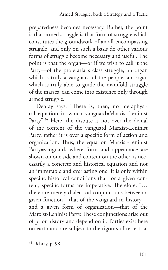preparedness becomes necessary. Rather, the point is that armed struggle is that form of struggle which constitutes the groundwork of an all-encompassing struggle, and only on such a basis do other various forms of struggle become necessary and useful. The point is that the organ—or if we wish to call it the Party—of the proletariat's class struggle, an organ which is truly a vanguard of the people, an organ which is truly able to guide the manifold struggle of the masses, can come into existence only through armed struggle.

Debray says: "There is, then, no metaphysical equation in which vanguard=Marxist-Leninist Party".<sup>44</sup> Here, the dispute is not over the denial of the content of the vanguard Marxist-Leninist Party, rather it is over a specific form of action and organization. Thus, the equation Marxist-Leninist Party=vanguard, where form and appearance are shown on one side and content on the other, is necessarily a concrete and historical equation and not an immutable and everlasting one. It is only within specific historical conditions that for a given content, specific forms are imperative. Therefore, "… there are merely dialectical conjunctions between a given function—that of the vanguard in history and a given form of organization—that of the Marxist-Leninist Party. These conjunctions arise out of prior history and depend on it. Parties exist here on earth and are subject to the rigours of terrestrial

 $44$  Debray, p. 98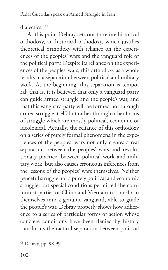dialectics."45

At this point Debray sets out to refute historical orthodoxy, an historical orthodoxy, which justifies theoretical orthodoxy with reliance on the experiences of the peoples' wars and the vanguard role of the political party. Despite its reliance on the experiences of the peoples' wars, this orthodoxy as a whole results in a separation between political and military work. At the beginning, this separation is temporal; that is, it is believed that only a vanguard party can guide armed struggle and the people's war, and that this vanguard party will be formed not through armed struggle itself, but rather through other forms of struggle which are mostly political, economic or ideological. Actually, the reliance of this orthodoxy on a series of purely formal phenomena in the experiences of the peoples' wars not only creates a real separation between the peoples' wars and revolutionary practice, between political work and military work, but also causes erroneous inferences from the lessons of the peoples' wars themselves. Neither peaceful struggle nor a purely political and economic struggle, but special conditions permitted the communist parties of China and Vietnam to transform themselves into a genuine vanguard, able to guide the people's war. Debray properly shows how adherence to a series of particular forms of action whose concrete conditions have been denied by history transforms the tactical separation between political

<sup>&</sup>lt;sup>45</sup> Debray, pp. 98-99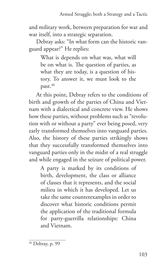and military work, between preparation for war and war itself, into a strategic separation.

Debray asks: "In what form can the historic vanguard appear?" He replies:

What is depends on what was, what will be on what is. The question of parties, as what they are today, is a question of history. To answer it, we must look to the past.46

At this point, Debray refers to the conditions of birth and growth of the parties of China and Vietnam with a dialectical and concrete view. He shows how these parties, without problems such as "revolution with or without a party" ever being posed, very early transformed themselves into vanguard parties. Also, the history of these parties strikingly shows that they successfully transformed themselves into vanguard parties only in the midst of a real struggle and while engaged in the seizure of political power.

A party is marked by its conditions of birth, development, the class or alliance of classes that it represents, and the social milieu in which it has developed. Let us take the same counterexamples in order to discover what historic conditions permit the application of the traditional formula for party-guerrilla relationships: China and Vietnam.

<sup>46</sup> Debray, p. 99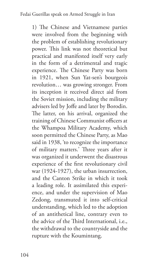1) The Chinese and Vietnamese parties were involved from the beginning with the problem of establishing revolutionary power. This link was not theoretical but practical and manifested itself very early in the form of a detrimental and tragic experience. The Chinese Party was born in 1921, when Sun Yat-sen's bourgeois revolution… was growing stronger. From its inception it received direct aid from the Soviet mission, including the military advisers led by Joffe and later by Borodin. The latter, on his arrival, organized the training of Chinese Communist officers at the Whampoa Military Academy, which soon permitted the Chinese Party, as Mao said in 1938, 'to recognize the importance of military matters.' Three years after it was organized it underwent the disastrous experience of the first revolutionary civil war (1924-1927), the urban insurrection, and the Canton Strike in which it took a leading role. It assimilated this experience, and under the supervision of Mao Zedong, transmuted it into self-critical understanding, which led to the adoption of an antithetical line, contrary even to the advice of the Third International, i.e., the withdrawal to the countryside and the rupture with the Koumintang.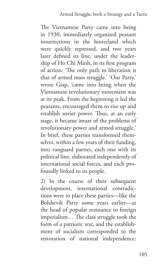The Vietnamese Party came into being in 1930, immediately organized peasant insurrections in the hinterland which were quickly repressed, and two years later defined its line, under the leadership of Ho Chi Minh, in its first program of action: 'The only path to liberation is that of armed mass struggle.' 'Our Party,' wrote Giap, 'came into being when the Vietnamese revolutionary movement was at its peak. From the beginning it led the peasants, encouraged them to rise up and establish soviet power. Thus, at an early stage, it became aware of the problems of revolutionary power and armed struggle.' In brief, these parties transformed themselves, within a few years of their funding, into vanguard parties, each one with its political line, elaborated independently of international social forces, and each profoundly linked to its people.

2) In the course of their subsequent development, international contradictions were to place these parties—like the Bolshevik Party some years earlier—at the head of popular resistance to foreign imperialism… The class struggle took the form of a patriotic war, and the establishment of socialism corresponded to the restoration of national independence: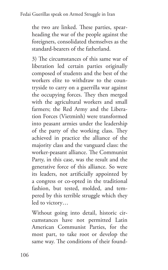the two are linked. These parties, spearheading the war of the people against the foreigners, consolidated themselves as the standard-bearers of the fatherland.

3) The circumstances of this same war of liberation led certain parties originally composed of students and the best of the workers elite to withdraw to the countryside to carry on a guerrilla war against the occupying forces. They then merged with the agricultural workers and small farmers; the Red Army and the Liberation Forces (Vietminh) were transformed into peasant armies under the leadership of the party of the working class. They achieved in practice the alliance of the majority class and the vanguard class: the worker-peasant alliance. The Communist Party, in this case, was the result and the generative force of this alliance. So were its leaders, not artificially appointed by a congress or co-opted in the traditional fashion, but tested, molded, and tempered by this terrible struggle which they led to victory…

Without going into detail, historic circumstances have not permitted Latin American Communist Parties, for the most part, to take root or develop the same way. The conditions of their found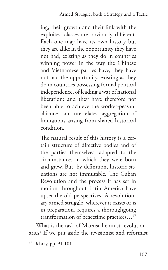ing, their growth and their link with the exploited classes are obviously different. Each one may have its own history but they are alike in the opportunity they have not had, existing as they do in countries winning power in the way the Chinese and Vietnamese parties have; they have not had the opportunity, existing as they do in countries possessing formal political independence, of leading a war of national liberation; and they have therefore not been able to achieve the worker-peasant alliance—an interrelated aggregation of limitations arising from shared historical condition.

The natural result of this history is a certain structure of directive bodies and of the parties themselves, adapted to the circumstances in which they were born and grew. But, by definition, historic situations are not immutable. The Cuban Revolution and the process it has set in motion throughout Latin America have upset the old perspectives. A revolutionary armed struggle, wherever it exists or is in preparation, requires a thoroughgoing transformation of peacetime practices…47

What is the task of Marxist-Leninist revolutionaries? If we put aside the revisionist and reformist

<sup>&</sup>lt;sup>47</sup> Debray, pp. 91-101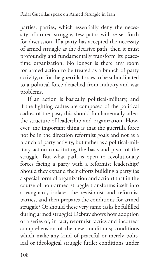parties, parties, which essentially deny the necessity of armed struggle, few paths will be set forth for discussion. If a party has accepted the necessity of armed struggle as the decisive path, then it must profoundly and fundamentally transform its peacetime organization. No longer is there any room for armed action to be treated as a branch of party activity, or for the guerrilla forces to be subordinated to a political force detached from military and war problems.

If an action is basically political-military, and if the fighting cadres are composed of the political cadres of the past, this should fundamentally affect the structure of leadership and organization. However, the important thing is that the guerrilla force not be in the direction reformist goals and not as a branch of party activity, but rather as a political-military action constituting the basis and pivot of the struggle. But what path is open to revolutionary forces facing a party with a reformist leadership? Should they expand their efforts building a party (as a special form of organization and action) that in the course of non-armed struggle transforms itself into a vanguard, isolates the revisionist and reformist parties, and then prepares the conditions for armed struggle? Or should these very same tasks be fulfilled during armed struggle? Debray shows how adoption of a series of, in fact, reformist tactics and incorrect comprehension of the new conditions; conditions which make any kind of peaceful or merely political or ideological struggle futile; conditions under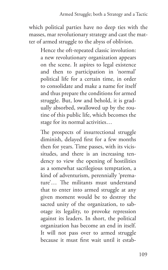which political parties have no deep ties with the masses, mar revolutionary strategy and cast the matter of armed struggle to the abyss of oblivion.

Hence the oft-repeated classic involution: a new revolutionary organization appears on the scene. It aspires to legal existence and then to participation in 'normal' political life for a certain time, in order to consolidate and make a name for itself and thus prepare the conditions for armed struggle. But, low and behold, it is gradually absorbed, swallowed up by the routine of this public life, which becomes the stage for its normal activities…

The prospects of insurrectional struggle diminish, delayed first for a few months then for years. Time passes, with its vicissitudes, and there is an increasing tendency to view the opening of hostilities as a somewhat sacrilegious temptation, a kind of adventurism, perennially 'premature'… The militants must understand that to enter into armed struggle at any given moment would be to destroy the sacred unity of the organization, to sabotage its legality, to provoke repression against its leaders. In short, the political organization has become an end in itself. It will not pass over to armed struggle because it must first wait until it estab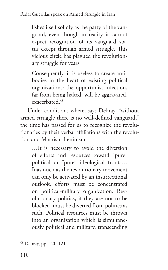lishes itself solidly as the party of the vanguard, even though in reality it cannot expect recognition of its vanguard status except through armed struggle. This vicious circle has plagued the revolutionary struggle for years.

Consequently, it is useless to create antibodies in the heart of existing political organizations: the opportunist infection, far from being halted, will be aggravated, exacerbated<sup>48</sup>

Under conditions where, says Debray, "without armed struggle there is no well-defined vanguard," the time has passed for us to recognize the revolutionaries by their verbal affiliations with the revolution and Marxism-Leninism.

…It is necessary to avoid the diversion of efforts and resources toward "pure" political or "pure" ideological fronts… Inasmuch as the revolutionary movement can only be activated by an insurrectional outlook, efforts must be concentrated on political-military organization. Revolutionary politics, if they are not to be blocked, must be diverted from politics as such. Political resources must be thrown into an organization which is simultaneously political and military, transcending

<sup>48</sup> Debray, pp. 120-121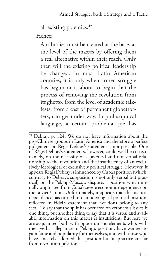all existing polemics.<sup>49</sup>

Hence:

Antibodies must be created at the base, at the level of the masses by offering them a real alternative within their reach. Only then will the existing political leadership be changed. In most Latin American counties, it is only when armed struggle has begun or is about to begin that the process of removing the revolution from its ghetto, from the level of academic talkfests, from a cast of permanent globetrotters, can get under way. In philosophical language, a certain problematique has

<sup>49</sup> Debray, p. 124; We do not have information about the pro-Chinese groups in Latin America and therefore a perfect judgement on Régis Debray's statement is not possible. One of Régis Debray's statements, however, could well be correct, namely, on the necessity of a practical and not verbal relationship to the revolution and the insufficiency of an exclusively ideological or exclusively political struggle. However, it appears Régis Debray is influenced by Cuba's position (which, contrary to Debray's supposition is not only verbal but prac-<br>tical) on the Peking-Moscow dispute, a position which initially originated from Cuba's severe economic dependence on the Soviet Union. Unfortunately, it appears that this tactical dependence has turned into an ideological political position, reflected in Fidel's statement that "we don't belong to any sect." To say that the split has occurred on erroneous issues is one thing, but another thing to say that it is verbal and avail- able information on this matter is insufficient. But here we are acquainted both with opportunistic elements who, with their verbal allegiance to Peking's position, have wanted to gain fame and popularity for themselves, and with those who have sincerely adopted this position but in practice are far from revolution position.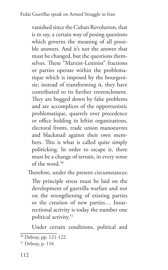vanished since the Cuban Revolution, that is to say, a certain way of posing questions which governs the meaning of all possible answers. And it's not the answer that must be changed, but the questions themselves. These "Marxist-Leninist" fractions or parties operate within the problematique which is imposed by the bourgeoisie; instead of transforming it, they have contributed to its further entrenchment. They are bogged down by false problems and are accomplices of the opportunistic problematique, quarrels over precedence or office holding in leftist organizations, electoral fronts, trade union manoeuvres and blackmail against their own members. This is what is called quite simply politicking. In order to escape it, there must be a change of terrain, in every sense of the word.50

Therefore, under the present circumstances: The principle stress must be laid on the development of guerrilla warfare and not on the strengthening of existing parties or the creation of new parties… Insurrectional activity is today the number one political activity.<sup>51</sup>

Under certain conditions, political and

<sup>&</sup>lt;sup>50</sup> Debray, pp. 121-122

<sup>51</sup> Debray, p. 116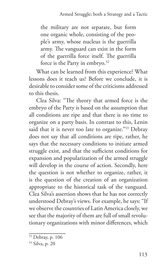the military are not separate, but form one organic whole, consisting of the people's army, whose nucleus is the guerrilla army. The vanguard can exist in the form of the guerrilla force itself. The guerrilla force is the Party in embryo.<sup>52</sup>

What can be learned from this experience? What lessons does it teach us? Before we conclude, it is desirable to consider some of the criticisms addressed to this thesis.

Clea Silva: "The theory that armed force is the embryo of the Party is based on the assumption that all conditions are ripe and that there is no time to organize on a party basis. In contrast to this, Lenin said that it is never too late to organize."53 Debray does not say that all conditions are ripe, rather, he says that the necessary conditions to initiate armed struggle exist, and that the sufficient conditions for expansion and popularization of the armed struggle will develop in the course of action. Secondly, here the question is not whether to organize, rather, it is the question of the creation of an organization appropriate to the historical task of the vanguard. Clea Silva's assertion shows that he has not correctly understood Debray's views. For example, he says: "If we observe the countries of Latin America closely, we see that the majority of them are full of small revolutionary organizations with minor differences, which

 $52$  Debray, p. 106

<sup>53</sup> Silva, p. 20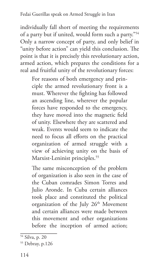individually fall short of meeting the requirements of a party but if united, would form such a party."54 Only a narrow concept of party, and only belief in "unity before action" can yield this conclusion. The point is that it is precisely this revolutionary action, armed action, which prepares the conditions for a real and fruitful unity of the revolutionary forces:

For reasons of both emergency and principle the armed revolutionary front is a must. Wherever the fighting has followed an ascending line, wherever the popular forces have responded to the emergency, they have moved into the magnetic field of unity. Elsewhere they are scattered and weak. Events would seem to indicate the need to focus all efforts on the practical organization of armed struggle with a view of achieving unity on the basis of Marxist-Leninist principles.<sup>55</sup>

The same misconception of the problem of organization is also seen in the case of the Cuban comrades Simon Torres and Julio Aronde. In Cuba certain alliances took place and constituted the political organization of the July 26<sup>th</sup> Movement and certain alliances were made between this movement and other organizations before the inception of armed action;

<sup>&</sup>lt;sup>54</sup> Silva, p. 20

<sup>55</sup> Debray, p.126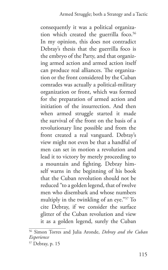consequently it was a political organization which created the guerrilla foco.<sup>56</sup> In my opinion, this does not contradict Debray's thesis that the guerrilla foco is the embryo of the Party, and that organizing armed action and armed action itself can produce real alliances. The organization or the front considered by the Cuban comrades was actually a political-military organization or front, which was formed for the preparation of armed action and initiation of the insurrection. And then when armed struggle started it made the survival of the front on the basis of a revolutionary line possible and from the front created a real vanguard. Debray's view might not even be that a handful of men can set in motion a revolution and lead it to victory by merely proceeding to a mountain and fighting. Debray himself warns in the beginning of his book that the Cuban revolution should not be reduced "to a golden legend, that of twelve men who disembark and whose numbers multiply in the twinkling of an eye."57 To cite Debray, if we consider the surface glitter of the Cuban revolution and view it as a golden legend, surely the Cuban

<sup>56</sup> Simon Torres and Julia Aronde, *Debray and the Cuban Experience*

<sup>57</sup> Debray, p. 15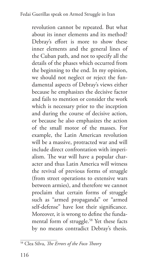revolution cannot be repeated. But what about its inner elements and its method? Debray's effort is more to show these inner elements and the general lines of the Cuban path, and not to specify all the details of the phases which occurred from the beginning to the end. In my opinion, we should not neglect or reject the fundamental aspects of Debray's views either because he emphasizes the decisive factor and fails to mention or consider the work which is necessary prior to the inception and during the course of decisive action, or because he also emphasizes the action of the small motor of the masses. For example, the Latin American revolution will be a massive, protracted war and will include direct confrontation with imperialism. The war will have a popular character and thus Latin America will witness the revival of previous forms of struggle (from street operations to extensive wars between armies), and therefore we cannot proclaim that certain forms of struggle such as "armed propaganda" or "armed self-defense" have lost their significance. Moreover, it is wrong to define the fundamental form of struggle.<sup>58</sup> Yet these facts by no means contradict Debray's thesis.

<sup>58</sup> Clea Silva, *The Errors of the Foco Theory*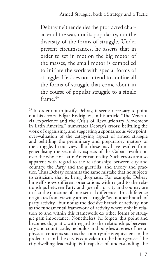Debray neither denies the protracted character of the war, nor its popularity, nor the diversity of the forms of struggle. Under present circumstances, he asserts that in order to set in motion the big motor of the masses, the small motor is compelled to initiate the work with special forms of struggle. He does not intend to confine all the forms of struggle that come about in the course of popular struggle to a single frame<sup>59</sup>

<sup>&</sup>lt;sup>59</sup> In order not to justify Debray, it seems necessary to point out his errors. Edgar Rodrigues, in his article "The Venezuela Experience and the Crisis of Revolutionary Movement in Latin America," numerates Debray's errors: belittling the work of organizing, and suggesting a spontaneous viewpoint; over-valuation of the catalysing aspect of armed struggle and belittling the preliminary and preparatory matters of the struggle. In our view all of these may have resulted from generalising the secondary aspects of the Cuban revolution over the whole of Latin American reality. Such errors are also apparent with regard to the relationships between city and country, the Party and the guerrilla, and theory and practice. Thus Debray commits the same mistake that he subjects to criticism, that is, being dogmatic. For example, Debray tionships between Party and guerrilla or city and country are in fact the outcome of an essential difference. This difference originates from viewing armed struggle "as another branch of party activity," but not as the decisive branch of activity, nor tion to and within this framework do other forms of strug-<br>gle gain importance. Nonetheless, he forgets this point and becomes dogmatic with regard to the relationships between city and countryside; he builds and polishes a series of metaphysical concepts such as the countryside is equivalent to the proletariat and the city is equivalent to the bourgeoisie. The city-dwelling leadership is incapable of understanding the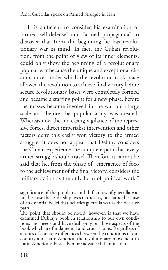It is sufficient to consider his examination of "armed self-defense" and "armed propaganda" to discover that from the beginning he has revolutionary war in mind. In fact, the Cuban revolution, from the point of view of its inner elements, could only show the beginning of a revolutionary popular war because the unique and exceptional circumstances under which the revolution took place allowed the revolution to achieve final victory before secure revolutionary bases were completely formed and became a starting point for a new phase, before the masses become involved in the war on a large scale and before the popular army was created. Whereas now the increasing vigilance of the repressive forces, direct imperialist intervention and other factors deny this easily won victory to the armed struggle. It does not appear that Debray considers the Cuban experience the complete path that every armed struggle should travel. Therefore, it cannot be said that he, from the phase of "emergence of foco to the achievement of the final victory, considers the military action as the only form of political work."

significance of the problems and difficulties of guerrilla war not because the leadership lives in the city, but rather because of an essential belief that belittles guerrilla war as the decisive path.

The point that should be noted, however, is that we have examined Debray's book in relationship to our own conditions and needs and have dealt only on those aspects of the book which are fundamental and crucial to us. Regardless of a series of concrete differences between the conditions of our country and Latin America, the revolutionary movement in Latin America is basically more advanced than in Iran.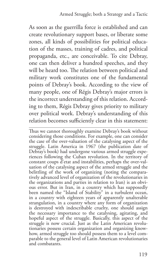As soon as the guerrilla force is established and can create revolutionary support bases, or liberate some zones, all kinds of possibilities for political education of the masses, training of cadres, and political propaganda, etc., are conceivable. To cite Debray, one can then deliver a hundred speeches, and they will be heard too. The relation between political and military work constitutes one of the fundamental points of Debray's book. According to the view of many people, one of Régis Debray's major errors is the incorrect understanding of this relation. According to them, Régis Debray gives priority to military over political work. Debray's understanding of this relation becomes sufficiently clear in this statement:

Thus we cannot thoroughly examine Debray's book without considering those conditions. For example, one can consider the case of the over-valuation of the catalysing aspect of the struggle. Latin America in 1967 (the publication date of Debray's book) had undergone various armed struggle experiences following the Cuban revolution. In the territory of constant coups d'etat and instabilities, perhaps the over-valuation of the catalysing aspect of the armed struggle and the belittling of the work of organizing (noting the comparatively advanced level of organization of the revolutionaries in the organizations and parties in relation to Iran) is an obvious error. But in Iran, in a country which has supposedly been named the "Island of Stability" in a turbulent ocean, in a country with eighteen years of apparently unalterable strangulation, in a country where any form of organization is destroyed with indescribable cruelty, one should assign the necessary importance to the catalysing, agitating, and hopeful aspect of the struggle. Basically, this aspect of the struggle is now crucial. Just as the Latin American revolutionaries possess certain organization and organizing knowhow, armed struggle too should possess them to a level comparable to the general level of Latin American revolutionaries and combatants.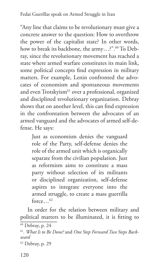"Any line that claims to be revolutionary must give a concrete answer to the question: How to overthrow the power of the capitalist state? In other words, how to break its backbone, the army...?".<sup>60</sup> To Debray, since the revolutionary movement has reached a state where armed warfare constitutes its main link, some political concepts find expression in military matters. For example, Lenin confronted the advocates of economism and spontaneous movements and even Trotskyism<sup>61</sup> over a professional, organized and disciplined revolutionary organization. Debray shows that on another level, this can find expression in the confrontation between the advocates of an armed vanguard and the advocates of armed self-defense. He says:

Just as economism denies the vanguard role of the Party, self-defense denies the role of the armed unit which is organically separate from the civilian population. Just as reformism aims to constitute a mass party without selection of its militants or disciplined organization, self-defense aspires to integrate everyone into the armed struggle, to create a mass guerrilla force<sub>162</sub>

In order for the relation between military and political matters to be illuminated, it is fitting to

62 Debray, p. 29

 $60$  Debray, p. 24

<sup>61.</sup> *What Is to Be Done?* and *One Step Forward Two Steps Backward*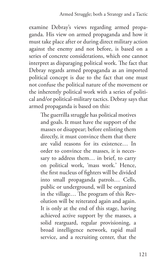examine Debray's views regarding armed propaganda. His view on armed propaganda and how it must take place after or during direct military action against the enemy and not before, is based on a series of concrete considerations, which one cannot interpret as disparaging political work. The fact that Debray regards armed propaganda as an imported political concept is due to the fact that one must not confuse the political nature of the movement or the inherently political work with a series of political and/or political-military tactics. Debray says that armed propaganda is based on this:

The guerrilla struggle has political motives and goals. It must have the support of the masses or disappear; before enlisting them directly, it must convince them that there are valid reasons for its existence… In order to convince the masses, it is necessary to address them… in brief, to carry on political work, 'mass work.' Hence, the first nucleus of fighters will be divided into small propaganda patrols… Cells, public or underground, will be organized in the village… The program of this Revolution will be reiterated again and again. It is only at the end of this stage, having achieved active support by the masses, a solid rearguard, regular provisioning, a broad intelligence network, rapid mail service, and a recruiting center, that the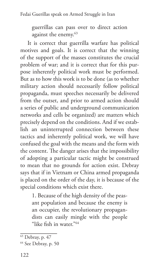guerrillas can pass over to direct action against the enemy.<sup>63</sup>

It is correct that guerrilla warfare has political motives and goals. It is correct that the winning of the support of the masses constitutes the crucial problem of war; and it is correct that for this purpose inherently political work must be performed. But as to how this work is to be done (as to whether military action should necessarily follow political propaganda, must speeches necessarily be delivered from the outset, and prior to armed action should a series of public and underground communication networks and cells be organized) are matters which precisely depend on the conditions. And if we establish an uninterrupted connection between these tactics and inherently political work, we will have confused the goal with the means and the form with the content. The danger arises that the impossibility of adopting a particular tactic might be construed to mean that no grounds for action exist. Debray says that if in Vietnam or China armed propaganda is placed on the order of the day, it is because of the special conditions which exist there.

1. Because of the high density of the peasant population and because the enemy is an occupier, the revolutionary propagandists can easily mingle with the people "like fish in water."64

<sup>63</sup> Debray, p. 47

<sup>64</sup> See Debray, p. 50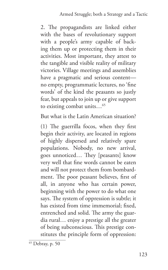2. The propagandists are linked either with the bases of revolutionary support with a people's army capable of backing them up or protecting them in their activities. Most important, they attest to the tangible and visible reality of military victories. Village meetings and assemblies have a pragmatic and serious content no empty, programmatic lectures, no 'fine words' of the kind the peasants so justly fear, but appeals to join up or give support to existing combat units…65

But what is the Latin American situation?

(1) The guerrilla focos, when they first begin their activity, are located in regions of highly dispersed and relatively spare populations. Nobody, no new arrival, goes unnoticed… They [peasants] know very well that fine words cannot be eaten and will not protect them from bombardment. The poor peasant believes, first of all, in anyone who has certain power, beginning with the power to do what one says. The system of oppression is subtle; it has existed from time immemorial; fixed, entrenched and solid. The army the guardia rural… enjoy a prestige all the greater of being subconscious. This prestige constitutes the principle form of oppression:

 $65$  Debray, p. 50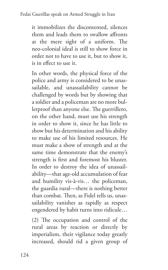it immobilizes the discontented, silences them and leads them to swallow affronts at the mere sight of a uniform. The neo-colonial ideal is still to show force in order not to have to use it, but to show it, is in effect to use it.

In other words, the physical force of the police and army is considered to be unassailable, and unassailability cannot be challenged by words but by showing that a soldier and a policeman are no more bulletproof than anyone else. The guerrillero, on the other hand, must use his strength in order to show it, since he has little to show but his determination and his ability to make use of his limited resources. He must make a show of strength and at the same time demonstrate that the enemy's strength is first and foremost his bluster. In order to destroy the idea of unassailability—that age-old accumulation of fear and humility vis-à-vis… the policeman, the guardia rural—there is nothing better than combat. Then, as Fidel tells us, unassailability vanishes as rapidly as respect engendered by habit turns into ridicule…

(2) The occupation and control of the rural areas by reaction or directly by imperialism, their vigilance today greatly increased, should rid a given group of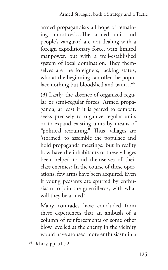armed propagandists all hope of remaining unnoticed…The armed unit and people's vanguard are not dealing with a foreign expeditionary force, with limited manpower, but with a well-established system of local domination. They themselves are the foreigners, lacking status, who at the beginning can offer the populace nothing but bloodshed and pain...<sup>66</sup>

(3) Lastly, the absence of organized regular or semi-regular forces. Armed propaganda, at least if it is geared to combat, seeks precisely to organize regular units or to expand existing units by means of "political recruiting." Thus, villages are 'stormed' to assemble the populace and hold propaganda meetings. But in reality how have the inhabitants of these villages been helped to rid themselves of their class enemies? In the course of these operations, few arms have been acquired. Even if young peasants are spurred by enthusiasm to join the guerrilleros, with what will they be armed?

Many comrades have concluded from these experiences that an ambush of a column of reinforcements or some other blow levelled at the enemy in the vicinity would have aroused more enthusiasm in a

<sup>66</sup> Debray, pp. 51-52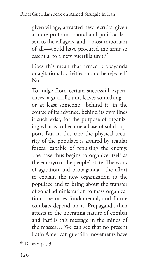given village, attracted new recruits, given a more profound moral and political lesson to the villagers, and—most important of all—would have procured the arms so essential to a new guerrilla unit.<sup>67</sup>

Does this mean that armed propaganda or agitational activities should be rejected? No.

To judge from certain successful experiences, a guerrilla unit leaves something or at least someone—behind it, in the course of its advance, behind its own lines if such exist, for the purpose of organizing what is to become a base of solid support. But in this case the physical security of the populace is assured by regular forces, capable of repulsing the enemy. The base thus begins to organize itself as the embryo of the people's state. The work of agitation and propaganda—the effort to explain the new organization to the populace and to bring about the transfer of zonal administration to mass organization—becomes fundamental, and future combats depend on it. Propaganda then attests to the liberating nature of combat and instills this message in the minds of the masses… We can see that no present Latin American guerrilla movements have

 $67$  Debray, p. 53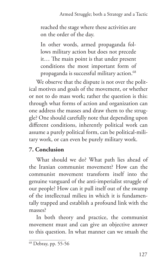reached the stage where these activities are on the order of the day.

In other words, armed propaganda follows military action but does not precede it… The main point is that under present conditions the most important form of propaganda is successful military action.<sup>68</sup>

We observe that the dispute is not over the political motives and goals of the movement, or whether or not to do mass work; rather the question is this: through what forms of action and organization can one address the masses and draw them to the struggle? One should carefully note that depending upon different conditions, inherently political work can assume a purely political form, can be political-military work, or can even be purely military work.

## **7. Conclusion**

What should we do? What path lies ahead of the Iranian communist movement? How can the communist movement transform itself into the genuine vanguard of the anti-imperialist struggle of our people? How can it pull itself out of the swamp of the intellectual milieu in which it is fundamentally trapped and establish a profound link with the masses?

In both theory and practice, the communist movement must and can give an objective answer to this question. In what manner can we smash the

<sup>&</sup>lt;sup>68</sup> Debray, pp. 55-56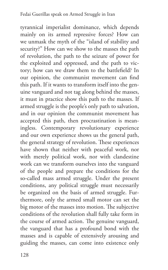tyrannical imperialist dominance, which depends mainly on its armed repressive forces? How can we unmask the myth of the "island of stability and security?" How can we show to the masses the path of revolution, the path to the seizure of power for the exploited and oppressed, and the path to victory; how can we draw them to the battlefield? In our opinion, the communist movement can find this path. If it wants to transform itself into the genuine vanguard and not tag along behind the masses, it must in practice show this path to the masses. If armed struggle is the people's only path to salvation, and in our opinion the communist movement has accepted this path, then procrastination is meaningless. Contemporary revolutionary experience and our own experience shows us the general path, the general strategy of revolution. These experiences have shown that neither with peaceful work, nor with merely political work, nor with clandestine work can we transform ourselves into the vanguard of the people and prepare the conditions for the so-called mass armed struggle. Under the present conditions, any political struggle must necessarily be organized on the basis of armed struggle. Furthermore, only the armed small motor can set the big motor of the masses into motion. The subjective conditions of the revolution shall fully take form in the course of armed action. The genuine vanguard, the vanguard that has a profound bond with the masses and is capable of extensively arousing and guiding the masses, can come into existence only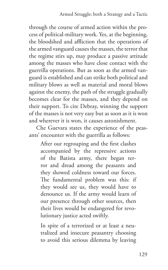through the course of armed action within the process of political-military work. Yes, at the beginning, the bloodshed and affliction that the operations of the armed vanguard causes the masses, the terror that the regime stirs up, may produce a passive attitude among the masses who have close contact with the guerrilla operations. But as soon as the armed vanguard is established and can strike both political and military blows as well as material and moral blows against the enemy, the path of the struggle gradually becomes clear for the masses, and they depend on their support. To cite Debray, winning the support of the masses is not very easy but as soon as it is won and wherever it is won, it causes astonishment.

Che Guevara states the experience of the peasants' encounter with the guerrilla as follows:

After our regrouping and the first clashes accompanied by the repressive actions of the Batista army, there began terror and dread among the peasants and they showed coldness toward our forces. The fundamental problem was this: if they would see us, they would have to denounce us. If the army would learn of our presence through other sources, then their lives would be endangered for revolutionary justice acted swiftly.

In spite of a terrorized or at least a neutralized and insecure peasantry choosing to avoid this serious dilemma by leaving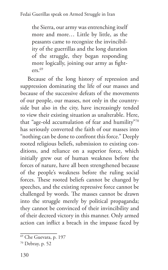the Sierra, our army was entrenching itself more and more… Little by little, as the peasants came to recognize the invincibility of the guerrillas and the long duration of the struggle, they began responding more logically, joining our army as fighters.69

Because of the long history of repression and suppression dominating the life of our masses and because of the successive defeats of the movements of our people, our masses, not only in the countryside but also in the city, have increasingly tended to view their existing situation as unalterable. Here, that "age-old accumulation of fear and humility"70 has seriously converted the faith of our masses into "nothing can be done to confront this force." Deeply rooted religious beliefs, submission to existing conditions, and reliance on a superior force, which initially grew out of human weakness before the forces of nature, have all been strengthened because of the people's weakness before the ruling social forces. These rooted beliefs cannot be changed by speeches, and the existing repressive force cannot be challenged by words. The masses cannot be drawn into the struggle merely by political propaganda; they cannot be convinced of their invincibility and of their decreed victory in this manner. Only armed action can inflict a breach in the impasse faced by

<sup>69</sup> Che Guevara, p. 197

<sup>70</sup> Debray, p. 52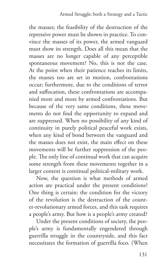the masses; the feasibility of the destruction of the repressive power must be shown in practice. To convince the masses of its power, the armed vanguard must show its strength. Does all this mean that the masses are no longer capable of any perceptible spontaneous movement? No, this is not the case. At the point when their patience reaches its limits, the masses too are set in motion, confrontations occur; furthermore, due to the conditions of terror and suffocation, these confrontations are accompanied more and more by armed confrontations. But because of the very same conditions, these movements do not find the opportunity to expand and are suppressed. When no possibility of any kind of continuity in purely political peaceful work exists, when any kind of bond between the vanguard and the masses does not exist, the main effect on these movements will be further suppression of the people. The only line of continual work that can acquire some strength from these movements together in a larger context is continual political-military work.

Now, the question is what methods of armed action are practical under the present conditions? One thing is certain: the condition for the victory of the revolution is the destruction of the counter-revolutionary armed forces, and this task requires a people's army. But how is a people's army created?

Under the present conditions of society, the people's army is fundamentally engendered through guerrilla struggle in the countryside, and this fact necessitates the formation of guerrilla foco. (When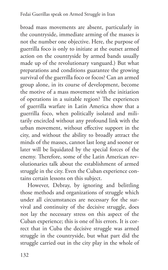broad mass movements are absent, particularly in the countryside, immediate arming of the masses is not the number one objective. Here, the purpose of guerrilla foco is only to initiate at the outset armed action on the countryside by armed bands usually made up of the revolutionary vanguard.) But what preparations and conditions guarantee the growing survival of the guerrilla foco or focos? Can an armed group alone, in its course of development, become the motive of a mass movement with the initiation of operations in a suitable region? The experiences of guerrilla warfare in Latin America show that a guerrilla foco, when politically isolated and militarily encircled without any profound link with the urban movement, without effective support in the city, and without the ability to broadly attract the minds of the masses, cannot last long and sooner or later will be liquidated by the special forces of the enemy. Therefore, some of the Latin American revolutionaries talk about the establishment of armed struggle in the city. Even the Cuban experience contains certain lessons on this subject.

However, Debray, by ignoring and belittling those methods and organizations of struggle which under all circumstances are necessary for the survival and continuity of the decisive struggle, does not lay the necessary stress on this aspect of the Cuban experience; this is one of his errors. It is correct that in Cuba the decisive struggle was armed struggle in the countryside, but what part did the struggle carried out in the city play in the whole of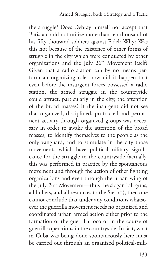the struggle? Does Debray himself not accept that Batista could not utilize more than ten thousand of his fifty thousand soldiers against Fidel? Why? Was this not because of the existence of other forms of struggle in the city which were conducted by other organizations and the July 26<sup>th</sup> Movement itself? Given that a radio station can by no means perform an organizing role, how did it happen that even before the insurgent forces possessed a radio station, the armed struggle in the countryside could attract, particularly in the city, the attention of the broad masses? If the insurgent did not see that organized, disciplined, protracted and permanent activity through organized groups was necessary in order to awake the attention of the broad masses, to identify themselves to the people as the only vanguard, and to stimulate in the city those movements which have political-military significance for the struggle in the countryside (actually, this was performed in practice by the spontaneous movement and through the action of other fighting organizations and even through the urban wing of the July 26<sup>th</sup> Movement—thus the slogan "all guns, all bullets, and all resources to the Sierra"), then one cannot conclude that under any conditions whatsoever the guerrilla movement needs no organized and coordinated urban armed action either prior to the formation of the guerrilla foco or in the course of guerrilla operations in the countryside. In fact, what in Cuba was being done spontaneously here must be carried out through an organized political-mili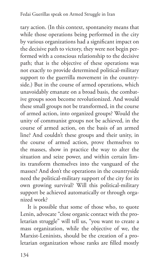tary action. (In this context, spontaneity means that while those operations being performed in the city by various organizations had a significant impact on the decisive path to victory, they were not begin performed with a conscious relationship to the decisive path; that is the objective of these operations was not exactly to provide determined political-military support to the guerrilla movement in the countryside.) But in the course of armed operations, which unavoidably emanate on a broad basis, the combative groups soon become revolutionized. And would these small groups not be transformed, in the course of armed action, into organized groups? Would the unity of communist groups not be achieved, in the course of armed action, on the basis of an armed line? And couldn't these groups and their unity, in the course of armed action, prove themselves to the masses, show in practice the way to alter the situation and seize power, and within certain limits transform themselves into the vanguard of the masses? And don't the operations in the countryside need the political-military support of the city for its own growing survival? Will this political-military support be achieved automatically or through organized work?

It is possible that some of those who, to quote Lenin, advocate "close organic contact with the proletarian struggle" will tell us, "you want to create a mass organization, while the objective of we, the Marxist-Leninists, should be the creation of a proletarian organization whose ranks are filled mostly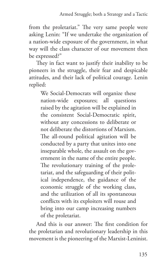from the proletariat." The very same people were asking Lenin: "If we undertake the organization of a nation-wide exposure of the government, in what way will the class character of our movement then be expressed?"

They in fact want to justify their inability to be pioneers in the struggle, their fear and despicable attitudes, and their lack of political courage. Lenin replied:

We Social-Democrats will organize these nation-wide exposures; all questions raised by the agitation will be explained in the consistent Social-Democratic spirit, without any concessions to deliberate or not deliberate the distortions of Marxism. The all-round political agitation will be conducted by a party that unites into one inseparable whole, the assault on the government in the name of the entire people. The revolutionary training of the proletariat, and the safeguarding of their political independence, the guidance of the economic struggle of the working class, and the utilization of all its spontaneous conflicts with its exploiters will rouse and bring into our camp increasing numbers of the proletariat.

And this is our answer: The first condition for the proletarian and revolutionary leadership in this movement is the pioneering of the Marxist-Leninist.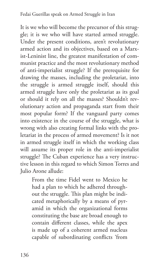It is we who will become the precursor of this struggle; it is we who will have started armed struggle. Under the present conditions, aren't revolutionary armed action and its objectives, based on a Marxist-Leninist line, the greatest manifestation of communist practice and the most revolutionary method of anti-imperialist struggle? If the prerequisite for drawing the masses, including the proletariat, into the struggle is armed struggle itself, should this armed struggle have only the proletariat as its goal or should it rely on all the masses? Shouldn't revolutionary action and propaganda start from their most popular form? If the vanguard party comes into existence in the course of the struggle, what is wrong with also creating formal links with the proletariat in the process of armed movement? Is it not in armed struggle itself in which the working class will assume its proper role in the anti-imperialist struggle? The Cuban experience has a very instructive lesson in this regard to which Simon Torres and Julio Arone allude:

From the time Fidel went to Mexico he had a plan to which he adhered throughout the struggle. This plan might be indicated metaphorically by a means of pyramid in which the organizational forms constituting the base are broad enough to contain different classes, while the apex is made up of a coherent armed nucleus capable of subordinating conflicts 'from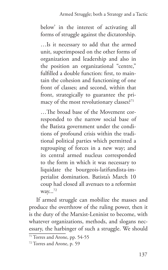below' in the interest of activating all forms of struggle against the dictatorship.

…Is it necessary to add that the armed unit, superimposed on the other forms of organization and leadership and also in the position an organizational "centre," fulfilled a double function: first, to maintain the cohesion and functioning of one front of classes; and second, within that front, strategically to guarantee the primacy of the most revolutionary classes?<sup>71</sup>

…The broad base of the Movement corresponded to the narrow social base of the Batista government under the conditions of profound crisis within the traditional political parties which permitted a regrouping of forces in a new way; and its central armed nucleus corresponded to the form in which it was necessary to liquidate the bourgeois-latifundista-imperialist domination. Batista's March 10 coup had closed all avenues to a reformist way...72

If armed struggle can mobilize the masses and produce the overthrow of the ruling power, then it is the duty of the Marxist-Leninist to become, with whatever organizations, methods, and slogans necessary, the harbinger of such a struggle. We should

 $\frac{71}{71}$ Torres and Arone, pp. 54-55

<sup>72</sup> Torres and Arone, p. 59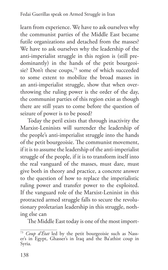learn from experience. We have to ask ourselves why the communist parties of the Middle East became futile organizations and detached from the masses? We have to ask ourselves why the leadership of the anti-imperialist struggle in this region is (still predominantly) in the hands of the petit bourgeoisie? Don't these coups,<sup>73</sup> some of which succeeded to some extent to mobilize the broad masses in an anti-imperialist struggle, show that when overthrowing the ruling power is the order of the day, the communist parties of this region exist as though there are still years to come before the question of seizure of power is to be posed?

Today the peril exists that through inactivity the Marxist-Leninists will surrender the leadership of the people's anti-imperialist struggle into the hands of the petit bourgeoisie. The communist movement, if it is to assume the leadership of the anti-imperialist struggle of the people, if it is to transform itself into the real vanguard of the masses, must dare, must give both in theory and practice, a concrete answer to the question of how to replace the imperialistic ruling power and transfer power to the exploited. If the vanguard role of the Marxist-Leninist in this protracted armed struggle falls to secure the revolutionary proletarian leadership in this struggle, nothing else can

The Middle East today is one of the most import-

<sup>73</sup> *Coup d'État* led by the petit bourgeoisie such as Nass- er's in Egypt, Ghasser's in Iraq and the Ba'athist coup in Syria.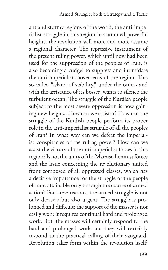ant and stormy regions of the world; the anti-imperialist struggle in this region has attained powerful heights; the revolution will more and more assume a regional character. The repressive instrument of the present ruling power, which until now had been used for the suppression of the peoples of Iran, is also becoming a cudgel to suppress and intimidate the anti-imperialist movements of the region. This so-called "island of stability," under the orders and with the assistance of its bosses, wants to silence the turbulent ocean. The struggle of the Kurdish people subject to the most severe oppression is now gaining new heights. How can we assist it? How can the struggle of the Kurdish people perform its proper role in the anti-imperialist struggle of all the peoples of Iran? In what way can we defeat the imperialist conspiracies of the ruling power? How can we assist the victory of the anti-imperialist forces in this region? Is not the unity of the Marxist-Leninist forces and the issue concerning the revolutionary united front composed of all oppressed classes, which has a decisive importance for the struggle of the people of Iran, attainable only through the course of armed action? For these reasons, the armed struggle is not only decisive but also urgent. The struggle is prolonged and difficult; the support of the masses is not easily won; it requires continual hard and prolonged work. But, the masses will certainly respond to the hard and prolonged work and they will certainly respond to the practical calling of their vanguard. Revolution takes form within the revolution itself;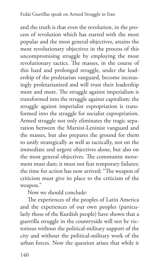and the truth is that even the revolution, in the process of revolution which has started with the most popular and the most general objectives, attains the most revolutionary objectives in the process of this uncompromising struggle by employing the most revolutionary tactics. The masses, in the course of this hard and prolonged struggle, under the leadership of the proletarian vanguard, become increasingly proletarianized and will trust their leadership more and more. The struggle against imperialism is transformed into the struggle against capitalism; the struggle against imperialist expropriation is transformed into the struggle for socialist expropriation. Armed struggle not only eliminates the tragic separation between the Marxist-Leninist vanguard and the masses, but also prepares the ground for them to unify strategically as well as tactically, not on the immediate and urgent objectives alone, but also on the most general objectives. The communist movement must dare; it must not fear temporary failures; the time for action has now arrived; "The weapon of criticism must give its place to the criticism of the weapon."

Now we should conclude:

The experiences of the peoples of Latin America and the experiences of our own peoples (particularly those of the Kurdish people) have shown that a guerrilla struggle in the countryside will not be victorious without the political-military support of the city and without the political-military work of the urban forces. Now the question arises that while it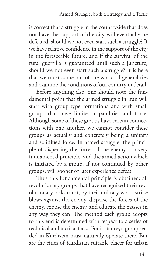is correct that a struggle in the countryside that does not have the support of the city will eventually be defeated, should we not even start such a struggle? If we have relative confidence in the support of the city in the foreseeable future, and if the survival of the rural guerrilla is guaranteed until such a juncture, should we not even start such a struggle? It is here that we must come out of the world of generalities and examine the conditions of our country in detail.

Before anything else, one should note the fundamental point that the armed struggle in Iran will start with group-type formations and with small groups that have limited capabilities and force. Although some of these groups have certain connections with one another, we cannot consider these groups as actually and concretely being a unitary and solidified force. In armed struggle, the principle of dispersing the forces of the enemy is a very fundamental principle, and the armed action which is initiated by a group, if not continued by other groups, will sooner or later experience defeat.

Thus this fundamental principle is obtained: all revolutionary groups that have recognized their revolutionary tasks must, by their military work, strike blows against the enemy, disperse the forces of the enemy, expose the enemy, and educate the masses in any way they can. The method each group adopts to this end is determined with respect to a series of technical and tactical facts. For instance, a group settled in Kurdistan must naturally operate there. But are the cities of Kurdistan suitable places for urban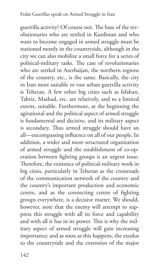guerrilla activity? Of course not. The base of the revolutionaries who are settled in Kurdistan and who want to become engaged in armed struggle must be stationed mostly in the countryside, although in the city we can also mobilize a small force for a series of political-military tasks. The case of revolutionaries who are settled in Azerbaijan, the northern regions of the country, etc., is the same. Basically, the city in Iran most suitable to vast urban guerrilla activity is Teheran. A few other big cities such as Isfahan, Tabriz, Mashad, etc. are relatively, and to a limited extent, suitable. Furthermore, at the beginning the agitational and the political aspect of armed struggle is fundamental and decisive, and its military aspect is secondary. Thus armed struggle should have an all—encompassing influence on all of our people. In addition, a wider and more structured organization of armed struggle and the establishment of co-operation between fighting groups is an urgent issue. Therefore, the existence of political-military work in big cities, particularly in Teheran as the crossroads of the communication network of the country and the country's important production and economic centre, and as the connecting centre of fighting groups everywhere, is a decisive matter. We should, however, note that the enemy will attempt to suppress this struggle with all its force and capability and with all it has in its power. This is why the military aspect of armed struggle will gain increasing importance; and as soon as this happens, the exodus to the countryside and the extension of the major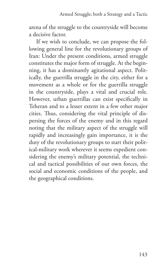arena of the struggle to the countryside will become a decisive factor.

If we wish to conclude, we can propose the following general line for the revolutionary groups of Iran: Under the present conditions, armed struggle constitutes the major form of struggle. At the beginning, it has a dominantly agitational aspect. Politically, the guerrilla struggle in the city, either for a movement as a whole or for the guerrilla struggle in the countryside, plays a vital and crucial role. However, urban guerrillas can exist specifically in Teheran and to a lesser extent in a few other major cities. Thus, considering the vital principle of dispersing the forces of the enemy and in this regard noting that the military aspect of the struggle will rapidly and increasingly gain importance, it is the duty of the revolutionary groups to start their political-military work wherever it seems expedient considering the enemy's military potential, the technical and tactical possibilities of our own forces, the social and economic conditions of the people, and the geographical conditions.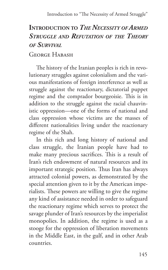# **Introduction to** *The Necessity of Armed Struggle and Refutation of the Theory of Survival*

### George Habash

The history of the Iranian peoples is rich in revolutionary struggles against colonialism and the various manifestations of foreign interference as well as struggle against the reactionary, dictatorial puppet regime and the comprador bourgeoisie. This is in addition to the struggle against the racial chauvinistic oppression—one of the forms of national and class oppression whose victims are the masses of different nationalities living under the reactionary regime of the Shah.

In this rich and long history of national and class struggle, the Iranian people have had to make many precious sacrifices. This is a result of Iran's rich endowment of natural resources and its important strategic position. Thus Iran has always attracted colonial powers, as demonstrated by the special attention given to it by the American imperialists. These powers are willing to give the regime any kind of assistance needed in order to safeguard the reactionary regime which serves to protect the savage plunder of Iran's resources by the imperialist monopolies. In addition, the regime is used as a stooge for the oppression of liberation movements in the Middle East, in the gulf, and in other Arab countries.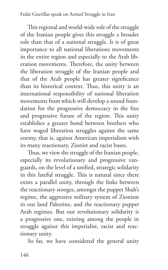This regional and world-wide role of the struggle of the Iranian people gives this struggle a broader role than that of a national struggle. It is of great importance to all national liberations movements in the entire region and especially to the Arab liberation movements. Therefore, the unity between the liberation struggle of the Iranian people and that of the Arab people has greater significance than its historical context. Thus, this unity is an international responsibility of national liberation movements from which will develop a sound foundation for the progressive democracy in the free and progressive future of the region. This unity establishes a greater bond between brothers who have waged liberation struggles against the same enemy, that is, against American imperialism with its many reactionary, Zionist and racist bases.

Thus, we view the struggle of the Iranian people, especially its revolutionary and progressive vanguards, on the level of a unified, strategic solidarity in this fateful struggle. This is natural since there exists a parallel unity, through the links between the reactionary stooges, amongst the puppet Shah's regime, the aggressive military system of Zionism in our land Palestine, and the reactionary puppet Arab regimes. But our revolutionary solidarity is a progressive one, existing among the people in struggle against this imperialist, racist and reactionary unity.

So far, we have considered the general unity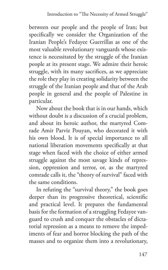between our people and the people of Iran; but specifically we consider the Organization of the Iranian People's Fedayee Guerrillas as one of the most valuable revolutionary vanguards whose existence is necessitated by the struggle of the Iranian people at its present stage. We admire their heroic struggle, with its many sacrifices, as we appreciate the role they play in creating solidarity between the struggle of the Iranian people and that of the Arab people in general and the people of Palestine in particular.

Now about the book that is in our hands, which without doubt is a discussion of a crucial problem, and about its heroic author, the martyred Comrade Amir Parviz Pouyan, who decorated it with his own blood. It is of special importance to all national liberation movements specifically at that stage when faced with the choice of either armed struggle against the most savage kinds of repression, oppression and terror, or, as the martyred comrade calls it, the "theory of survival" faced with the same conditions.

In refuting the "survival theory," the book goes deeper than its progressive theoretical, scientific and practical level. It prepares the fundamental basis for the formation of a struggling Fedayee vanguard to crush and conquer the obstacles of dictatorial repression as a means to remove the impediments of fear and horror blocking the path of the masses and to organize them into a revolutionary,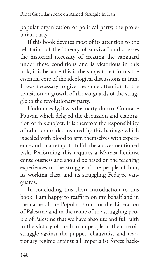popular organization or political party, the proletarian party.

If this book devotes most of its attention to the refutation of the "theory of survival" and stresses the historical necessity of creating the vanguard under these conditions and is victorious in this task, it is because this is the subject that forms the essential core of the ideological discussions in Iran. It was necessary to give the same attention to the transition or growth of the vanguards of the struggle to the revolutionary party.

Undoubtedly, it was the martyrdom of Comrade Pouyan which delayed the discussion and elaboration of this subject. It is therefore the responsibility of other comrades inspired by this heritage which is sealed with blood to arm themselves with experience and to attempt to fulfill the above-mentioned task. Performing this requires a Marxist-Leninist consciousness and should be based on the teaching experiences of the struggle of the people of Iran, its working class, and its struggling Fedayee vanguards.

In concluding this short introduction to this book, I am happy to reaffirm on my behalf and in the name of the Popular Front for the Liberation of Palestine and in the name of the struggling people of Palestine that we have absolute and full faith in the victory of the Iranian people in their heroic struggle against the puppet, chauvinist and reactionary regime against all imperialist forces back-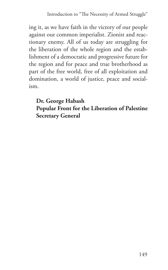ing it, as we have faith in the victory of our people against our common imperialist. Zionist and reactionary enemy. All of us today are struggling for the liberation of the whole region and the establishment of a democratic and progressive future for the region and for peace and true brotherhood as part of the free world, free of all exploitation and domination, a world of justice, peace and socialism.

## **Dr. George Habash Popular Front for the Liberation of Palestine Secretary General**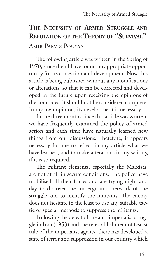## **The Necessity of Armed Struggle and Refutation of the Theory of "Survival"** Amir Parviz Pouyan

The following article was written in the Spring of 1970; since then I have found no appropriate opportunity for its correction and development. Now this article is being published without any modifications or alterations, so that it can be corrected and developed in the future upon receiving the opinions of the comrades. It should not be considered complete. In my own opinion, its development is necessary.

In the three months since this article was written, we have frequently examined the policy of armed action and each time have naturally learned new things from our discussions. Therefore, it appears necessary for me to reflect in my article what we have learned, and to make alterations in my writing if it is so required.

The militant elements, especially the Marxists, are not at all in secure conditions. The police have mobilised all their forces and are trying night and day to discover the underground network of the struggle and to identify the militants. The enemy does not hesitate in the least to use any suitable tactic or special methods to suppress the militants.

Following the defeat of the anti-imperialist struggle in Iran (1953) and the re-establishment of fascist rule of the imperialist agents, there has developed a state of terror and suppression in our country which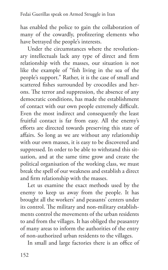has enabled the police to gain the collaboration of many of the cowardly, profiteering elements who have betrayed the people's interests.

Under the circumstances where the revolutionary intellectuals lack any type of direct and firm relationship with the masses, our situation is not like the example of "fish living in the sea of the people's support." Rather, it is the case of small and scattered fishes surrounded by crocodiles and herons. The terror and suppression, the absence of any democratic conditions, has made the establishment of contact with our own people extremely difficult. Even the most indirect and consequently the least fruitful contact is far from easy. All the enemy's efforts are directed towards preserving this state of affairs. So long as we are without any relationship with our own masses, it is easy to be discovered and suppressed. In order to be able to withstand this situation, and at the same time grow and create the political organisation of the working class, we must break the spell of our weakness and establish a direct and firm relationship with the masses.

Let us examine the exact methods used by the enemy to keep us away from the people. It has brought all the workers' and peasants' centers under its control. The military and non-military establishments control the movements of the urban residents to and from the villages. It has obliged the peasantry of many areas to inform the authorities of the entry of non-authorized urban residents to the villages.

In small and large factories there is an office of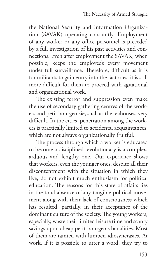the National Security and Information Organization (SAVAK) operating constantly. Employment of any worker or any office personnel is preceded by a full investigation of his past activities and connections. Even after employment the SAVAK, when possible, keeps the employee's every movement under full surveillance. Therefore, difficult as it is for militants to gain entry into the factories, it is still more difficult for them to proceed with agitational and organizational work.

The existing terror and suppression even make the use of secondary gathering centres of the workers and petit bourgeoisie, such as the teahouses, very difficult. In the cities, penetration among the workers is practically limited to accidental acquaintances, which are not always organizationally fruitful.

The process through which a worker is educated to become a disciplined revolutionary is a complex, arduous and lengthy one. Our experience shows that workers, even the younger ones, despite all their discontentment with the situation in which they live, do not exhibit much enthusiasm for political education. The reasons for this state of affairs lies in the total absence of any tangible political movement along with their lack of consciousness which has resulted, partially, in their acceptance of the dominant culture of the society. The young workers, especially, waste their limited leisure time and scanty savings upon cheap petit-bourgeois banalities. Most of them are tainted with lumpen idiosyncrasies. At work, if it is possible to utter a word, they try to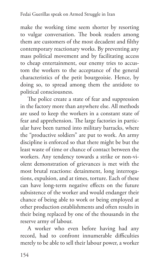make the working time seem shorter by resorting to vulgar conversation. The book readers among them are customers of the most decadent and filthy contemporary reactionary works. By preventing any mass political movement and by facilitating access to cheap entertainment, our enemy tries to accustom the workers to the acceptance of the general characteristics of the petit bourgeoisie. Hence, by doing so, to spread among them the antidote to political consciousness.

The police create a state of fear and suppression in the factory more than anywhere else. All methods are used to keep the workers in a constant state of fear and apprehension. The large factories in particular have been turned into military barracks, where the "productive soldiers" are put to work. An army discipline is enforced so that there might be but the least waste of time or chance of contact between the workers. Any tendency towards a strike or non-violent demonstration of grievances is met with the most brutal reactions: detainment, long interrogations, expulsion, and at times, torture. Each of these can have long-term negative effects on the future subsistence of the worker and would endanger their chance of being able to work or being employed at other production establishments and often results in their being replaced by one of the thousands in the reserve army of labour.

A worker who even before having had any record, had to confront innumerable difficulties merely to be able to sell their labour power, a worker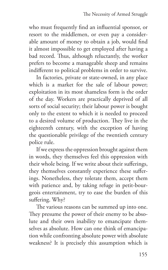who must frequently find an influential sponsor, or resort to the middlemen, or even pay a considerable amount of money to obtain a job, would find it almost impossible to get employed after having a bad record. Thus, although reluctantly, the worker prefers to become a manageable sheep and remains indifferent to political problems in order to survive.

In factories, private or state-owned, in any place which is a market for the sale of labour power; exploitation in its most shameless form is the order of the day. Workers are practically deprived of all sorts of social security; their labour power is bought only to the extent to which it is needed to proceed to a desired volume of production. They live in the eighteenth century, with the exception of having the questionable privilege of the twentieth century police rule.

If we express the oppression brought against them in words, they themselves feel this oppression with their whole being. If we write about their sufferings, they themselves constantly experience these sufferings. Nonetheless, they tolerate them, accept them with patience and, by taking refuge in petit-bourgeois entertainment, try to ease the burden of this suffering. Why?

The various reasons can be summed up into one. They presume the power of their enemy to be absolute and their own inability to emancipate themselves as absolute. How can one think of emancipation while confronting absolute power with absolute weakness? It is precisely this assumption which is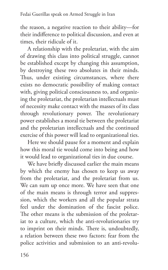the reason, a negative reaction to their ability—for their indifference to political discussion, and even at times, their ridicule of it.

A relationship with the proletariat, with the aim of drawing this class into political struggle, cannot be established except by changing this assumption, by destroying these two absolutes in their minds. Thus, under existing circumstances, where there exists no democratic possibility of making contact with, giving political consciousness to, and organizing the proletariat, the proletarian intellectuals must of necessity make contact with the masses of its class through revolutionary power. The revolutionary power establishes a moral tie between the proletariat and the proletarian intellectuals and the continued exercise of this power will lead to organizational ties.

Here we should pause for a moment and explain how this moral tie would come into being and how it would lead to organizational ties in due course.

We have briefly discussed earlier the main means by which the enemy has chosen to keep us away from the proletariat, and the proletariat from us. We can sum up once more. We have seen that one of the main means is through terror and suppression, which the workers and all the popular strata feel under the domination of the fascist police. The other means is the submission of the proletariat to a culture, which the anti-revolutionaries try to imprint on their minds. There is, undoubtedly, a relation between these two factors: fear from the police activities and submission to an anti-revolu-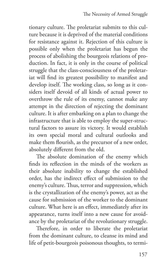tionary culture. The proletariat submits to this culture because it is deprived of the material conditions for resistance against it. Rejection of this culture is possible only when the proletariat has begun the process of abolishing the bourgeois relations of production. In fact, it is only in the course of political struggle that the class-consciousness of the proletariat will find its greatest possibility to manifest and develop itself. The working class, so long as it considers itself devoid of all kinds of actual power to overthrow the rule of its enemy, cannot make any attempt in the direction of rejecting the dominant culture. It is after embarking on a plan to change the infrastructure that is able to employ the super-structural factors to assure its victory. It would establish its own special moral and cultural outlooks and make them flourish, as the precursor of a new order, absolutely different from the old.

The absolute domination of the enemy which finds its reflection in the minds of the workers as their absolute inability to change the established order, has the indirect effect of submission to the enemy's culture. Thus, terror and suppression, which is the crystallization of the enemy's power, act as the cause for submission of the worker to the dominant culture. What here is an effect, immediately after its appearance, turns itself into a new cause for avoidance by the proletariat of the revolutionary struggle.

Therefore, in order to liberate the proletariat from the dominant culture, to cleanse its mind and life of petit-bourgeois poisonous thoughts, to termi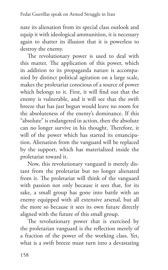nate its alienation from its special class outlook and equip it with ideological ammunition, it is necessary again to shatter its illusion that it is powerless to destroy the enemy.

The revolutionary power is used to deal with this matter. The application of this power, which in addition to its propaganda nature is accompanied by distinct political agitation on a large scale, makes the proletariat conscious of a source of power which belongs to it. First, it will find out that the enemy is vulnerable, and it will see that the swift breeze that has just begun would leave no room for the absoluteness of the enemy's dominance. If this "absolute" is endangered in action, then the absolute can no longer survive in his thought. Therefore, it will of the power which has started its emancipation. Alienation from the vanguard will be replaced by the support, which has materialized inside the proletariat toward it.

Now, this revolutionary vanguard is merely distant from the proletariat but no longer alienated from it. The proletariat will think of the vanguard with passion not only because it sees that, for its sake, a small group has gone into battle with an enemy equipped with all extensive arsenal, but all the more so because it sees its own future directly aligned with the future of this small group.

The revolutionary power that is exercised by the proletarian vanguard is the reflection merely of a fraction of the power of the working class. Yet, what is a swift breeze must turn into a devastating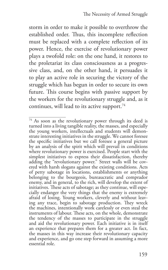storm in order to make it possible to overthrow the established order. Thus, this incomplete reflection must be replaced with a complete reflection of its power. Hence, the exercise of revolutionary power plays a twofold role: on the one hand, it restores to the proletariat its class consciousness as a progressive class, and, on the other hand, it persuades it to play an active role in securing the victory of the struggle which has begun in order to secure its own future. This course begins with passive support by the workers for the revolutionary struggle and, as it continues, will lead to its active support.<sup>74</sup>

<sup>74</sup> As soon as the revolutionary power through its deed is turned into a living tangible reality, the masses, and especially the young workers, intellectuals and students will demonstrate interesting initiatives in the struggle. We cannot foresee the specific initiatives but we call foresee a general picture by an analysis of the spirit which will prevail in conditions where revolutionary power is exercised. People start with the simplest initiatives to express their dissatisfaction, thereby adding the "revolutionary power." Street walls will be covered with harsh slogans against the existing conditions. Acts of petty sabotage in locations, establishments or anything belonging to the bourgeois, bureaucratic and comprador enemy, and in general, to the rich, will develop the extent of initiatives. These acts of sabotage; as they continue, will especially endanger the very things that the enemy is extremely afraid of losing. Young workers, cleverly and without leaving any trace, begin to sabotage production. They wreck the machines, intentionally work carelessly or even steal the instruments of labour. These acts, on the whole, demonstrate the tendency of the masses to participate in the struggle and aid the revolutionary power. Each initiative is in itself an experience that prepares them for a greater act. In fact, the masses in this way increase their revolutionary capacity and experience, and go one step forward in assuming a more essential role.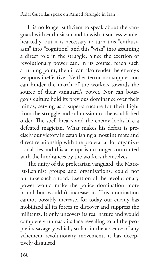#### Fedai Guerillas speak on Armed Struggle in Iran

It is no longer sufficient to speak about the vanguard with enthusiasm and to wish it success wholeheartedly, but it is necessary to turn this "enthusiasm" into "cognition" and this "wish" into assuming a direct role in the struggle. Since the exertion of revolutionary power can, in its course, reach such a turning point, then it can also render the enemy's weapons ineffective. Neither terror nor suppression can hinder the march of the workers towards the source of their vanguard's power. Nor can bourgeois culture hold its previous dominance over their minds, serving as a super-structure for their flight from the struggle and submission to the established order. The spell breaks and the enemy looks like a defeated magician. What makes his defeat is precisely our victory in establishing a most intimate and direct relationship with the proletariat for organizational ties and this attempt is no longer confronted with the hindrances by the workers themselves.

The unity of the proletarian vanguard, the Marxist-Leninist groups and organizations, could not but take such a road. Exertion of the revolutionary power would make the police domination more brutal but wouldn't increase it. This domination cannot possibly increase, for today our enemy has mobilized all its forces to discover and suppress the militants. It only uncovers its real nature and would completely unmask its face revealing to all the people its savagery which, so far, in the absence of any vehement revolutionary movement, it has deceptively disguised.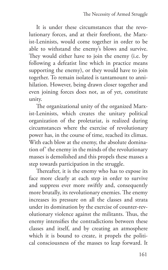It is under these circumstances that the revolutionary forces, and at their forefront, the Marxist-Leninists, would come together in order to be able to withstand the enemy's blows and survive. They would either have to join the enemy (i.e. by following a defeatist line which in practice means supporting the enemy), or they would have to join together. To remain isolated is tantamount to annihilation. However, being drawn closer together and even joining forces does not, as of yet, constitute unity.

The organizational unity of the organized Marxist-Leninists, which creates the unitary political organization of the proletariat, is realized during circumstances where the exercise of revolutionary power has, in the course of time, reached its climax. With each blow at the enemy, the absolute domination of' the enemy in the minds of the revolutionary masses is demolished and this propels these masses a step towards participation in the struggle.

Thereafter, it is the enemy who has to expose its face more clearly at each step in order to survive and suppress ever more swiftly and, consequently more brutally, its revolutionary enemies. The enemy increases its pressure on all the classes and strata under its domination by the exercise of counter-revolutionary violence against the militants. Thus, the enemy intensifies the contradictions between these classes and itself, and by creating an atmosphere which it is bound to create, it propels the political consciousness of the masses to leap forward. It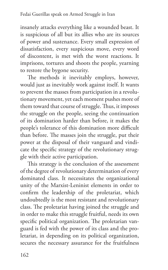insanely attacks everything like a wounded beast. It is suspicious of all but its allies who are its sources of power and sustenance. Every small expression of dissatisfaction, every suspicious move, every word of discontent, is met with the worst reactions. It imprisons, tortures and shoots the people, yearning to restore the bygone security.

The methods it inevitably employs, however, would just as inevitably work against itself. It wants to prevent the masses from participation in a revolutionary movement, yet each moment pushes more of them toward that course of struggle. Thus, it imposes the struggle on the people, seeing the continuation of its domination harder than before, it makes the people's tolerance of this domination more difficult than before. The masses join the struggle, put their power at the disposal of their vanguard and vindicate the specific strategy of the revolutionary struggle with their active participation.

This strategy is the conclusion of the assessment of the degree of revolutionary determination of every dominated class. It necessitates the organizational unity of the Marxist-Leninist elements in order to confirm the leadership of the proletariat, which undoubtedly is the most resistant and revolutionary class. The proletariat having joined the struggle and in order to make this struggle fruitful, needs its own specific political organization. The proletarian vanguard is fed with the power of its class and the proletariat, in depending on its political organization, secures the necessary assurance for the fruitfulness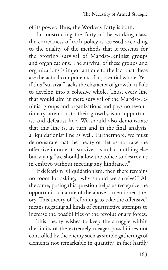of its power. Thus, the Worker's Party is born.

In constructing the Party of the working class, the correctness of each policy is assessed according to the quality of the methods that it presents for the growing survival of Marxist-Leninist groups and organizations. The survival of these groups and organizations is important due to the fact that these are the actual components of a potential whole. Yet, if this "survival" lacks the character of growth, it fails to develop into a cohesive whole. Thus, every line that would aim at mere survival of the Marxist-Leninist groups and organizations and pays no revolutionary attention to their growth, is an opportunist and defeatist line. We should also demonstrate that this line is, in turn and in the final analysis, a liquidationist line as well. Furthermore, we must demonstrate that the theory of "let us not take the offensive in order to survive," is in fact nothing else but saying "we should allow the police to destroy us in embryo without meeting any hindrance."

If defeatism is liquidationism, then there remains no room for asking, "why should we survive?" All the same, posing this question helps us recognize the opportunistic nature of the above—mentioned theory. This theory of "refraining to take the offensive" means negating all kinds of constructive attempts to increase the possibilities of the revolutionary forces.

This theory wishes to keep the struggle within the limits of the extremely meager possibilities not controlled by the enemy such as simple gatherings of elements not remarkable in quantity, in fact hardly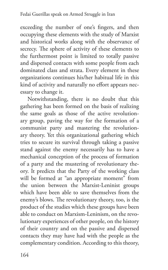exceeding the number of one's fingers, and then occupying these elements with the study of Marxist and historical works along with the observance of secrecy. The sphere of activity of these elements to the furthermost point is limited to totally passive and dispersed contacts with some people from each dominated class and strata. Every element in these organizations continues his/her habitual life in this kind of activity and naturally no effort appears necessary to change it.

Notwithstanding, there is no doubt that this gathering has been formed on the basis of realizing the same goals as those of the active revolutionary group, paving the way for the formation of a communist party and mastering the revolutionary theory. Yet this organizational gathering which tries to secure its survival through taking a passive stand against the enemy necessarily has to have a mechanical conception of the process of formation of a party and the mustering of revolutionary theory. It predicts that the Party of the working class will be formed at "an appropriate moment" from the union between the Marxist-Leninist groups which have been able to save themselves from the enemy's blows. The revolutionary theory, too, is the product of the studies which these groups have been able to conduct on Marxism-Leninism, on the revolutionary experiences of other people, on the history of their country and on the passive and dispersed contacts they may have had with the people as the complementary condition. According to this theory,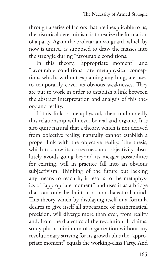through a series of factors that are inexplicable to us, the historical determinism is to realize the formation of a party. Again the proletarian vanguard, which by now is united, is supposed to draw the masses into the struggle during "favourable conditions."

In this theory, "appropriate moment" and "favourable conditions" are metaphysical conceptions which, without explaining anything, are used to temporarily cover its obvious weaknesses. They are put to work in order to establish a link between the abstract interpretation and analysis of this theory and reality.

If this link is metaphysical, then undoubtedly this relationship will never be real and organic. It is also quite natural that a theory, which is not derived from objective reality, naturally cannot establish a proper link with the objective reality. The thesis, which to show its correctness and objectivity absolutely avoids going beyond its meager possibilities for existing, will in practice fall into an obvious subjectivism. Thinking of the future but lacking any means to reach it, it resorts to the metaphysics of "appropriate moment" and uses it as a bridge that can only be built in a non-dialectical mind. This theory which by displaying itself in a formula desires to give itself all appearance of mathematical precision, will diverge more than ever, from reality and, from the dialectics of the revolution. It claims: study plus a minimum of organization without any revolutionary striving for its growth plus the "appropriate moment" equals the working-class Party. And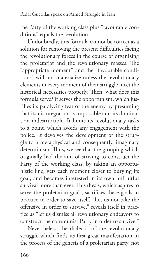the Party of the working class plus "favourable conditions" equals the revolution.

Undoubtedly, this formula cannot be correct as a solution for removing the present difficulties facing the revolutionary forces in the course of organizing the proletariat and the revolutionary masses. The "appropriate moment" and the "favourable conditions" will not materialize unless the revolutionary elements in every moment of their struggle meet the historical necessities properly. Then, what does this formula serve? It serves the opportunism, which justifies its paralyzing fear of the enemy by presuming that its disintegration is impossible and its domination indestructible. It limits its revolutionary tasks to a point, which avoids any engagement with the police. It devolves the development of the struggle to a metaphysical and consequently, imaginary determinism. Thus, we see that the grouping which originally had the aim of striving to construct the Party of the working class, by taking an opportunistic line, gets each moment closer to burying its goal, and becomes interested in its own unfruitful survival more than ever. This thesis, which aspires to serve the proletarian goals, sacrifices these goals in practice in order to save itself. "Let us not take the offensive in order to survive," reveals itself in practice as "let us dismiss all revolutionary endeavors to construct the communist Party in order to survive."

Nevertheless, the dialectic of the revolutionary struggle which finds its first great manifestation in the process of the genesis of a proletarian party, not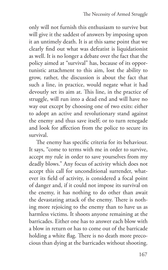only will not furnish this enthusiasm to survive but will give it the saddest of answers by imposing upon it an untimely death. It is at this same point that we clearly find out what was defeatist is liquidationist as well. It is no longer a debate over the fact that the policy aimed at "survival" has, because of its opportunistic attachment to this aim, lost the ability to grow, rather, the discussion is about the fact that such a line, in practice, would negate what it had devoutly set its aim at. This line, in the practice of struggle, will run into a dead end and will have no way out except by choosing one of two exits: either to adopt an active and revolutionary stand against the enemy and thus save itself; or to turn renegade and look for affection from the police to secure its survival.

The enemy has specific criteria for its behaviour. It says, "come to terms with me in order to survive, accept my rule in order to save yourselves from my deadly blows." Any focus of activity which does not accept this call for unconditional surrender, whatever its field of activity, is considered a focal point of danger and, if it could not impose its survival on the enemy, it has nothing to do other than await the devastating attack of the enemy. There is nothing more rejoicing to the enemy than to have us as harmless victims. It shoots anyone remaining at the barricades. Either one has to answer each blow with a blow in return or has to come out of the barricade holding a white flag. There is no death more precocious than dying at the barricades without shooting.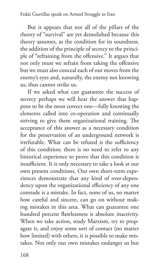But it appears that not all of the pillars of the theory of "survival" are yet demolished because this theory assumes, as the condition for its soundness, the addition of the principle of secrecy to the principle of "refraining from the offensive." It argues that not only must we refrain from taking the offensive but we must also conceal each of our moves from the enemy's eyes and, naturally, the enemy not knowing us, thus cannot strike us.

If we asked what can guarantee the success of secrecy perhaps we will hear the answer that happens to be the most correct one—fully knowing the elements called into co-operation and continually striving to give them organizational training. The acceptance of this answer as a necessary condition for the preservation of an underground network is irrefutable. What can be refuted is the sufficiency of this condition; there is no need to refer to any historical experience to prove that this condition is insufficient. It is only necessary to take a look at our own present conditions. Our own short-term experiences demonstrate that any kind of over-dependency upon the organizational efficiency of any one comrade is a mistake. In fact, none of us, no matter how careful and sincere, can go on without making mistakes in this area. What can guarantee one hundred percent flawlessness is absolute inactivity. When we take action, study Marxism, try to propagate it, and enjoy some sort of contact (no matter how limited) with others, it is possible to make mistakes. Not only our own mistakes endanger us but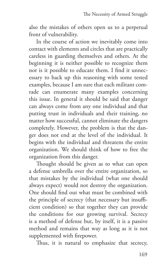also the mistakes of others open us to a perpetual front of vulnerability.

In the course of action we inevitably come into contact with elements and circles that are practically careless in guarding themselves and others. At the beginning it is neither possible to recognize them nor is it possible to educate them. I find it unnecessary to back up this reasoning with some tested examples, because I am sure that each militant comrade can enumerate many examples concerning this issue. In general it should be said that danger can always come from any one individual and that putting trust in individuals and their training, no matter how successful, cannot eliminate the dangers completely. However, the problem is that the danger does not end at the level of the individual. It begins with the individual and threatens the entire organization. We should think of how to free the organization from this danger.

Thought should be given as to what can open a defense umbrella over the entire organization, so that mistakes by the individual (what one should always expect) would not destroy the organization. One should find out what must be combined with the principle of secrecy (that necessary but insufficient condition) so that together they can provide the conditions for our growing survival. Secrecy is a method of defense but, by itself, it is a passive method and remains that way as long as it is not supplemented with firepower.

Thus, it is natural to emphasize that secrecy,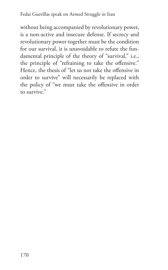without being accompanied by revolutionary power, is a non-active and insecure defense. If secrecy and revolutionary power together must be the condition for our survival, it is unavoidable to refute the fundamental principle of the theory of "survival," i.e., the principle of "refraining to take the offensive." Hence, the thesis of "let us not take the offensive in order to survive" will necessarily be replaced with the policy of "we must take the offensive in order to survive."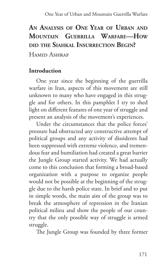# **An Analysis of One Year of Urban and Mountain Guerrilla Warfare—How did the Siahkal Insurrection Begin?** Hamid Ashraf

### **Introduction**

One year since the beginning of the guerrilla warfare in Iran, aspects of this movement are still unknown to many who have engaged in this struggle and for others. In this pamphlet I try to shed light on different features of one year of struggle and present an analysis of the movement's experiences.

Under the circumstances that the police forces' pressure had obstructed any constructive attempt of political groups and any activity of dissidents had been suppressed with extreme violence, and tremendous fear and humiliation had created a great barrier the Jungle Group started activity. We had actually come to this conclusion that forming a broad-based organization with a purpose to organize people would not be possible at the beginning of the struggle due to the harsh police state. In brief and to put in simple words, the main aim of the group was to break the atmosphere of repression in the Iranian political milieu and show the people of our country that the only possible way of struggle is armed struggle.

The Jungle Group was founded by three former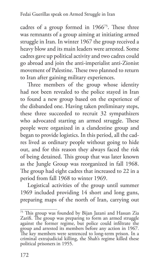cadres of a group formed in 196675. These three was remnants of a group aiming at initiating armed struggle in Iran. In winter 1967 the group received a heavy blow and its main leaders were arrested. Some cadres gave up political activity and two cadres could go abroad and join the anti-imperialist anti-Zionist movement of Palestine. These two planned to return to Iran after gaining military experiences.

Three members of the group whose identity had not been revealed to the police stayed in Iran to found a new group based on the experience of the disbanded one. Having taken preliminary steps, these three succeeded to recruit 32 sympathizers who advocated starting an armed struggle. These people were organized in a clandestine group and began to provide logistics. In this period, all the cadres lived as ordinary people without going to hide out, and for this reason they always faced the risk of being detained. This group that was later known as the Jungle Group was reorganized in fall 1968. The group had eight cadres that increased to 22 in a period from fall 1968 to winter 1969.

Logistical activities of the group until summer 1969 included providing 14 short and long guns, preparing maps of the north of Iran, carrying out

<sup>75</sup> This group was founded by Bijan Jazani and Hassan Zia Zarifi. The group was preparing to form an armed struggle against the former regime, but police could infiltrate the group and arrested its members before any action in 1967. The key members were sentenced to long-term prison. In a criminal extrajudicial killing, the Shah's regime killed these political prisoners in 1955.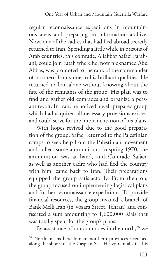regular reconnaissance expeditions in mountainous areas and preparing an information archive. Now, one of the cadres that had fled abroad secretly returned to Iran. Spending a little while in prisons of Arab countries, this comrade, Aliakbar Safaei Farahani, could join Fatah where he, now nicknamed Abu Abbas, was promoted to the rank of the commander of northern fronts due to his brilliant qualities. He returned to Iran alone without knowing about the fate of the remnants of the group. His plan was to find and gather old comrades and organize a peasant revolt. In Iran, he noticed a well-prepared group which had acquired all necessary provisions existed and could serve for the implementation of his plans.

With hopes revived due to the good preparation of the group, Safaei returned to the Palestinian camps to seek help from the Palestinian movement and collect some ammunition. In spring 1970, the ammunition was at hand, and Comrade Safaei, as well as another cadre who had fled the country with him, came back to Iran. Their preparations equipped the group satisfactorily. From then on, the group focused on implementing logistical plans and further reconnaissance expeditions. To provide financial resources, the group invaded a branch of Bank Melli Iran (in Vozara Street, Tehran) and confiscated a sum amounting to 1,600,000 Rials that was totally spent for the group's plans.

By assistance of our comrades in the north,<sup>76</sup> we

<sup>&</sup>lt;sup>76</sup> North means here Iranian northern provinces stretched along the shores of the Caspian Sea. Heavy rainfalls in this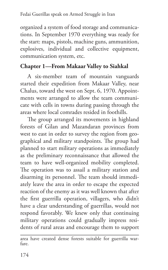organized a system of food storage and communications. In September 1970 everything was ready for the start: maps, pistols, machine guns, ammunition, explosives, individual and collective equipment, communication system, etc.

### **Chapter 1—From Makaar Valley to Siahkal**

A six-member team of mountain vanguards started their expedition from Makaar Valley, near Chalus, toward the west on Sept. 6, 1970. Appointments were arranged to allow the team communicate with cells in towns during passing through the areas where local comrades resided in foothills.

The group arranged its movements in highland forests of Gilan and Mazandaran provinces from west to east in order to survey the region from geographical and military standpoints. The group had planned to start military operations as immediately as the preliminary reconnaissance that allowed the team to have well-organized mobility completed. The operation was to assail a military station and disarming its personnel. The team should immediately leave the area in order to escape the expected reaction of the enemy as it was well known that after the first guerrilla operation, villagers, who didn't have a clear understanding of guerrillas, would not respond favorably. We knew only that continuing military operations could gradually impress residents of rural areas and encourage them to support

area have created dense forests suitable for guerrilla warfare.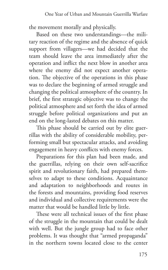the movement morally and physically.

Based on these two understandings—the military reaction of the regime and the absence of quick support from villagers—we had decided that the team should leave the area immediately after the operation and inflict the next blow in another area where the enemy did not expect another operation. The objective of the operations in this phase was to declare the beginning of armed struggle and changing the political atmosphere of the country. In brief, the first strategic objective was to change the political atmosphere and set forth the idea of armed struggle before political organizations and put an end on the long-lasted debates on this matter.

This phase should be carried out by elite guerrillas with the ability of considerable mobility, performing small but spectacular attacks, and avoiding engagement in heavy conflicts with enemy forces.

Preparations for this plan had been made, and the guerrillas, relying on their own self-sacrifice spirit and revolutionary faith, had prepared themselves to adapt to these conditions. Acquaintance and adaptation to neighborhoods and routes in the forests and mountains, providing food reserves and individual and collective requirements were the matter that would be handled little by little.

These were all technical issues of the first phase of the struggle in the mountain that could be dealt with well. But the jungle group had to face other problems. It was thought that "armed propaganda" in the northern towns located close to the center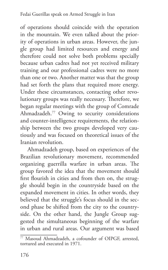of operations should coincide with the operation in the mountain. We even talked about the priority of operations in urban areas. However, the jungle group had limited resources and energy and therefore could not solve both problems specially because urban cadres had not yet received military training and our professional cadres were no more than one or two. Another matter was that the group had set forth the plans that required more energy. Under these circumstances, contacting other revolutionary groups was really necessary. Therefore, we began regular meetings with the group of Comrade Ahmadzadeh.77 Owing to security considerations and counter-intelligence requirements, the relationship between the two groups developed very cautiously and was focused on theoretical issues of the Iranian revolution.

Ahmadzadeh group, based on experiences of the Brazilian revolutionary movement, recommended organizing guerrilla warfare in urban areas. The group favored the idea that the movement should first flourish in cities and from then on, the struggle should begin in the countryside based on the expanded movement in cities. In other words, they believed that the struggle's focus should in the second phase be shifted from the city to the countryside. On the other hand, the Jungle Group suggested the simultaneous beginning of the warfare in urban and rural areas. Our argument was based

 $\frac{77}{77}$  Masoud Ahmadzadeh, a cofounder of OIPGF, arrested, tortured and executed in 1971.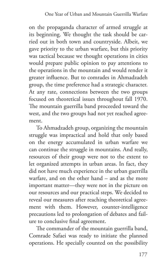on the propaganda character of armed struggle at its beginning. We thought the task should be carried out in both town and countryside. Albeit, we gave priority to the urban warfare, but this priority was tactical because we thought operations in cities would prepare public opinion to pay attentions to the operations in the mountain and would render it greater influence. But to comrades in Ahmadzadeh group, the time preference had a strategic character. At any rate, connections between the two groups focused on theoretical issues throughout fall 1970. The mountain guerrilla band proceeded toward the west, and the two groups had not yet reached agreement.

To Ahmadzadeh group, organizing the mountain struggle was impractical and hold that only based on the energy accumulated in urban warfare we can continue the struggle in mountains. And really, resources of their group were not to the extent to let organized attempts in urban areas. In fact, they did not have much experience in the urban guerrilla warfare, and on the other hand – and as the more important matter—they were not in the picture on our resources and our practical steps. We decided to reveal our measures after reaching theoretical agreement with them. However, counter-intelligence precautions led to prolongation of debates and failure to conclusive final agreement.

The commander of the mountain guerrilla band, Comrade Safaei was ready to initiate the planned operations. He specially counted on the possibility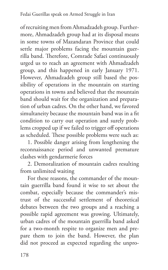of recruiting men from Ahmadzadeh group. Furthermore, Ahmadzadeh group had at its disposal means in some towns of Mazandaran Province that could settle major problems facing the mountain guerrilla band. Therefore, Comrade Safaei continuously urged us to reach an agreement with Ahmadzadeh group, and this happened in early January 1971. However, Ahmadzadeh group still based the possibility of operations in the mountain on starting operations in towns and believed that the mountain band should wait for the organization and preparation of urban cadres. On the other hand, we favored simultaneity because the mountain band was in a fit condition to carry out operation and surely problems cropped up if we failed to trigger off operations as scheduled. These possible problems were such as:

1. Possible danger arising from lengthening the reconnaissance period and unwanted premature clashes with gendarmerie forces

2. Demoralization of mountain cadres resulting from unlimited waiting

For these reasons, the commander of the mountain guerrilla band found it wise to set about the combat, especially because the commander's mistrust of the successful settlement of theoretical debates between the two groups and a reaching a possible rapid agreement was growing. Ultimately, urban cadres of the mountain guerrilla band asked for a two-month respite to organize men and prepare them to join the band. However, the plan did not proceed as expected regarding the unpro-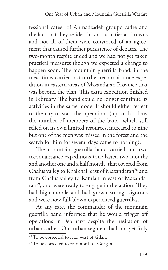fessional career of Ahmadzadeh group's cadre and the fact that they resided in various cities and towns and not all of them were convinced of an agreement that caused further persistence of debates. The two-month respite ended and we had not yet taken practical measures though we expected a change to happen soon. The mountain guerrilla band, in the meantime, carried out further reconnaissance expedition in eastern areas of Mazandaran Province that was beyond the plan. This extra expedition finished in February. The band could no longer continue its activities in the same mode. It should either retreat to the city or start the operations (up to this date, the number of members of the band, which still relied on its own limited resources, increased to nine but one of the men was missed in the forest and the search for him for several days came to nothing).

The mountain guerrilla band carried out two reconnaissance expeditions (one lasted two mouths and another one and a half month) that covered from Chalus valley to Khalkhal, east of Mazandaran<sup>78</sup> and from Chalus valley to Ramian in east of Mazanda $ran<sup>79</sup>$ , and were ready to engage in the action. They had high morale and had grown strong, vigorous and were now full-blown experienced guerrillas.

At any rate, the commander of the mountain guerrilla band informed that he would trigger off operations in February despite the hesitation of urban cadres. Our urban segment had not yet fully

 $\frac{78}{76}$  To be corrected to read west of Gilan.

<sup>79</sup> To be corrected to read north of Gorgan.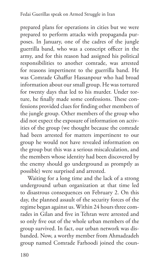prepared plans for operations in cities but we were prepared to perform attacks with propaganda purposes. In January, one of the cadres of the jungle guerrilla band, who was a conscript officer in the army, and for this reason had assigned his political responsibilities to another comrade, was arrested for reasons impertinent to the guerrilla band. He was Comrade Ghaffur Hassanpour who had broad information about our small group. He was tortured for twenty days that led to his murder. Under torture, he finally made some confessions. These confessions provided clues for finding other members of the jungle group. Other members of the group who did not expect the exposure of information on activities of the group (we thought because the comrade had been arrested for matters impertinent to our group he would not have revealed information on the group but this was a serious miscalculation, and the members whose identity had been discovered by the enemy should go underground as promptly as possible) were surprised and arrested.

Waiting for a long time and the lack of a strong underground urban organization at that time led to disastrous consequences on February 2. On this day, the planned assault of the security forces of the regime began against us. Within 24 hours three comrades in Gilan and five in Tehran were arrested and so only five out of the whole urban members of the group survived. In fact, our urban network was disbanded. Now, a worthy member from Ahmadzadeh group named Comrade Farhoodi joined the coun-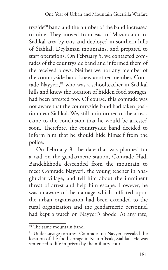tryside<sup>80</sup> band and the number of the band increased to nine. They moved from east of Mazandaran to Siahkal area by cars and deployed in southern hills of Siahkal, Deylaman mountains, and prepared to start operations. On February 5, we contacted comrades of the countryside band and informed them of the received blows. Neither we nor any member of the countryside band knew another member, Comrade Nayyeri,<sup>81</sup> who was a schoolteacher in Siahkal hills and knew the location of hidden food storages, had been arrested too. Of course, this comrade was not aware that the countryside band had taken position near Siahkal. We, still uninformed of the arrest, came to the conclusion that he would be arrested soon. Therefore, the countryside band decided to inform him that he should hide himself from the police.

On February 8, the date that was planned for a raid on the gendarmerie station, Comrade Hadi Bandehkhoda descended from the mountain to meet Comrade Nayyeri, the young teacher in Shaghuzlat village, and tell him about the imminent threat of arrest and help him escape. However, he was unaware of the damage which inflicted upon the urban organization had been extended to the rural organization and the gendarmerie personnel had kept a watch on Nayyeri's abode. At any rate,

<sup>80</sup> The same mountain band.

<sup>81</sup> Under savage tortures, Comrade Iraj Nayyeri revealed the location of the food storage in Kakuh Peak, Siahkal. He was sentenced to life in prison by the military court.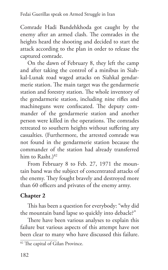Comrade Hadi Bandehkhoda got caught by the enemy after an armed clash. The comrades in the heights heard the shooting and decided to start the attack according to the plan in order to release the captured comrade.

On the dawn of February 8, they left the camp and after taking the control of a minibus in Siahkal-Lunak road waged attacks on Siahkal gendarmerie station. The main target was the gendarmerie station and forestry station. The whole inventory of the gendarmerie station, including nine rifles and machineguns were confiscated. The deputy commander of the gendarmerie station and another person were killed in the operations. The comrades retreated to southern heights without suffering any casualties. (Furthermore, the arrested comrade was not found in the gendarmerie station because the commander of the station had already transferred him to Rasht.)<sup>82</sup>

From February 8 to Feb. 27, 1971 the mountain band was the subject of concentrated attacks of the enemy. They fought bravely and destroyed more than 60 officers and privates of the enemy army.

# **Chapter 2**

This has been a question for everybody: "why did the mountain band lapse so quickly into debacle?"

There have been various analyses to explain this failure but various aspects of this attempt have not been clear to many who have discussed this failure.

<sup>&</sup>lt;sup>82</sup> The capital of Gilan Province.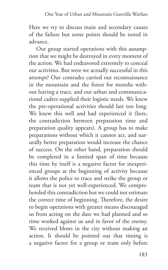Here we try to discuss main and secondary causes of the failure but some points should be noted in advance.

Our group started operations with this assumption that we might be destroyed in every moment of the action. We had endeavored extremely to conceal our activities. But were we actually successful in this attempt? Our comrades carried out reconnaissance in the mountain and the forest for months without leaving a trace, and our urban and communicational cadres supplied their logistic needs. We knew the pre-operational activities should last too long. We knew this well and had experienced it (here, the contradiction between preparation time and preparation quality appears). A group has to make preparations without which it cannot act, and naturally better preparation would increase the chance of success. On the other hand, preparation should be completed in a limited span of time because this time by itself is a negative factor for inexperienced groups at the beginning of activity because it allows the police to trace and strike the group or team that is not yet well-experienced. We comprehended this contradiction but we could not estimate the correct time of beginning. Therefore, the desire to begin operations with greater means discouraged us from acting on the date we had planned and so time worked against us and in favor of the enemy. We received blows in the city without making an action. It should be pointed out that timing is a negative factor for a group or team only before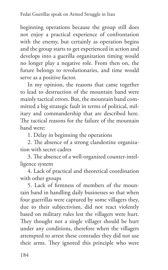beginning operations because the group still does not enjoy a practical experience of confrontation with the enemy, but certainly as operation begins and the group starts to get experienced in action and develops into a guerilla organization timing would no longer play a negative role. From then on, the future belongs to revolutionaries, and time would serve as a positive factor.

In my opinion, the reasons that came together to lead to destruction of the mountain band were mainly tactical errors. But, the mountain band committed a big strategic fault in terms of political, military and commandership that are described here. The tactical reasons for the failure of the mountain band were:

1. Delay in beginning the operations

2. The absence of a strong clandestine organization with secret cadres

3. The absence of a well-organized counter-intelligence system

4. Lack of practical and theoretical coordination with other groups

5. Lack of firmness of members of the mountain band in handling daily businesses so that when four guerrillas were captured by some villagers they, due to their subjectivism, did not react violently based on military rules lest the villagers were hurt. They thought not a single villager should be hurt under any conditions, therefore when the villagers attempted to arrest these comrades they did not use their arms. They ignored this principle who were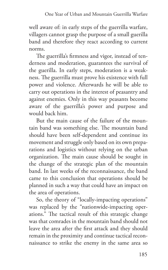well aware of: in early steps of the guerrilla warfare, villagers cannot grasp the purpose of a small guerilla band and therefore they react according to current norms.

The guerrilla's firmness and vigor, instead of tenderness and moderation, guarantees the survival of the guerilla. In early steps, moderation is a weakness. The guerrilla must prove his existence with full power and violence. Afterwards he will be able to carry out operations in the interest of peasantry and against enemies. Only in this way peasants become aware of the guerrilla's power and purpose and would back him.

But the main cause of the failure of the mountain band was something else. The mountain band should have been self-dependent and continue its movement and struggle only based on its own preparations and logistics without relying on the urban organization. The main cause should be sought in the change of the strategic plan of the mountain band. In last weeks of the reconnaissance, the band came to this conclusion that operations should be planned in such a way that could have an impact on the area of operations.

So, the theory of "locally-impacting operations" was replaced by the "nationwide-impacting operations." The tactical result of this strategic change was that comrades in the mountain band should not leave the area after the first attack and they should remain in the proximity and continue tactical reconnaissance to strike the enemy in the same area so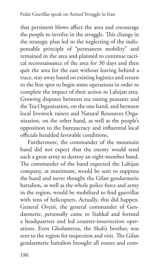that persistent blows affect the area and encourage the people to involve in the struggle. This change in the strategic plan led to the neglecting of the indispensable principle of "permanent mobility" and remained in the area and planned to continue tactical reconnaissance of the area for 30 days and then quit the area for the east without leaving behind a trace, stay away based on existing logistics and return to the first spot to begin some operations in order to complete the impact of their action in Lahijan area. Growing disputes between tea raising peasants and the Tea Organization, on the one hand, and between local livestock raisers and Natural Resources Organization, on the other hand, as well as the people's opposition to the bureaucracy and influential local officials heralded favorable conditions.

Furthermore, the commander of the mountain band did not expect that the enemy would send such a great army to destroy an eight-member band. The commander of the band expected the Lahijan company, at maximum, would be sent to suppress the band and never thought the Gilan gendarmerie battalion, as well as the whole police force and army in the region, would be mobilized to find guerrillas with tens of helicopters. Actually, this did happen. General Oveisi, the general commander of Gendarmerie, personally came to Siahkal and formed a headquarters and led counter-insurrection operations. Even Gholamreza, the Shah's brother, was sent to the region for inspection and visit. The Gilan gendarmerie battalion brought all routes and com-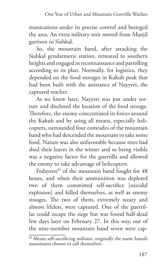munications under its precise control and besieged the area. An extra military unit moved from Manjil garrison to Siahkal.

So, the mountain band, after attacking the Siahkal gendarmerie station, retreated to southern heights and engaged in reconnaissance and patrolling according to its plan. Normally, for logistics, they depended on the food storages in Kakuh peak that had been built with the assistance of Nayyeri, the captured teacher.

As we knew later, Nayyeri was put under torture and disclosed the location of the food storage. Therefore, the enemy concentrated its forces around the Kakuh and by using all means, especially helicopters, surrounded four comrades of the mountain band who had descended the mountain to take some food. Nature was also unfavorable because trees had shed their leaves in the winter and so being visible was a negative factor for the guerrilla and allowed the enemy to take advantage of helicopters.

Fedayeen<sup>83</sup> of the mountain band fought for 48 hours, and when their ammunition was depleted two of them committed self-sacrifice [suicidal explosion] and killed themselves, as well as enemy stooges. The two of them, extremely weary and almost lifeless, were captured. One of the guerrillas could escape the siege but was found half-dead few days later on February 27. In this way, out of the nine-member mountain band seven were cap-

 $83$  Means self-sacrificing militant, originally the name Ismaili assassinates chosen to call themselves.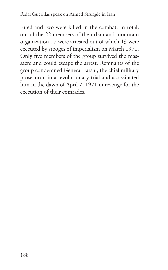tured and two were killed in the combat. In total, out of the 22 members of the urban and mountain organization 17 were arrested out of which 13 were executed by stooges of imperialism on March 1971. Only five members of the group survived the massacre and could escape the arrest. Remnants of the group condemned General Farsiu, the chief military prosecutor, in a revolutionary trial and assassinated him in the dawn of April 7, 1971 in revenge for the execution of their comrades.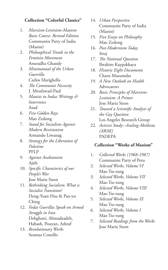### **Collection "Colorful Classics"**

- 1. *Marxism-Leninism-Maoism Basic Course: Revised Edition* Communist Party of India (Maoist)
- 2. *Philosophical Trends in the Feminist Movement* Anuradha Ghandy
- 3. *Minimanual of the Urban Guerrilla* Carlos Marighella
- 4. *The Communist Necessity* J. Moufawad-Paul
- 5. *Maoists in India: Writings & Interviews* Azad
- 6. *Five Golden Rays* Mao Zedong
- 7. *Stand for Socialism Against Modern Revisionism* Armando Liwanag
- 8. *Strategy for the Liberation of Palestine* PFLP
- 9. *Against Avakianism* Ajith
- 10. *Specific Characterics of our People's War* Jose Maria Sison
- 11. *Rethinking Socialism: What is Socialist Transition?* Deng-Yuan Hsu & Pao-yu Ching
- 12. *Fedai Guerillas Speak on Armed Struggle in Iran* Dehghani, Ahmadzadeh, Habash, Pouyan, Ashraf
- 13. *Revolutionary Works* Seamus Costello
- 14. *Urban Perspective* Communist Party of India (Maoist)
- 15. *Five Essays on Philosophy* Mao Zedong
- 16. *Post-Modernism Today* Siraj
- 17. *The National Question* Ibrahim Kaypakkaya
- 18. *Historic Eight Documents* Charu Mazumdar
- 19. *A New Outlook on Health* Advocators
- 20. *Basic Principles of Marxism-Leninism: A Primer* Jose Maria Sison
- 21. *Toward a Scientific Analysis of the Gay Question* Los Angeles Research Group
- 22. *Activist Study-Araling Aktibista (ARAK)* PADEPA

#### **Collection "Works of Maoism"**

- 1. *Collected Works (1968-1987)* Communist Party of Peru
- 2. *Selected Works, Volume VI* Mao Tse-tung
- 3. *Selected Works, Volume VII* Mao Tse-tung
- 4. *Selected Works, Volume VIII* Mao Tse-tung
- 5. *Selected Works, Volume IX* Mao Tse-tung
- 6. *Selected Works, Volume I* Mao Tse-tung
- 7. *Selected Readings from the Works* Jose Maria Sison